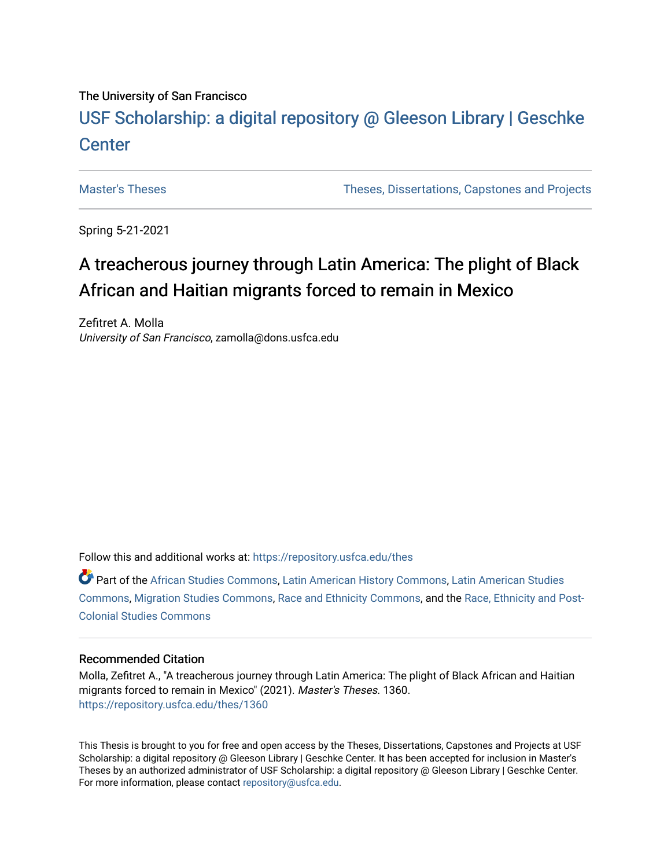### The University of San Francisco

# USF Scholarship: [a digital repository @ Gleeson Libr](https://repository.usfca.edu/)ary | Geschke **Center**

[Master's Theses](https://repository.usfca.edu/thes) [Theses, Dissertations, Capstones and Projects](https://repository.usfca.edu/etd) 

Spring 5-21-2021

# A treacherous journey through Latin America: The plight of Black African and Haitian migrants forced to remain in Mexico

Zefitret A. Molla University of San Francisco, zamolla@dons.usfca.edu

Follow this and additional works at: [https://repository.usfca.edu/thes](https://repository.usfca.edu/thes?utm_source=repository.usfca.edu%2Fthes%2F1360&utm_medium=PDF&utm_campaign=PDFCoverPages) 

Part of the [African Studies Commons,](http://network.bepress.com/hgg/discipline/1043?utm_source=repository.usfca.edu%2Fthes%2F1360&utm_medium=PDF&utm_campaign=PDFCoverPages) [Latin American History Commons,](http://network.bepress.com/hgg/discipline/494?utm_source=repository.usfca.edu%2Fthes%2F1360&utm_medium=PDF&utm_campaign=PDFCoverPages) [Latin American Studies](http://network.bepress.com/hgg/discipline/363?utm_source=repository.usfca.edu%2Fthes%2F1360&utm_medium=PDF&utm_campaign=PDFCoverPages) [Commons](http://network.bepress.com/hgg/discipline/363?utm_source=repository.usfca.edu%2Fthes%2F1360&utm_medium=PDF&utm_campaign=PDFCoverPages), [Migration Studies Commons](http://network.bepress.com/hgg/discipline/1394?utm_source=repository.usfca.edu%2Fthes%2F1360&utm_medium=PDF&utm_campaign=PDFCoverPages), [Race and Ethnicity Commons,](http://network.bepress.com/hgg/discipline/426?utm_source=repository.usfca.edu%2Fthes%2F1360&utm_medium=PDF&utm_campaign=PDFCoverPages) and the [Race, Ethnicity and Post-](http://network.bepress.com/hgg/discipline/566?utm_source=repository.usfca.edu%2Fthes%2F1360&utm_medium=PDF&utm_campaign=PDFCoverPages)[Colonial Studies Commons](http://network.bepress.com/hgg/discipline/566?utm_source=repository.usfca.edu%2Fthes%2F1360&utm_medium=PDF&utm_campaign=PDFCoverPages)

### Recommended Citation

Molla, Zefitret A., "A treacherous journey through Latin America: The plight of Black African and Haitian migrants forced to remain in Mexico" (2021). Master's Theses. 1360. [https://repository.usfca.edu/thes/1360](https://repository.usfca.edu/thes/1360?utm_source=repository.usfca.edu%2Fthes%2F1360&utm_medium=PDF&utm_campaign=PDFCoverPages) 

This Thesis is brought to you for free and open access by the Theses, Dissertations, Capstones and Projects at USF Scholarship: a digital repository @ Gleeson Library | Geschke Center. It has been accepted for inclusion in Master's Theses by an authorized administrator of USF Scholarship: a digital repository @ Gleeson Library | Geschke Center. For more information, please contact [repository@usfca.edu](mailto:repository@usfca.edu).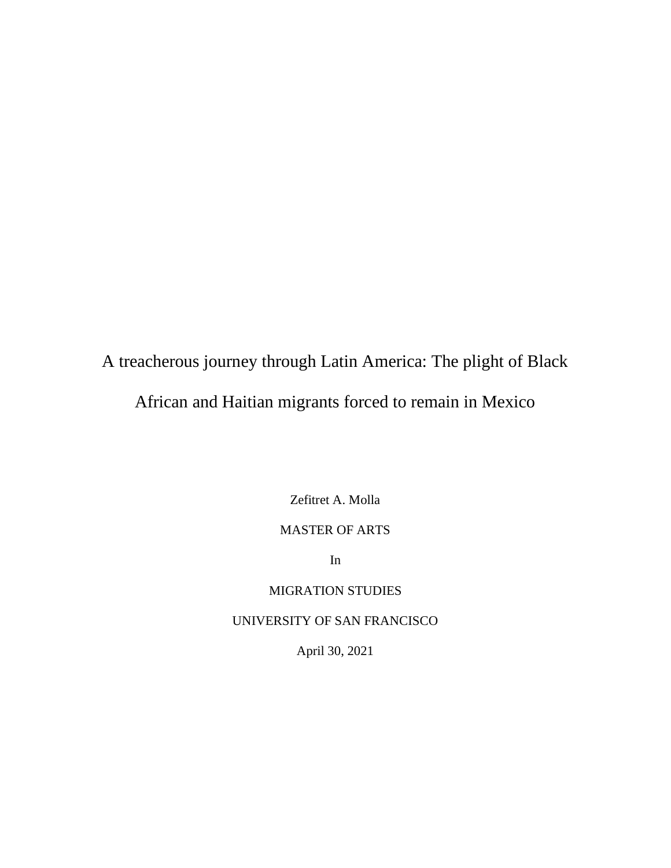A treacherous journey through Latin America: The plight of Black African and Haitian migrants forced to remain in Mexico

Zefitret A. Molla

## MASTER OF ARTS

In

# MIGRATION STUDIES

### UNIVERSITY OF SAN FRANCISCO

April 30, 2021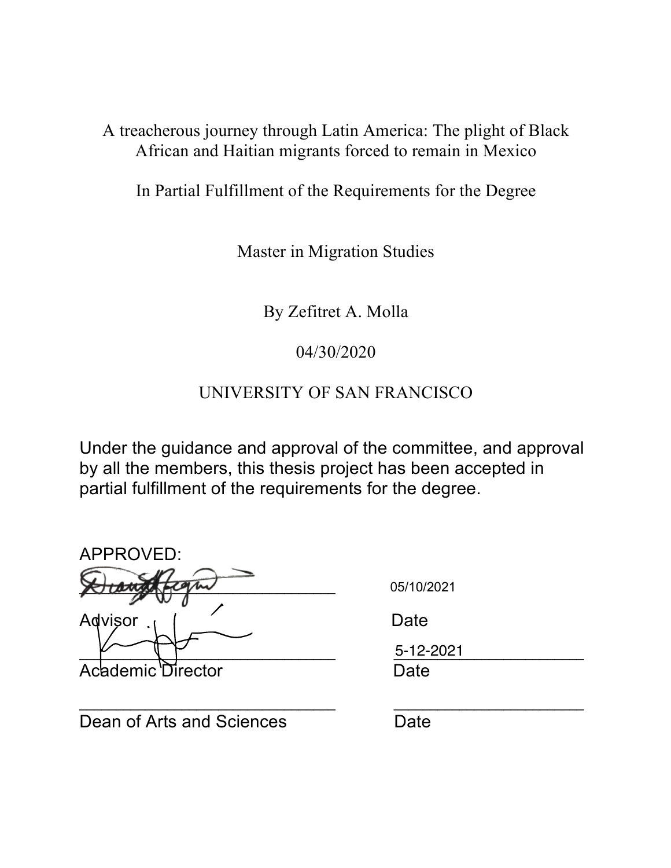A treacherous journey through Latin America: The plight of Black African and Haitian migrants forced to remain in Mexico

In Partial Fulfillment of the Requirements for the Degree

Master in Migration Studies

By Zefitret A. Molla

04/30/2020

UNIVERSITY OF SAN FRANCISCO

Under the guidance and approval of the committee, and approval by all the members, this thesis project has been accepted in partial fulfillment of the requirements for the degree.

\_\_\_\_\_\_\_\_\_\_\_\_\_\_\_\_\_\_\_\_\_\_\_\_\_\_\_\_\_\_\_\_\_\_\_ \_\_\_\_\_\_\_\_\_\_\_\_\_\_\_\_\_\_\_\_\_\_\_\_\_\_

| APPROVED:         |            |
|-------------------|------------|
|                   | 05/10/2021 |
| Advisor           | Date       |
|                   | 5-12-2021  |
| Academic Director | Date       |

Dean of Arts and Sciences Date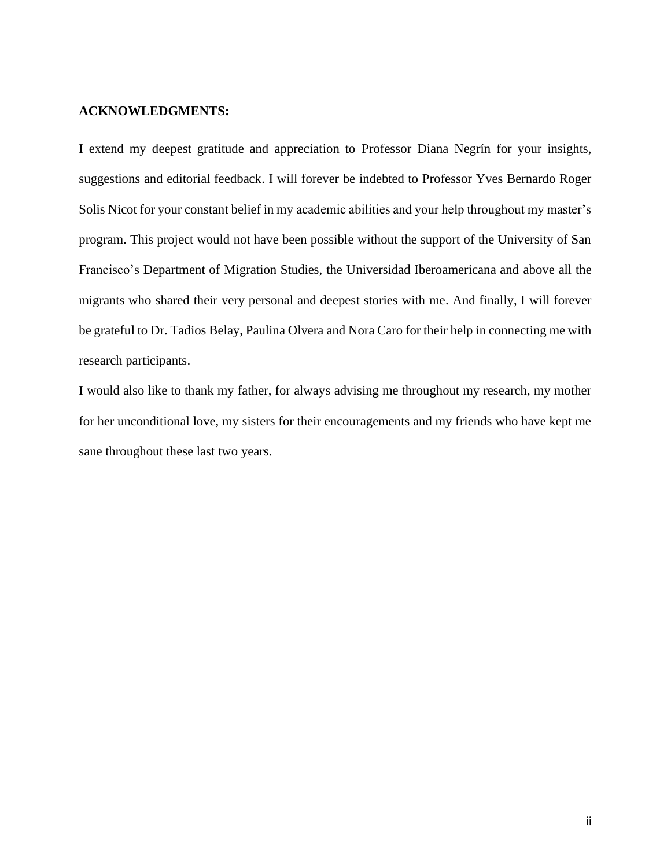### **ACKNOWLEDGMENTS:**

I extend my deepest gratitude and appreciation to Professor Diana Negrín for your insights, suggestions and editorial feedback. I will forever be indebted to Professor Yves Bernardo Roger Solis Nicot for your constant belief in my academic abilities and your help throughout my master's program. This project would not have been possible without the support of the University of San Francisco's Department of Migration Studies, the Universidad Iberoamericana and above all the migrants who shared their very personal and deepest stories with me. And finally, I will forever be grateful to Dr. Tadios Belay, Paulina Olvera and Nora Caro for their help in connecting me with research participants.

I would also like to thank my father, for always advising me throughout my research, my mother for her unconditional love, my sisters for their encouragements and my friends who have kept me sane throughout these last two years.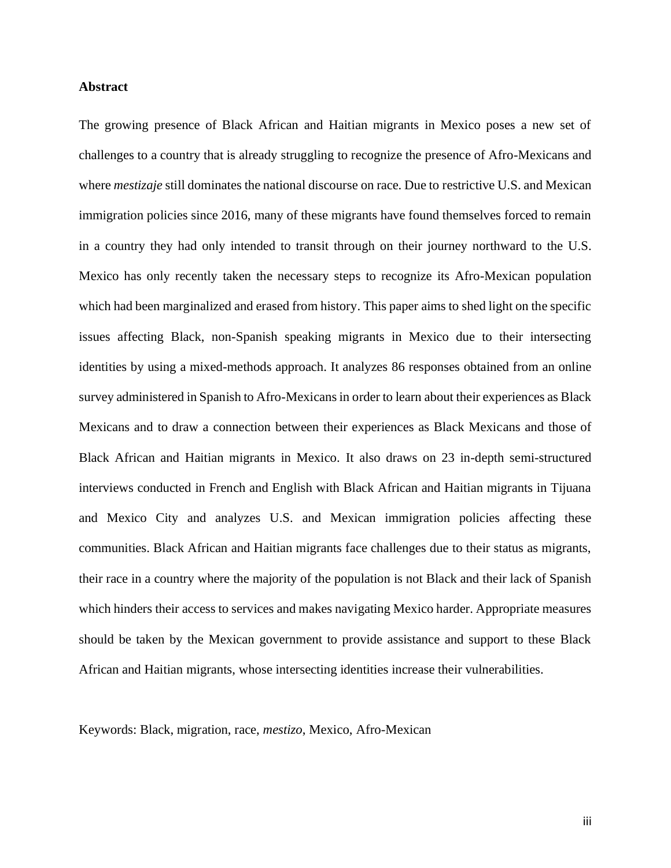### **Abstract**

The growing presence of Black African and Haitian migrants in Mexico poses a new set of challenges to a country that is already struggling to recognize the presence of Afro-Mexicans and where *mestizaje* still dominates the national discourse on race. Due to restrictive U.S. and Mexican immigration policies since 2016, many of these migrants have found themselves forced to remain in a country they had only intended to transit through on their journey northward to the U.S. Mexico has only recently taken the necessary steps to recognize its Afro-Mexican population which had been marginalized and erased from history. This paper aims to shed light on the specific issues affecting Black, non-Spanish speaking migrants in Mexico due to their intersecting identities by using a mixed-methods approach. It analyzes 86 responses obtained from an online survey administered in Spanish to Afro-Mexicans in order to learn about their experiences as Black Mexicans and to draw a connection between their experiences as Black Mexicans and those of Black African and Haitian migrants in Mexico. It also draws on 23 in-depth semi-structured interviews conducted in French and English with Black African and Haitian migrants in Tijuana and Mexico City and analyzes U.S. and Mexican immigration policies affecting these communities. Black African and Haitian migrants face challenges due to their status as migrants, their race in a country where the majority of the population is not Black and their lack of Spanish which hinders their access to services and makes navigating Mexico harder. Appropriate measures should be taken by the Mexican government to provide assistance and support to these Black African and Haitian migrants, whose intersecting identities increase their vulnerabilities.

Keywords: Black, migration, race, *mestizo*, Mexico, Afro-Mexican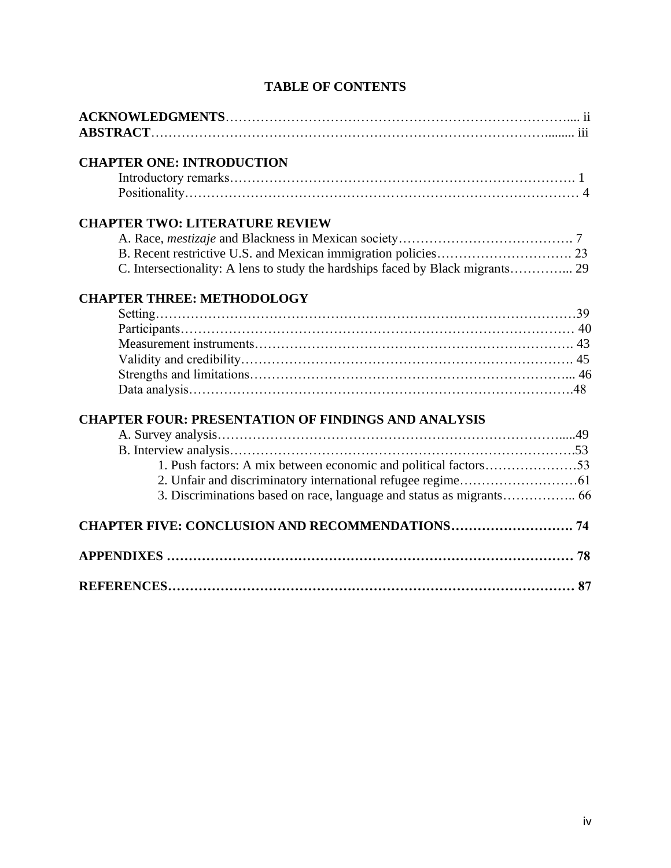| <b>CHAPTER ONE: INTRODUCTION</b>                                |    |
|-----------------------------------------------------------------|----|
|                                                                 |    |
|                                                                 |    |
| <b>CHAPTER TWO: LITERATURE REVIEW</b>                           |    |
|                                                                 |    |
|                                                                 |    |
|                                                                 |    |
| <b>CHAPTER THREE: METHODOLOGY</b>                               |    |
|                                                                 |    |
|                                                                 |    |
|                                                                 |    |
|                                                                 |    |
|                                                                 |    |
|                                                                 |    |
| <b>CHAPTER FOUR: PRESENTATION OF FINDINGS AND ANALYSIS</b>      |    |
|                                                                 |    |
|                                                                 |    |
| 1. Push factors: A mix between economic and political factors53 |    |
|                                                                 |    |
|                                                                 |    |
|                                                                 |    |
|                                                                 |    |
|                                                                 | 87 |

## **TABLE OF CONTENTS**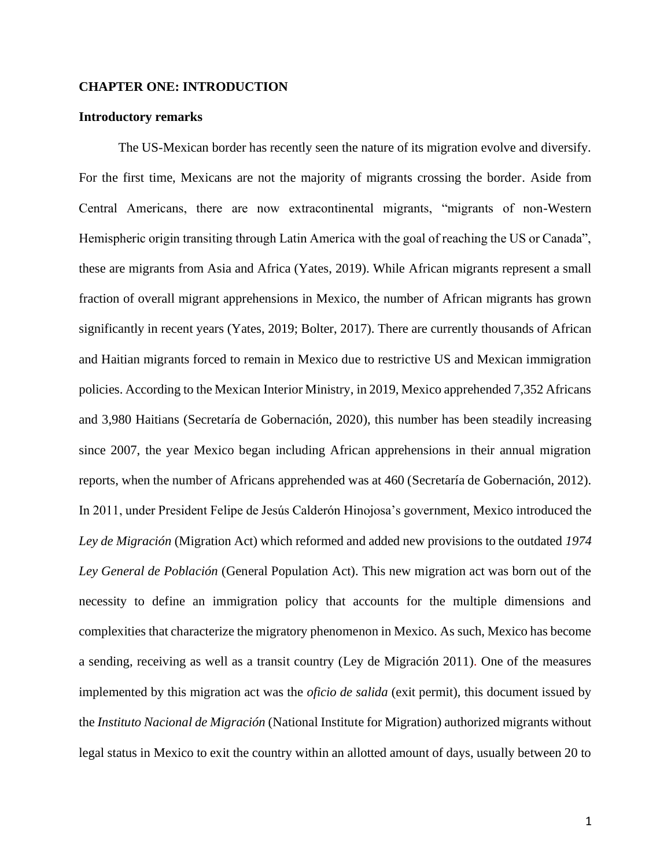### **CHAPTER ONE: INTRODUCTION**

### **Introductory remarks**

The US-Mexican border has recently seen the nature of its migration evolve and diversify. For the first time, Mexicans are not the majority of migrants crossing the border. Aside from Central Americans, there are now extracontinental migrants, "migrants of non-Western Hemispheric origin transiting through Latin America with the goal of reaching the US or Canada", these are migrants from Asia and Africa (Yates, 2019). While African migrants represent a small fraction of overall migrant apprehensions in Mexico, the number of African migrants has grown significantly in recent years (Yates, 2019; Bolter, 2017). There are currently thousands of African and Haitian migrants forced to remain in Mexico due to restrictive US and Mexican immigration policies. According to the Mexican Interior Ministry, in 2019, Mexico apprehended 7,352 Africans and 3,980 Haitians (Secretaría de Gobernación, 2020), this number has been steadily increasing since 2007, the year Mexico began including African apprehensions in their annual migration reports, when the number of Africans apprehended was at 460 (Secretaría de Gobernación, 2012). In 2011, under President Felipe de Jesús Calderón Hinojosa's government, Mexico introduced the *Ley de Migración* (Migration Act) which reformed and added new provisions to the outdated *1974 Ley General de Población* (General Population Act). This new migration act was born out of the necessity to define an immigration policy that accounts for the multiple dimensions and complexities that characterize the migratory phenomenon in Mexico. As such, Mexico has become a sending, receiving as well as a transit country (Ley de Migración 2011). One of the measures implemented by this migration act was the *oficio de salida* (exit permit), this document issued by the *Instituto Nacional de Migración* (National Institute for Migration) authorized migrants without legal status in Mexico to exit the country within an allotted amount of days, usually between 20 to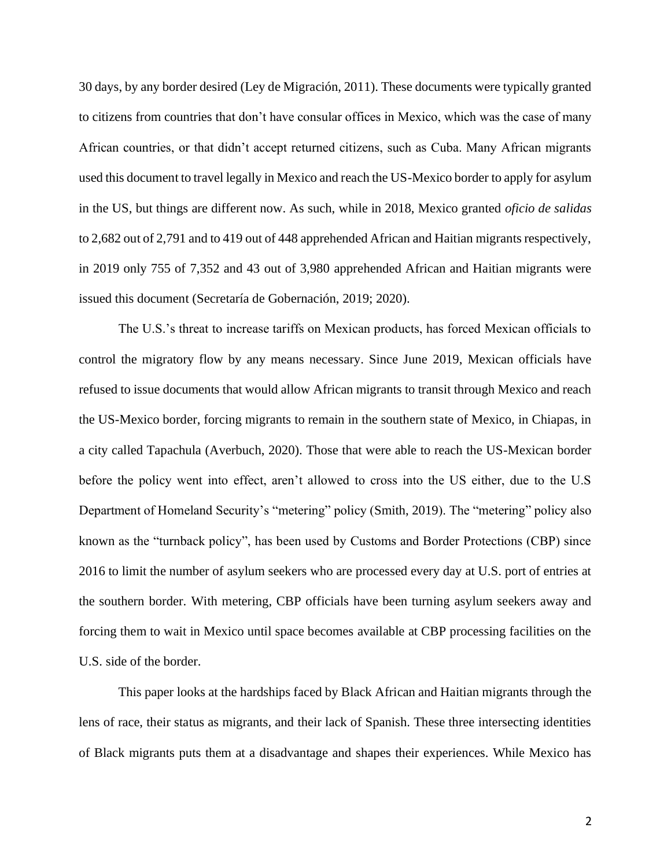30 days, by any border desired (Ley de Migración, 2011). These documents were typically granted to citizens from countries that don't have consular offices in Mexico, which was the case of many African countries, or that didn't accept returned citizens, such as Cuba. Many African migrants used this document to travel legally in Mexico and reach the US-Mexico border to apply for asylum in the US, but things are different now. As such, while in 2018, Mexico granted *oficio de salidas*  to 2,682 out of 2,791 and to 419 out of 448 apprehended African and Haitian migrants respectively, in 2019 only 755 of 7,352 and 43 out of 3,980 apprehended African and Haitian migrants were issued this document (Secretaría de Gobernación, 2019; 2020).

The U.S.'s threat to increase tariffs on Mexican products, has forced Mexican officials to control the migratory flow by any means necessary. Since June 2019, Mexican officials have refused to issue documents that would allow African migrants to transit through Mexico and reach the US-Mexico border, forcing migrants to remain in the southern state of Mexico, in Chiapas, in a city called Tapachula (Averbuch, 2020). Those that were able to reach the US-Mexican border before the policy went into effect, aren't allowed to cross into the US either, due to the U.S Department of Homeland Security's "metering" policy (Smith, 2019). The "metering" policy also known as the "turnback policy", has been used by Customs and Border Protections (CBP) since 2016 to limit the number of asylum seekers who are processed every day at U.S. port of entries at the southern border. With metering, CBP officials have been turning asylum seekers away and forcing them to wait in Mexico until space becomes available at CBP processing facilities on the U.S. side of the border.

This paper looks at the hardships faced by Black African and Haitian migrants through the lens of race, their status as migrants, and their lack of Spanish. These three intersecting identities of Black migrants puts them at a disadvantage and shapes their experiences. While Mexico has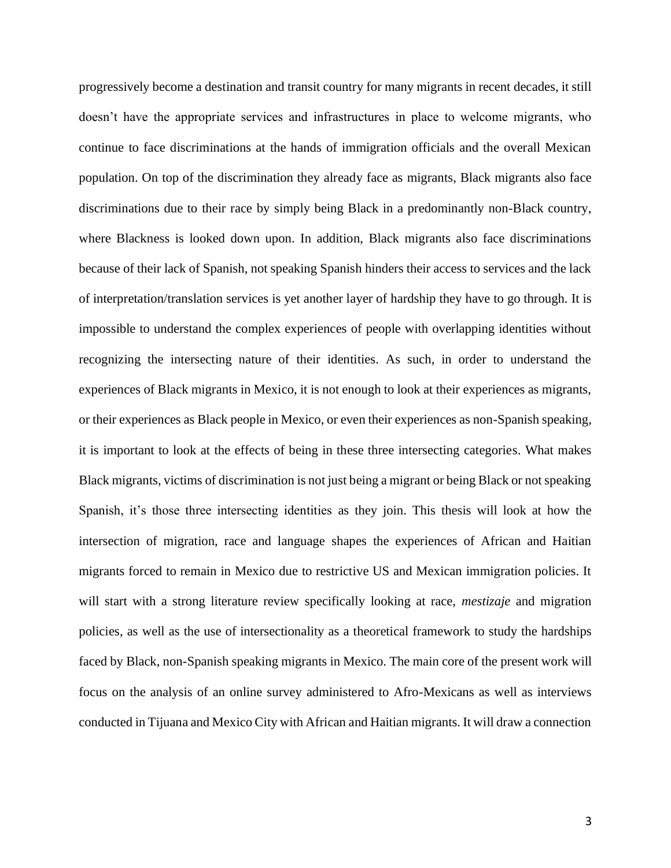progressively become a destination and transit country for many migrants in recent decades, it still doesn't have the appropriate services and infrastructures in place to welcome migrants, who continue to face discriminations at the hands of immigration officials and the overall Mexican population. On top of the discrimination they already face as migrants, Black migrants also face discriminations due to their race by simply being Black in a predominantly non-Black country, where Blackness is looked down upon. In addition, Black migrants also face discriminations because of their lack of Spanish, not speaking Spanish hinders their access to services and the lack of interpretation/translation services is yet another layer of hardship they have to go through. It is impossible to understand the complex experiences of people with overlapping identities without recognizing the intersecting nature of their identities. As such, in order to understand the experiences of Black migrants in Mexico, it is not enough to look at their experiences as migrants, or their experiences as Black people in Mexico, or even their experiences as non-Spanish speaking, it is important to look at the effects of being in these three intersecting categories. What makes Black migrants, victims of discrimination is not just being a migrant or being Black or not speaking Spanish, it's those three intersecting identities as they join. This thesis will look at how the intersection of migration, race and language shapes the experiences of African and Haitian migrants forced to remain in Mexico due to restrictive US and Mexican immigration policies. It will start with a strong literature review specifically looking at race, *mestizaje* and migration policies, as well as the use of intersectionality as a theoretical framework to study the hardships faced by Black, non-Spanish speaking migrants in Mexico. The main core of the present work will focus on the analysis of an online survey administered to Afro-Mexicans as well as interviews conducted in Tijuana and Mexico City with African and Haitian migrants. It will draw a connection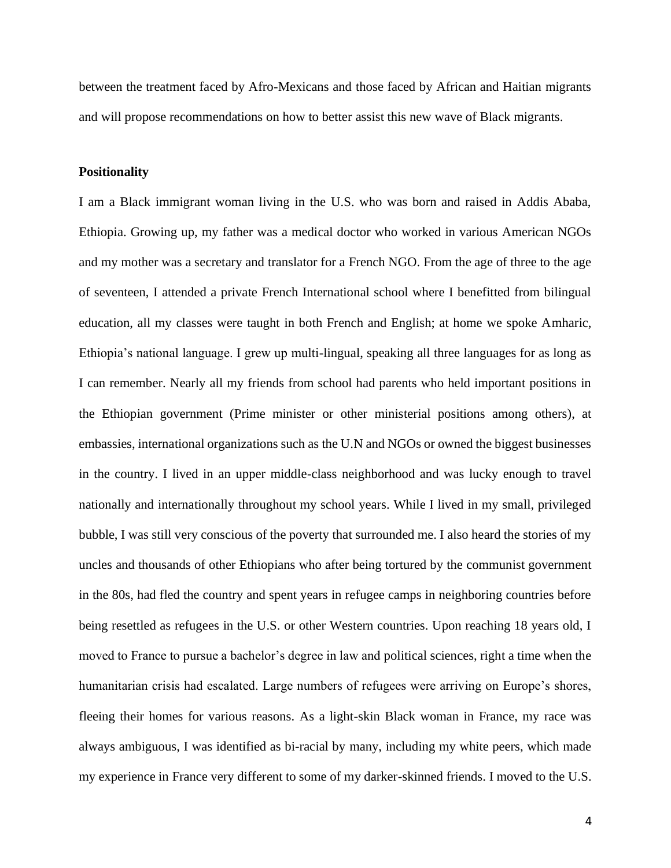between the treatment faced by Afro-Mexicans and those faced by African and Haitian migrants and will propose recommendations on how to better assist this new wave of Black migrants.

### **Positionality**

I am a Black immigrant woman living in the U.S. who was born and raised in Addis Ababa, Ethiopia. Growing up, my father was a medical doctor who worked in various American NGOs and my mother was a secretary and translator for a French NGO. From the age of three to the age of seventeen, I attended a private French International school where I benefitted from bilingual education, all my classes were taught in both French and English; at home we spoke Amharic, Ethiopia's national language. I grew up multi-lingual, speaking all three languages for as long as I can remember. Nearly all my friends from school had parents who held important positions in the Ethiopian government (Prime minister or other ministerial positions among others), at embassies, international organizations such as the U.N and NGOs or owned the biggest businesses in the country. I lived in an upper middle-class neighborhood and was lucky enough to travel nationally and internationally throughout my school years. While I lived in my small, privileged bubble, I was still very conscious of the poverty that surrounded me. I also heard the stories of my uncles and thousands of other Ethiopians who after being tortured by the communist government in the 80s, had fled the country and spent years in refugee camps in neighboring countries before being resettled as refugees in the U.S. or other Western countries. Upon reaching 18 years old, I moved to France to pursue a bachelor's degree in law and political sciences, right a time when the humanitarian crisis had escalated. Large numbers of refugees were arriving on Europe's shores, fleeing their homes for various reasons. As a light-skin Black woman in France, my race was always ambiguous, I was identified as bi-racial by many, including my white peers, which made my experience in France very different to some of my darker-skinned friends. I moved to the U.S.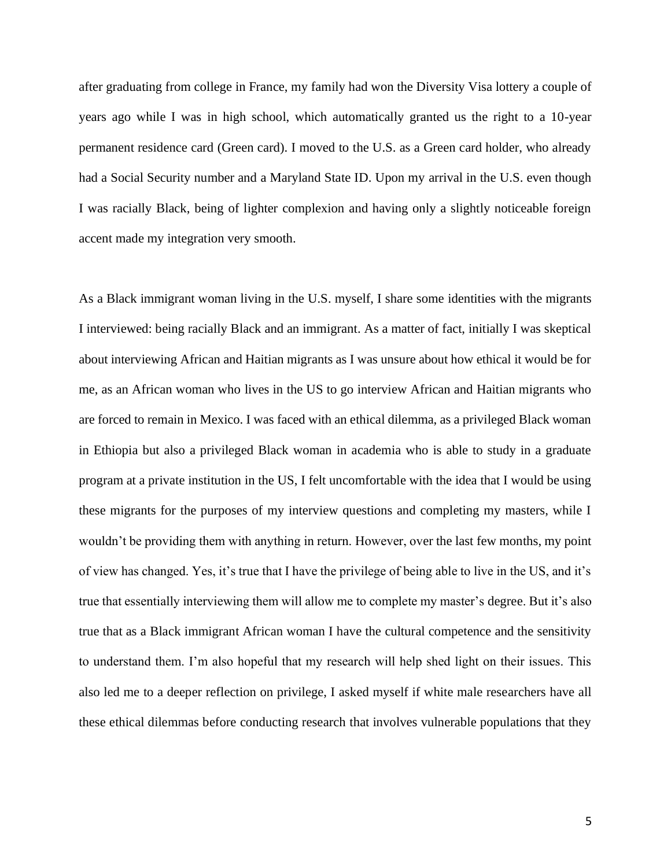after graduating from college in France, my family had won the Diversity Visa lottery a couple of years ago while I was in high school, which automatically granted us the right to a 10-year permanent residence card (Green card). I moved to the U.S. as a Green card holder, who already had a Social Security number and a Maryland State ID. Upon my arrival in the U.S. even though I was racially Black, being of lighter complexion and having only a slightly noticeable foreign accent made my integration very smooth.

As a Black immigrant woman living in the U.S. myself, I share some identities with the migrants I interviewed: being racially Black and an immigrant. As a matter of fact, initially I was skeptical about interviewing African and Haitian migrants as I was unsure about how ethical it would be for me, as an African woman who lives in the US to go interview African and Haitian migrants who are forced to remain in Mexico. I was faced with an ethical dilemma, as a privileged Black woman in Ethiopia but also a privileged Black woman in academia who is able to study in a graduate program at a private institution in the US, I felt uncomfortable with the idea that I would be using these migrants for the purposes of my interview questions and completing my masters, while I wouldn't be providing them with anything in return. However, over the last few months, my point of view has changed. Yes, it's true that I have the privilege of being able to live in the US, and it's true that essentially interviewing them will allow me to complete my master's degree. But it's also true that as a Black immigrant African woman I have the cultural competence and the sensitivity to understand them. I'm also hopeful that my research will help shed light on their issues. This also led me to a deeper reflection on privilege, I asked myself if white male researchers have all these ethical dilemmas before conducting research that involves vulnerable populations that they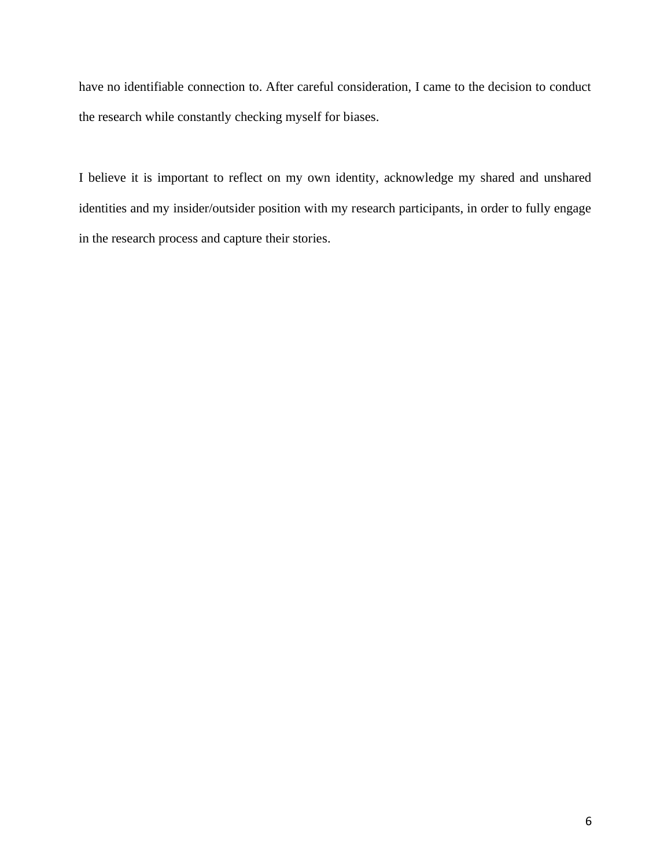have no identifiable connection to. After careful consideration, I came to the decision to conduct the research while constantly checking myself for biases.

I believe it is important to reflect on my own identity, acknowledge my shared and unshared identities and my insider/outsider position with my research participants, in order to fully engage in the research process and capture their stories.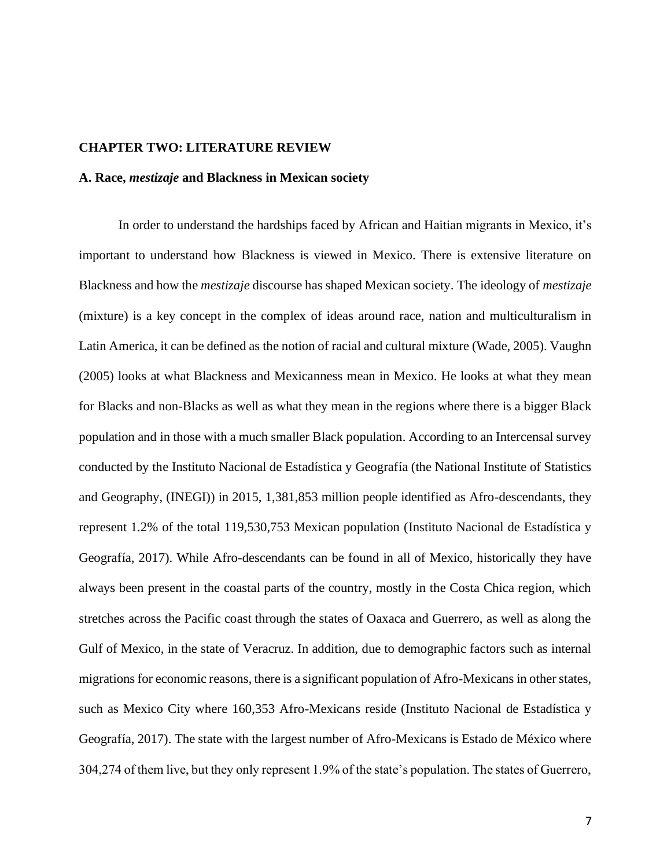### **CHAPTER TWO: LITERATURE REVIEW**

### **A. Race,** *mestizaje* **and Blackness in Mexican society**

In order to understand the hardships faced by African and Haitian migrants in Mexico, it's important to understand how Blackness is viewed in Mexico. There is extensive literature on Blackness and how the *mestizaje* discourse has shaped Mexican society. The ideology of *mestizaje*  (mixture) is a key concept in the complex of ideas around race, nation and multiculturalism in Latin America, it can be defined as the notion of racial and cultural mixture (Wade, 2005). Vaughn (2005) looks at what Blackness and Mexicanness mean in Mexico. He looks at what they mean for Blacks and non-Blacks as well as what they mean in the regions where there is a bigger Black population and in those with a much smaller Black population. According to an Intercensal survey conducted by the Instituto Nacional de Estadística y Geografía (the National Institute of Statistics and Geography, (INEGI)) in 2015, 1,381,853 million people identified as Afro-descendants, they represent 1.2% of the total 119,530,753 Mexican population (Instituto Nacional de Estadística y Geografía, 2017). While Afro-descendants can be found in all of Mexico, historically they have always been present in the coastal parts of the country, mostly in the Costa Chica region, which stretches across the Pacific coast through the states of Oaxaca and Guerrero, as well as along the Gulf of Mexico, in the state of Veracruz. In addition, due to demographic factors such as internal migrations for economic reasons, there is a significant population of Afro-Mexicans in other states, such as Mexico City where 160,353 Afro-Mexicans reside (Instituto Nacional de Estadística y Geografía, 2017). The state with the largest number of Afro-Mexicans is Estado de México where 304,274 of them live, but they only represent 1.9% of the state's population. The states of Guerrero,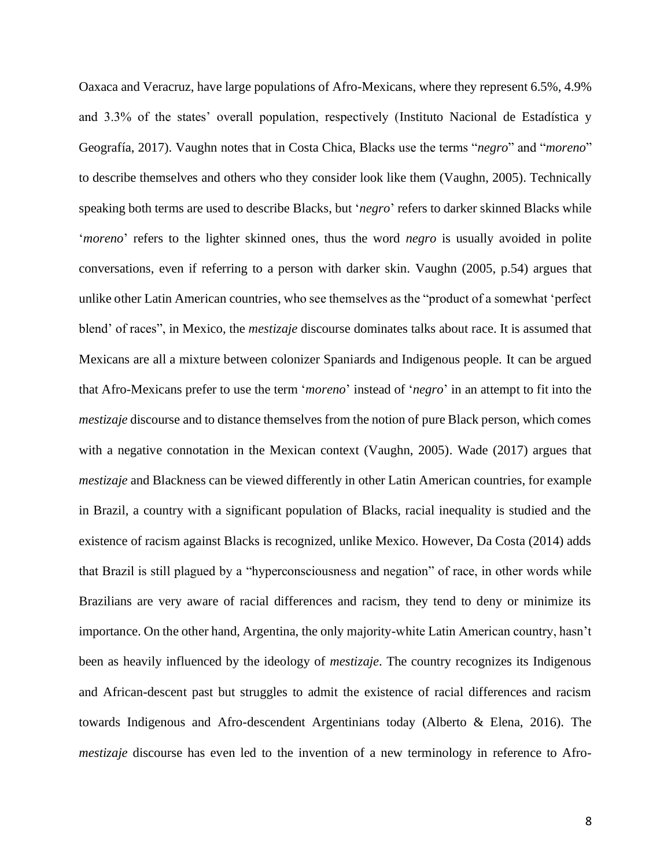Oaxaca and Veracruz, have large populations of Afro-Mexicans, where they represent 6.5%, 4.9% and 3.3% of the states' overall population, respectively (Instituto Nacional de Estadística y Geografía, 2017). Vaughn notes that in Costa Chica, Blacks use the terms "*negro*" and "*moreno*" to describe themselves and others who they consider look like them (Vaughn, 2005). Technically speaking both terms are used to describe Blacks, but '*negro*' refers to darker skinned Blacks while '*moreno*' refers to the lighter skinned ones, thus the word *negro* is usually avoided in polite conversations, even if referring to a person with darker skin. Vaughn (2005, p.54) argues that unlike other Latin American countries, who see themselves as the "product of a somewhat 'perfect blend' of races", in Mexico, the *mestizaje* discourse dominates talks about race. It is assumed that Mexicans are all a mixture between colonizer Spaniards and Indigenous people. It can be argued that Afro-Mexicans prefer to use the term '*moreno*' instead of '*negro*' in an attempt to fit into the *mestizaje* discourse and to distance themselves from the notion of pure Black person, which comes with a negative connotation in the Mexican context (Vaughn, 2005). Wade (2017) argues that *mestizaje* and Blackness can be viewed differently in other Latin American countries, for example in Brazil, a country with a significant population of Blacks, racial inequality is studied and the existence of racism against Blacks is recognized, unlike Mexico. However, Da Costa (2014) adds that Brazil is still plagued by a "hyperconsciousness and negation" of race, in other words while Brazilians are very aware of racial differences and racism, they tend to deny or minimize its importance. On the other hand, Argentina, the only majority-white Latin American country, hasn't been as heavily influenced by the ideology of *mestizaje*. The country recognizes its Indigenous and African-descent past but struggles to admit the existence of racial differences and racism towards Indigenous and Afro-descendent Argentinians today (Alberto & Elena, 2016). The *mestizaje* discourse has even led to the invention of a new terminology in reference to Afro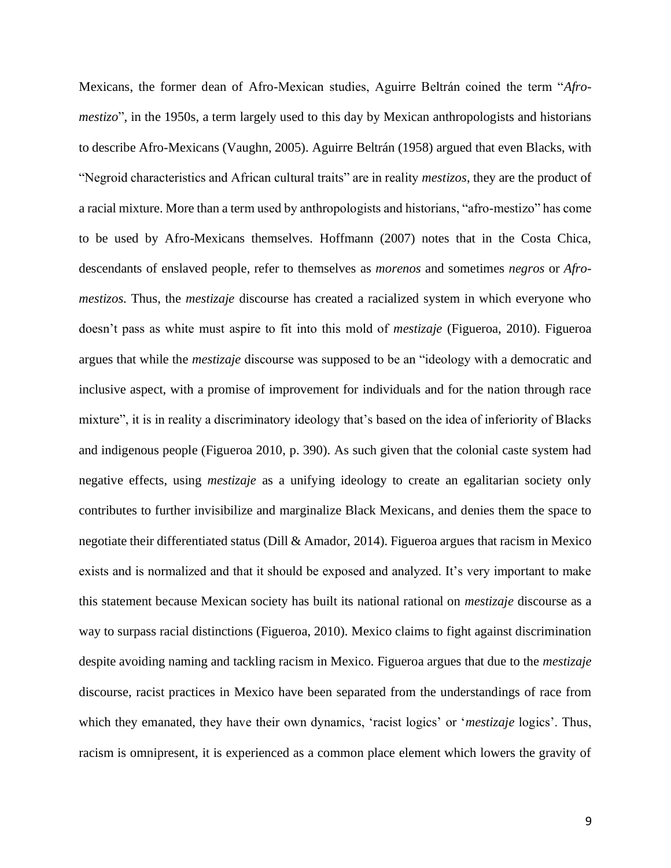Mexicans, the former dean of Afro-Mexican studies, Aguirre Beltrán coined the term "*Afromestizo*", in the 1950s, a term largely used to this day by Mexican anthropologists and historians to describe Afro-Mexicans (Vaughn, 2005). Aguirre Beltrán (1958) argued that even Blacks, with "Negroid characteristics and African cultural traits" are in reality *mestizos*, they are the product of a racial mixture. More than a term used by anthropologists and historians, "afro-mestizo" has come to be used by Afro-Mexicans themselves. Hoffmann (2007) notes that in the Costa Chica, descendants of enslaved people, refer to themselves as *morenos* and sometimes *negros* or *Afromestizos.* Thus, the *mestizaje* discourse has created a racialized system in which everyone who doesn't pass as white must aspire to fit into this mold of *mestizaje* (Figueroa, 2010). Figueroa argues that while the *mestizaje* discourse was supposed to be an "ideology with a democratic and inclusive aspect, with a promise of improvement for individuals and for the nation through race mixture", it is in reality a discriminatory ideology that's based on the idea of inferiority of Blacks and indigenous people (Figueroa 2010, p. 390). As such given that the colonial caste system had negative effects, using *mestizaje* as a unifying ideology to create an egalitarian society only contributes to further invisibilize and marginalize Black Mexicans, and denies them the space to negotiate their differentiated status (Dill & Amador, 2014). Figueroa argues that racism in Mexico exists and is normalized and that it should be exposed and analyzed. It's very important to make this statement because Mexican society has built its national rational on *mestizaje* discourse as a way to surpass racial distinctions (Figueroa, 2010). Mexico claims to fight against discrimination despite avoiding naming and tackling racism in Mexico. Figueroa argues that due to the *mestizaje* discourse, racist practices in Mexico have been separated from the understandings of race from which they emanated, they have their own dynamics, 'racist logics' or '*mestizaje* logics'. Thus, racism is omnipresent, it is experienced as a common place element which lowers the gravity of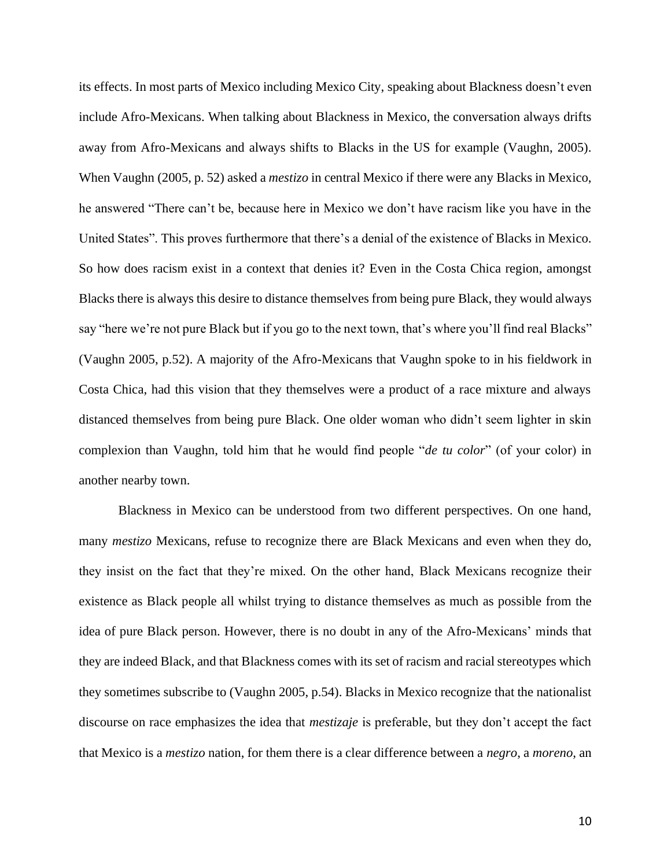its effects. In most parts of Mexico including Mexico City, speaking about Blackness doesn't even include Afro-Mexicans. When talking about Blackness in Mexico, the conversation always drifts away from Afro-Mexicans and always shifts to Blacks in the US for example (Vaughn, 2005). When Vaughn (2005, p. 52) asked a *mestizo* in central Mexico if there were any Blacks in Mexico, he answered "There can't be, because here in Mexico we don't have racism like you have in the United States". This proves furthermore that there's a denial of the existence of Blacks in Mexico. So how does racism exist in a context that denies it? Even in the Costa Chica region, amongst Blacks there is always this desire to distance themselves from being pure Black, they would always say "here we're not pure Black but if you go to the next town, that's where you'll find real Blacks" (Vaughn 2005, p.52). A majority of the Afro-Mexicans that Vaughn spoke to in his fieldwork in Costa Chica, had this vision that they themselves were a product of a race mixture and always distanced themselves from being pure Black. One older woman who didn't seem lighter in skin complexion than Vaughn, told him that he would find people "*de tu color*" (of your color) in another nearby town.

Blackness in Mexico can be understood from two different perspectives. On one hand, many *mestizo* Mexicans, refuse to recognize there are Black Mexicans and even when they do, they insist on the fact that they're mixed. On the other hand, Black Mexicans recognize their existence as Black people all whilst trying to distance themselves as much as possible from the idea of pure Black person. However, there is no doubt in any of the Afro-Mexicans' minds that they are indeed Black, and that Blackness comes with its set of racism and racial stereotypes which they sometimes subscribe to (Vaughn 2005, p.54). Blacks in Mexico recognize that the nationalist discourse on race emphasizes the idea that *mestizaje* is preferable, but they don't accept the fact that Mexico is a *mestizo* nation, for them there is a clear difference between a *negro*, a *moreno*, an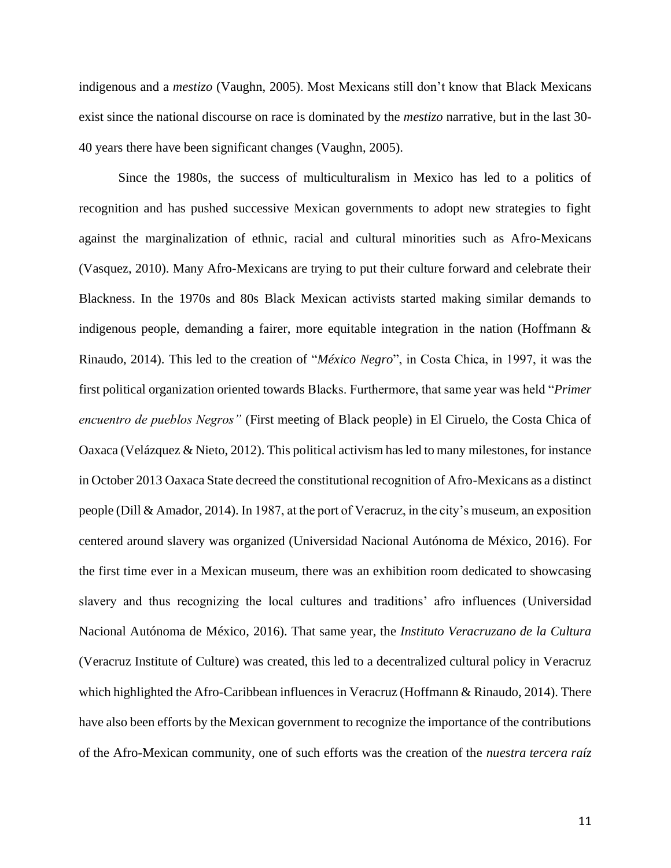indigenous and a *mestizo* (Vaughn, 2005). Most Mexicans still don't know that Black Mexicans exist since the national discourse on race is dominated by the *mestizo* narrative, but in the last 30- 40 years there have been significant changes (Vaughn, 2005).

Since the 1980s, the success of multiculturalism in Mexico has led to a politics of recognition and has pushed successive Mexican governments to adopt new strategies to fight against the marginalization of ethnic, racial and cultural minorities such as Afro-Mexicans (Vasquez, 2010). Many Afro-Mexicans are trying to put their culture forward and celebrate their Blackness. In the 1970s and 80s Black Mexican activists started making similar demands to indigenous people, demanding a fairer, more equitable integration in the nation (Hoffmann & Rinaudo, 2014). This led to the creation of "*México Negro*", in Costa Chica, in 1997, it was the first political organization oriented towards Blacks. Furthermore, that same year was held "*Primer encuentro de pueblos Negros"* (First meeting of Black people) in El Ciruelo, the Costa Chica of Oaxaca (Velázquez & Nieto, 2012). This political activism has led to many milestones, for instance in October 2013 Oaxaca State decreed the constitutional recognition of Afro-Mexicans as a distinct people (Dill & Amador, 2014). In 1987, at the port of Veracruz, in the city's museum, an exposition centered around slavery was organized (Universidad Nacional Autónoma de México, 2016). For the first time ever in a Mexican museum, there was an exhibition room dedicated to showcasing slavery and thus recognizing the local cultures and traditions' afro influences (Universidad Nacional Autónoma de México, 2016). That same year, the *Instituto Veracruzano de la Cultura*  (Veracruz Institute of Culture) was created, this led to a decentralized cultural policy in Veracruz which highlighted the Afro-Caribbean influences in Veracruz (Hoffmann & Rinaudo, 2014). There have also been efforts by the Mexican government to recognize the importance of the contributions of the Afro-Mexican community, one of such efforts was the creation of the *nuestra tercera raíz*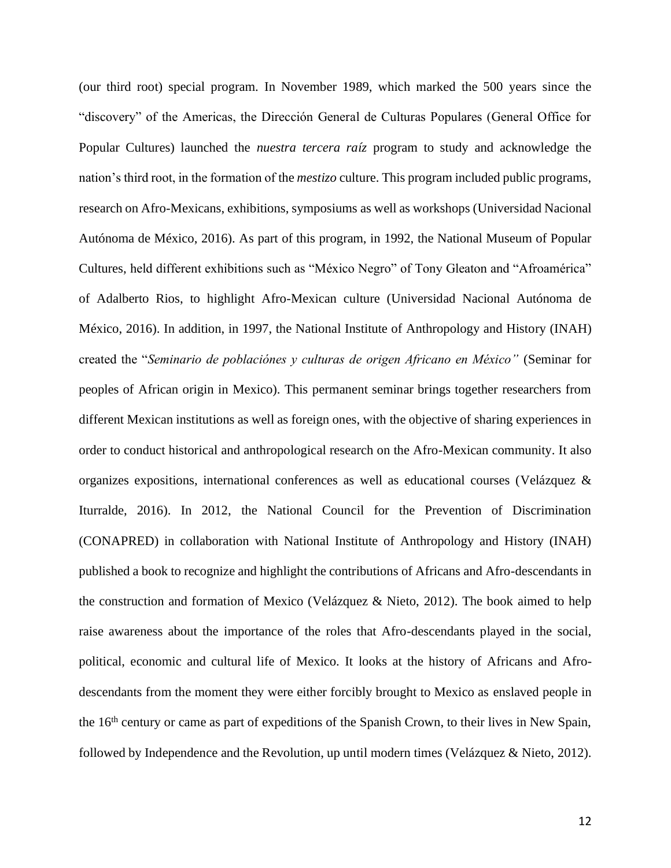(our third root) special program. In November 1989, which marked the 500 years since the "discovery" of the Americas, the Dirección General de Culturas Populares (General Office for Popular Cultures) launched the *nuestra tercera raíz* program to study and acknowledge the nation's third root, in the formation of the *mestizo* culture. This program included public programs, research on Afro-Mexicans, exhibitions, symposiums as well as workshops (Universidad Nacional Autónoma de México, 2016). As part of this program, in 1992, the National Museum of Popular Cultures, held different exhibitions such as "México Negro" of Tony Gleaton and "Afroamérica" of Adalberto Rios, to highlight Afro-Mexican culture (Universidad Nacional Autónoma de México, 2016). In addition, in 1997, the National Institute of Anthropology and History (INAH) created the "*Seminario de poblaciónes y culturas de origen Africano en México"* (Seminar for peoples of African origin in Mexico). This permanent seminar brings together researchers from different Mexican institutions as well as foreign ones, with the objective of sharing experiences in order to conduct historical and anthropological research on the Afro-Mexican community. It also organizes expositions, international conferences as well as educational courses (Velázquez & Iturralde, 2016). In 2012, the National Council for the Prevention of Discrimination (CONAPRED) in collaboration with National Institute of Anthropology and History (INAH) published a book to recognize and highlight the contributions of Africans and Afro-descendants in the construction and formation of Mexico (Velázquez & Nieto, 2012). The book aimed to help raise awareness about the importance of the roles that Afro-descendants played in the social, political, economic and cultural life of Mexico. It looks at the history of Africans and Afrodescendants from the moment they were either forcibly brought to Mexico as enslaved people in the 16<sup>th</sup> century or came as part of expeditions of the Spanish Crown, to their lives in New Spain, followed by Independence and the Revolution, up until modern times (Velázquez & Nieto, 2012).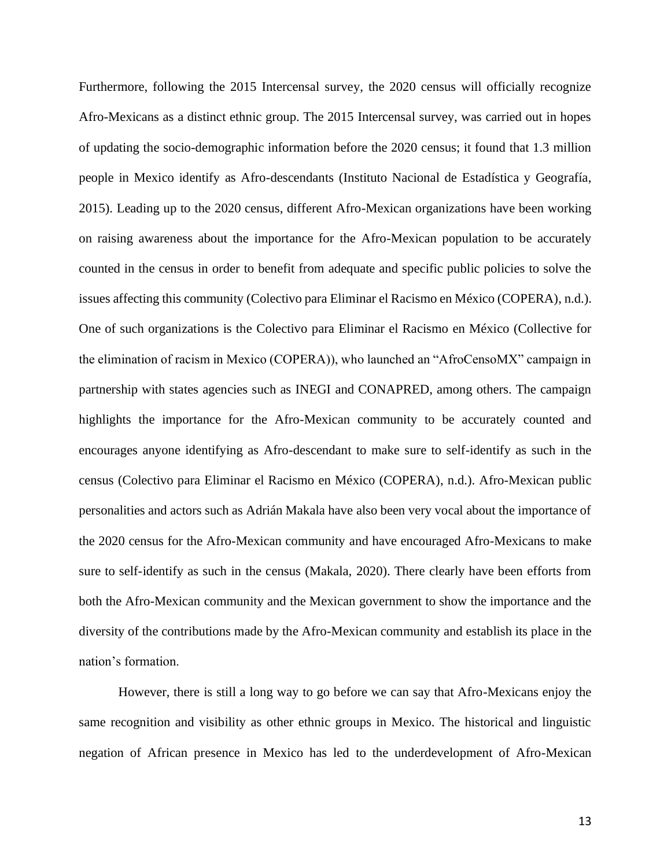Furthermore, following the 2015 Intercensal survey, the 2020 census will officially recognize Afro-Mexicans as a distinct ethnic group. The 2015 Intercensal survey, was carried out in hopes of updating the socio-demographic information before the 2020 census; it found that 1.3 million people in Mexico identify as Afro-descendants (Instituto Nacional de Estadística y Geografía, 2015). Leading up to the 2020 census, different Afro-Mexican organizations have been working on raising awareness about the importance for the Afro-Mexican population to be accurately counted in the census in order to benefit from adequate and specific public policies to solve the issues affecting this community (Colectivo para Eliminar el Racismo en México (COPERA), n.d.). One of such organizations is the Colectivo para Eliminar el Racismo en México (Collective for the elimination of racism in Mexico (COPERA)), who launched an "AfroCensoMX" campaign in partnership with states agencies such as INEGI and CONAPRED, among others. The campaign highlights the importance for the Afro-Mexican community to be accurately counted and encourages anyone identifying as Afro-descendant to make sure to self-identify as such in the census (Colectivo para Eliminar el Racismo en México (COPERA), n.d.). Afro-Mexican public personalities and actors such as Adrián Makala have also been very vocal about the importance of the 2020 census for the Afro-Mexican community and have encouraged Afro-Mexicans to make sure to self-identify as such in the census (Makala, 2020). There clearly have been efforts from both the Afro-Mexican community and the Mexican government to show the importance and the diversity of the contributions made by the Afro-Mexican community and establish its place in the nation's formation.

However, there is still a long way to go before we can say that Afro-Mexicans enjoy the same recognition and visibility as other ethnic groups in Mexico. The historical and linguistic negation of African presence in Mexico has led to the underdevelopment of Afro-Mexican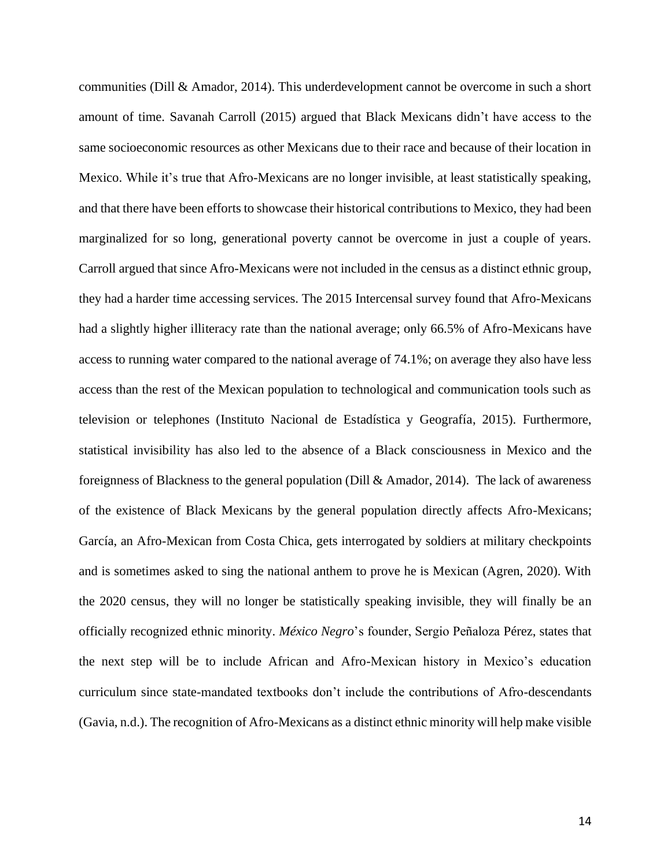communities (Dill & Amador, 2014). This underdevelopment cannot be overcome in such a short amount of time. Savanah Carroll (2015) argued that Black Mexicans didn't have access to the same socioeconomic resources as other Mexicans due to their race and because of their location in Mexico. While it's true that Afro-Mexicans are no longer invisible, at least statistically speaking, and that there have been efforts to showcase their historical contributions to Mexico, they had been marginalized for so long, generational poverty cannot be overcome in just a couple of years. Carroll argued that since Afro-Mexicans were not included in the census as a distinct ethnic group, they had a harder time accessing services. The 2015 Intercensal survey found that Afro-Mexicans had a slightly higher illiteracy rate than the national average; only 66.5% of Afro-Mexicans have access to running water compared to the national average of 74.1%; on average they also have less access than the rest of the Mexican population to technological and communication tools such as television or telephones (Instituto Nacional de Estadística y Geografía, 2015). Furthermore, statistical invisibility has also led to the absence of a Black consciousness in Mexico and the foreignness of Blackness to the general population (Dill & Amador, 2014). The lack of awareness of the existence of Black Mexicans by the general population directly affects Afro-Mexicans; García, an Afro-Mexican from Costa Chica, gets interrogated by soldiers at military checkpoints and is sometimes asked to sing the national anthem to prove he is Mexican (Agren, 2020). With the 2020 census, they will no longer be statistically speaking invisible, they will finally be an officially recognized ethnic minority. *México Negro*'s founder, Sergio Peñaloza Pérez, states that the next step will be to include African and Afro-Mexican history in Mexico's education curriculum since state-mandated textbooks don't include the contributions of Afro-descendants (Gavia, n.d.). The recognition of Afro-Mexicans as a distinct ethnic minority will help make visible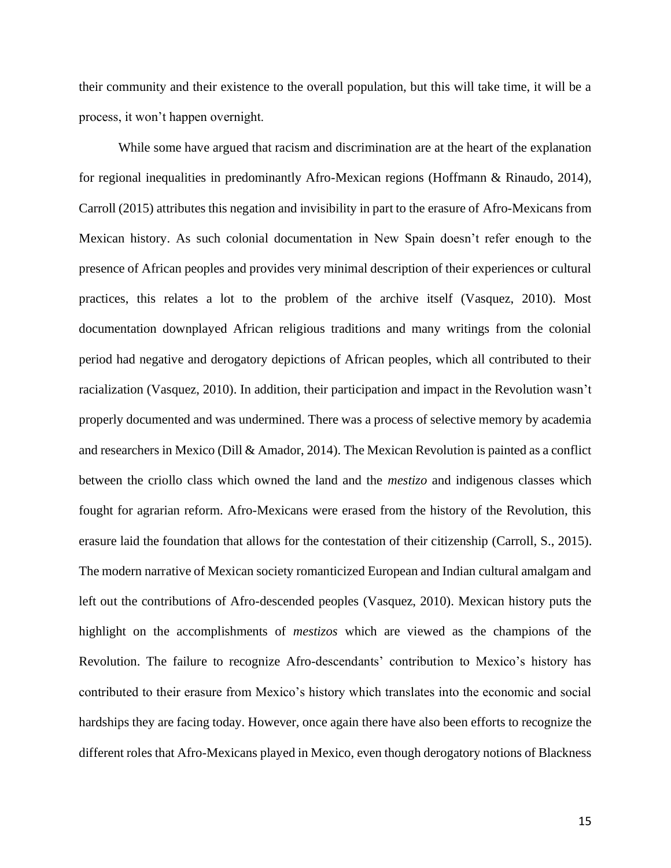their community and their existence to the overall population, but this will take time, it will be a process, it won't happen overnight.

While some have argued that racism and discrimination are at the heart of the explanation for regional inequalities in predominantly Afro-Mexican regions (Hoffmann & Rinaudo, 2014), Carroll (2015) attributes this negation and invisibility in part to the erasure of Afro-Mexicans from Mexican history. As such colonial documentation in New Spain doesn't refer enough to the presence of African peoples and provides very minimal description of their experiences or cultural practices, this relates a lot to the problem of the archive itself (Vasquez, 2010). Most documentation downplayed African religious traditions and many writings from the colonial period had negative and derogatory depictions of African peoples, which all contributed to their racialization (Vasquez, 2010). In addition, their participation and impact in the Revolution wasn't properly documented and was undermined. There was a process of selective memory by academia and researchers in Mexico (Dill & Amador, 2014). The Mexican Revolution is painted as a conflict between the criollo class which owned the land and the *mestizo* and indigenous classes which fought for agrarian reform. Afro-Mexicans were erased from the history of the Revolution, this erasure laid the foundation that allows for the contestation of their citizenship (Carroll, S., 2015). The modern narrative of Mexican society romanticized European and Indian cultural amalgam and left out the contributions of Afro-descended peoples (Vasquez, 2010). Mexican history puts the highlight on the accomplishments of *mestizos* which are viewed as the champions of the Revolution. The failure to recognize Afro-descendants' contribution to Mexico's history has contributed to their erasure from Mexico's history which translates into the economic and social hardships they are facing today. However, once again there have also been efforts to recognize the different roles that Afro-Mexicans played in Mexico, even though derogatory notions of Blackness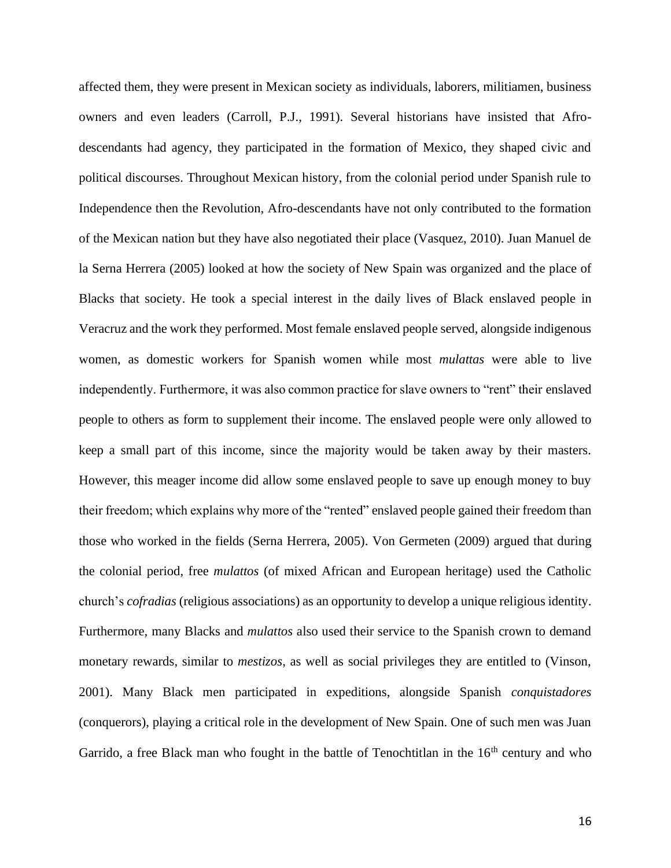affected them, they were present in Mexican society as individuals, laborers, militiamen, business owners and even leaders (Carroll, P.J., 1991). Several historians have insisted that Afrodescendants had agency, they participated in the formation of Mexico, they shaped civic and political discourses. Throughout Mexican history, from the colonial period under Spanish rule to Independence then the Revolution, Afro-descendants have not only contributed to the formation of the Mexican nation but they have also negotiated their place (Vasquez, 2010). Juan Manuel de la Serna Herrera (2005) looked at how the society of New Spain was organized and the place of Blacks that society. He took a special interest in the daily lives of Black enslaved people in Veracruz and the work they performed. Most female enslaved people served, alongside indigenous women, as domestic workers for Spanish women while most *mulattas* were able to live independently. Furthermore, it was also common practice for slave owners to "rent" their enslaved people to others as form to supplement their income. The enslaved people were only allowed to keep a small part of this income, since the majority would be taken away by their masters. However, this meager income did allow some enslaved people to save up enough money to buy their freedom; which explains why more of the "rented" enslaved people gained their freedom than those who worked in the fields (Serna Herrera, 2005). Von Germeten (2009) argued that during the colonial period, free *mulattos* (of mixed African and European heritage) used the Catholic church's *cofradias* (religious associations) as an opportunity to develop a unique religious identity. Furthermore, many Blacks and *mulattos* also used their service to the Spanish crown to demand monetary rewards, similar to *mestizos*, as well as social privileges they are entitled to (Vinson, 2001). Many Black men participated in expeditions, alongside Spanish *conquistadores*  (conquerors), playing a critical role in the development of New Spain. One of such men was Juan Garrido, a free Black man who fought in the battle of Tenochtitlan in the  $16<sup>th</sup>$  century and who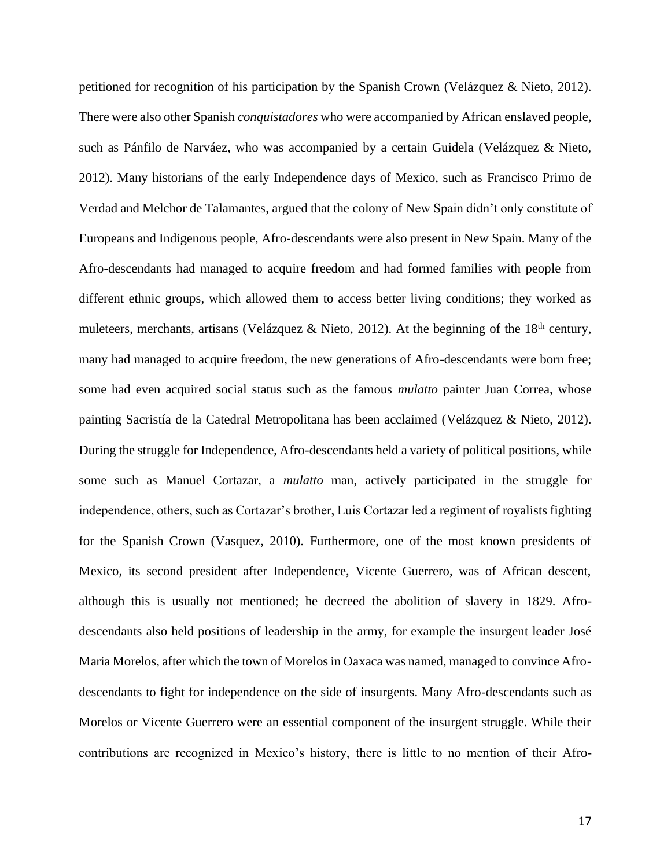petitioned for recognition of his participation by the Spanish Crown (Velázquez & Nieto, 2012). There were also other Spanish *conquistadores* who were accompanied by African enslaved people, such as Pánfilo de Narváez, who was accompanied by a certain Guidela (Velázquez & Nieto, 2012). Many historians of the early Independence days of Mexico, such as Francisco Primo de Verdad and Melchor de Talamantes, argued that the colony of New Spain didn't only constitute of Europeans and Indigenous people, Afro-descendants were also present in New Spain. Many of the Afro-descendants had managed to acquire freedom and had formed families with people from different ethnic groups, which allowed them to access better living conditions; they worked as muleteers, merchants, artisans (Velázquez & Nieto, 2012). At the beginning of the  $18<sup>th</sup>$  century, many had managed to acquire freedom, the new generations of Afro-descendants were born free; some had even acquired social status such as the famous *mulatto* painter Juan Correa, whose painting Sacristía de la Catedral Metropolitana has been acclaimed (Velázquez & Nieto, 2012). During the struggle for Independence, Afro-descendants held a variety of political positions, while some such as Manuel Cortazar, a *mulatto* man, actively participated in the struggle for independence, others, such as Cortazar's brother, Luis Cortazar led a regiment of royalists fighting for the Spanish Crown (Vasquez, 2010). Furthermore, one of the most known presidents of Mexico, its second president after Independence, Vicente Guerrero, was of African descent, although this is usually not mentioned; he decreed the abolition of slavery in 1829. Afrodescendants also held positions of leadership in the army, for example the insurgent leader José Maria Morelos, after which the town of Morelos in Oaxaca was named, managed to convince Afrodescendants to fight for independence on the side of insurgents. Many Afro-descendants such as Morelos or Vicente Guerrero were an essential component of the insurgent struggle. While their contributions are recognized in Mexico's history, there is little to no mention of their Afro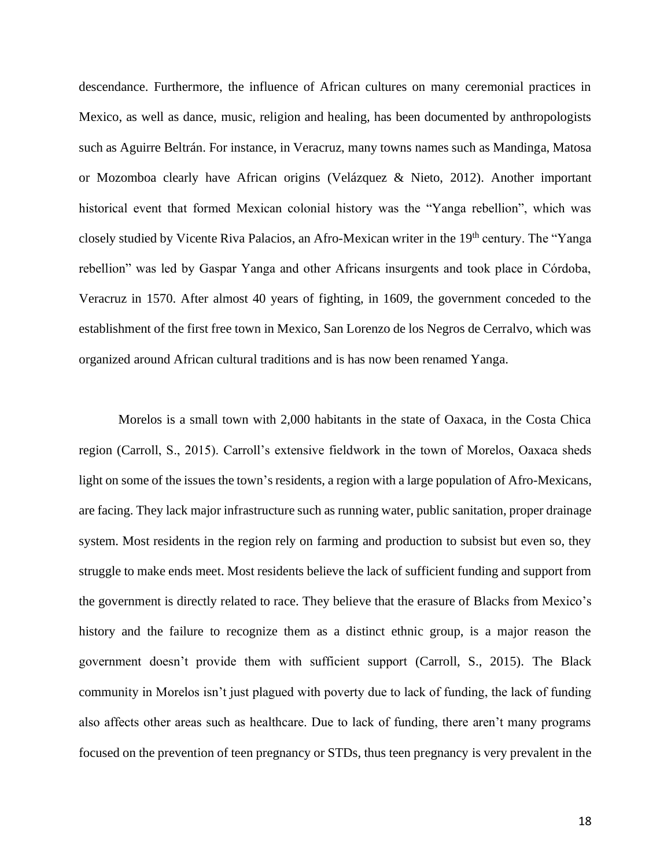descendance. Furthermore, the influence of African cultures on many ceremonial practices in Mexico, as well as dance, music, religion and healing, has been documented by anthropologists such as Aguirre Beltrán. For instance, in Veracruz, many towns names such as Mandinga, Matosa or Mozomboa clearly have African origins (Velázquez & Nieto, 2012). Another important historical event that formed Mexican colonial history was the "Yanga rebellion", which was closely studied by Vicente Riva Palacios, an Afro-Mexican writer in the 19<sup>th</sup> century. The "Yanga rebellion" was led by Gaspar Yanga and other Africans insurgents and took place in Córdoba, Veracruz in 1570. After almost 40 years of fighting, in 1609, the government conceded to the establishment of the first free town in Mexico, San Lorenzo de los Negros de Cerralvo, which was organized around African cultural traditions and is has now been renamed Yanga.

Morelos is a small town with 2,000 habitants in the state of Oaxaca, in the Costa Chica region (Carroll, S., 2015). Carroll's extensive fieldwork in the town of Morelos, Oaxaca sheds light on some of the issues the town's residents, a region with a large population of Afro-Mexicans, are facing. They lack major infrastructure such as running water, public sanitation, proper drainage system. Most residents in the region rely on farming and production to subsist but even so, they struggle to make ends meet. Most residents believe the lack of sufficient funding and support from the government is directly related to race. They believe that the erasure of Blacks from Mexico's history and the failure to recognize them as a distinct ethnic group, is a major reason the government doesn't provide them with sufficient support (Carroll, S., 2015). The Black community in Morelos isn't just plagued with poverty due to lack of funding, the lack of funding also affects other areas such as healthcare. Due to lack of funding, there aren't many programs focused on the prevention of teen pregnancy or STDs, thus teen pregnancy is very prevalent in the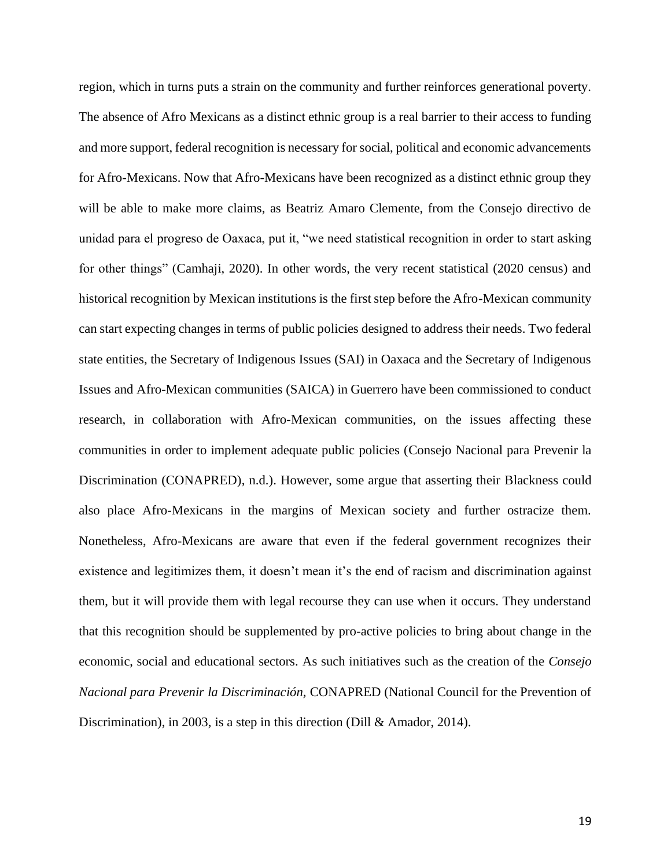region, which in turns puts a strain on the community and further reinforces generational poverty. The absence of Afro Mexicans as a distinct ethnic group is a real barrier to their access to funding and more support, federal recognition is necessary for social, political and economic advancements for Afro-Mexicans. Now that Afro-Mexicans have been recognized as a distinct ethnic group they will be able to make more claims, as Beatriz Amaro Clemente, from the Consejo directivo de unidad para el progreso de Oaxaca, put it, "we need statistical recognition in order to start asking for other things" (Camhaji, 2020). In other words, the very recent statistical (2020 census) and historical recognition by Mexican institutions is the first step before the Afro-Mexican community can start expecting changes in terms of public policies designed to address their needs. Two federal state entities, the Secretary of Indigenous Issues (SAI) in Oaxaca and the Secretary of Indigenous Issues and Afro-Mexican communities (SAICA) in Guerrero have been commissioned to conduct research, in collaboration with Afro-Mexican communities, on the issues affecting these communities in order to implement adequate public policies (Consejo Nacional para Prevenir la Discrimination (CONAPRED), n.d.). However, some argue that asserting their Blackness could also place Afro-Mexicans in the margins of Mexican society and further ostracize them. Nonetheless, Afro-Mexicans are aware that even if the federal government recognizes their existence and legitimizes them, it doesn't mean it's the end of racism and discrimination against them, but it will provide them with legal recourse they can use when it occurs. They understand that this recognition should be supplemented by pro-active policies to bring about change in the economic, social and educational sectors. As such initiatives such as the creation of the *Consejo Nacional para Prevenir la Discriminación,* CONAPRED (National Council for the Prevention of Discrimination), in 2003, is a step in this direction (Dill & Amador, 2014).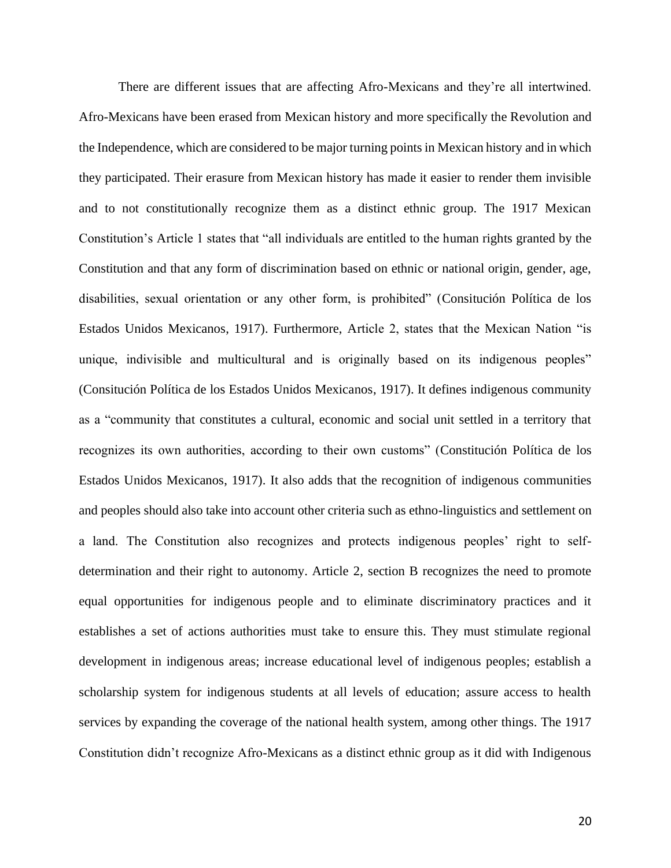There are different issues that are affecting Afro-Mexicans and they're all intertwined. Afro-Mexicans have been erased from Mexican history and more specifically the Revolution and the Independence, which are considered to be major turning pointsin Mexican history and in which they participated. Their erasure from Mexican history has made it easier to render them invisible and to not constitutionally recognize them as a distinct ethnic group. The 1917 Mexican Constitution's Article 1 states that "all individuals are entitled to the human rights granted by the Constitution and that any form of discrimination based on ethnic or national origin, gender, age, disabilities, sexual orientation or any other form, is prohibited" (Consitución Política de los Estados Unidos Mexicanos, 1917). Furthermore, Article 2, states that the Mexican Nation "is unique, indivisible and multicultural and is originally based on its indigenous peoples" (Consitución Política de los Estados Unidos Mexicanos, 1917). It defines indigenous community as a "community that constitutes a cultural, economic and social unit settled in a territory that recognizes its own authorities, according to their own customs" (Constitución Política de los Estados Unidos Mexicanos, 1917). It also adds that the recognition of indigenous communities and peoples should also take into account other criteria such as ethno-linguistics and settlement on a land. The Constitution also recognizes and protects indigenous peoples' right to selfdetermination and their right to autonomy. Article 2, section B recognizes the need to promote equal opportunities for indigenous people and to eliminate discriminatory practices and it establishes a set of actions authorities must take to ensure this. They must stimulate regional development in indigenous areas; increase educational level of indigenous peoples; establish a scholarship system for indigenous students at all levels of education; assure access to health services by expanding the coverage of the national health system, among other things. The 1917 Constitution didn't recognize Afro-Mexicans as a distinct ethnic group as it did with Indigenous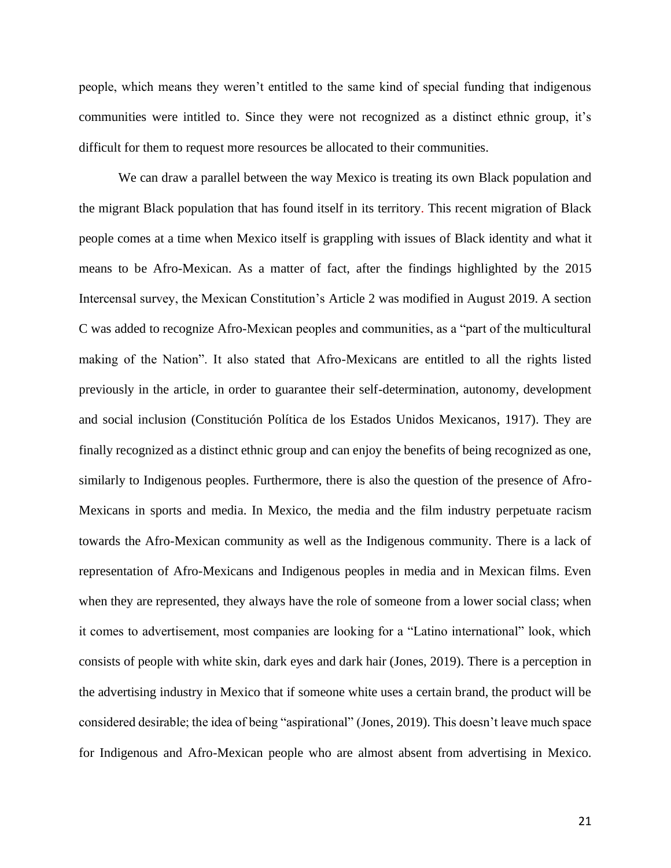people, which means they weren't entitled to the same kind of special funding that indigenous communities were intitled to. Since they were not recognized as a distinct ethnic group, it's difficult for them to request more resources be allocated to their communities.

We can draw a parallel between the way Mexico is treating its own Black population and the migrant Black population that has found itself in its territory. This recent migration of Black people comes at a time when Mexico itself is grappling with issues of Black identity and what it means to be Afro-Mexican. As a matter of fact, after the findings highlighted by the 2015 Intercensal survey, the Mexican Constitution's Article 2 was modified in August 2019. A section C was added to recognize Afro-Mexican peoples and communities, as a "part of the multicultural making of the Nation". It also stated that Afro-Mexicans are entitled to all the rights listed previously in the article, in order to guarantee their self-determination, autonomy, development and social inclusion (Constitución Política de los Estados Unidos Mexicanos, 1917). They are finally recognized as a distinct ethnic group and can enjoy the benefits of being recognized as one, similarly to Indigenous peoples. Furthermore, there is also the question of the presence of Afro-Mexicans in sports and media. In Mexico, the media and the film industry perpetuate racism towards the Afro-Mexican community as well as the Indigenous community. There is a lack of representation of Afro-Mexicans and Indigenous peoples in media and in Mexican films. Even when they are represented, they always have the role of someone from a lower social class; when it comes to advertisement, most companies are looking for a "Latino international" look, which consists of people with white skin, dark eyes and dark hair (Jones, 2019). There is a perception in the advertising industry in Mexico that if someone white uses a certain brand, the product will be considered desirable; the idea of being "aspirational" (Jones, 2019). This doesn't leave much space for Indigenous and Afro-Mexican people who are almost absent from advertising in Mexico.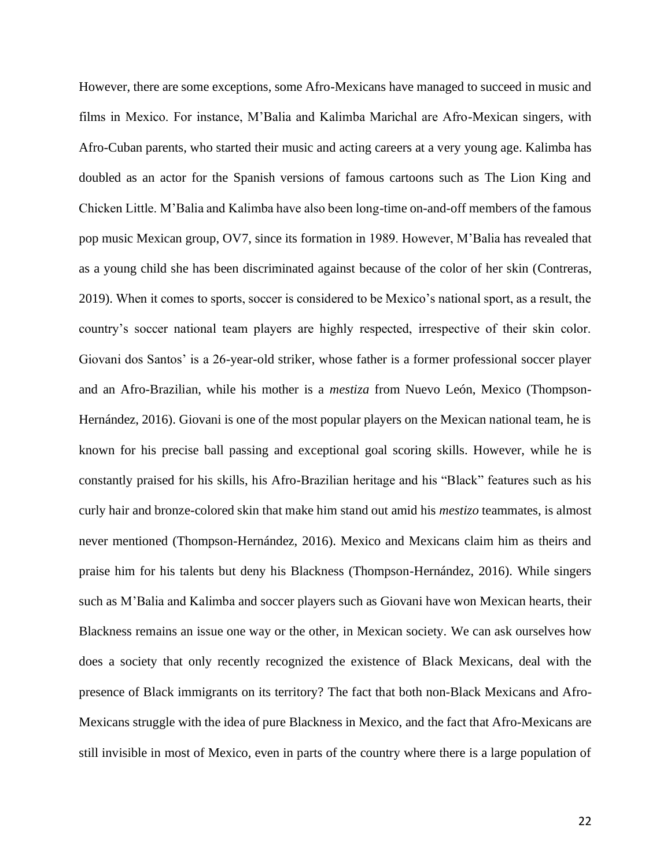However, there are some exceptions, some Afro-Mexicans have managed to succeed in music and films in Mexico. For instance, M'Balia and Kalimba Marichal are Afro-Mexican singers, with Afro-Cuban parents, who started their music and acting careers at a very young age. Kalimba has doubled as an actor for the Spanish versions of famous cartoons such as The Lion King and Chicken Little. M'Balia and Kalimba have also been long-time on-and-off members of the famous pop music Mexican group, OV7, since its formation in 1989. However, M'Balia has revealed that as a young child she has been discriminated against because of the color of her skin (Contreras, 2019). When it comes to sports, soccer is considered to be Mexico's national sport, as a result, the country's soccer national team players are highly respected, irrespective of their skin color. Giovani dos Santos' is a 26-year-old striker, whose father is a former professional soccer player and an Afro-Brazilian, while his mother is a *mestiza* from Nuevo León, Mexico (Thompson-Hernández, 2016). Giovani is one of the most popular players on the Mexican national team, he is known for his precise ball passing and exceptional goal scoring skills. However, while he is constantly praised for his skills, his Afro-Brazilian heritage and his "Black" features such as his curly hair and bronze-colored skin that make him stand out amid his *mestizo* teammates, is almost never mentioned (Thompson-Hernández, 2016). Mexico and Mexicans claim him as theirs and praise him for his talents but deny his Blackness (Thompson-Hernández, 2016). While singers such as M'Balia and Kalimba and soccer players such as Giovani have won Mexican hearts, their Blackness remains an issue one way or the other, in Mexican society. We can ask ourselves how does a society that only recently recognized the existence of Black Mexicans, deal with the presence of Black immigrants on its territory? The fact that both non-Black Mexicans and Afro-Mexicans struggle with the idea of pure Blackness in Mexico, and the fact that Afro-Mexicans are still invisible in most of Mexico, even in parts of the country where there is a large population of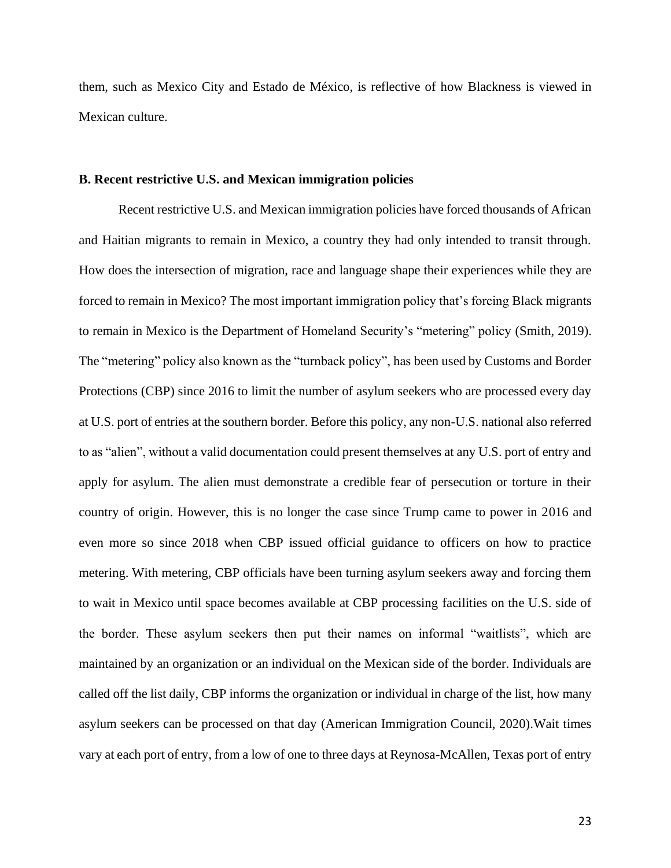them, such as Mexico City and Estado de México, is reflective of how Blackness is viewed in Mexican culture.

### **B. Recent restrictive U.S. and Mexican immigration policies**

Recent restrictive U.S. and Mexican immigration policies have forced thousands of African and Haitian migrants to remain in Mexico, a country they had only intended to transit through. How does the intersection of migration, race and language shape their experiences while they are forced to remain in Mexico? The most important immigration policy that's forcing Black migrants to remain in Mexico is the Department of Homeland Security's "metering" policy (Smith, 2019). The "metering" policy also known as the "turnback policy", has been used by Customs and Border Protections (CBP) since 2016 to limit the number of asylum seekers who are processed every day at U.S. port of entries at the southern border. Before this policy, any non-U.S. national also referred to as "alien", without a valid documentation could present themselves at any U.S. port of entry and apply for asylum. The alien must demonstrate a credible fear of persecution or torture in their country of origin. However, this is no longer the case since Trump came to power in 2016 and even more so since 2018 when CBP issued official guidance to officers on how to practice metering. With metering, CBP officials have been turning asylum seekers away and forcing them to wait in Mexico until space becomes available at CBP processing facilities on the U.S. side of the border. These asylum seekers then put their names on informal "waitlists", which are maintained by an organization or an individual on the Mexican side of the border. Individuals are called off the list daily, CBP informs the organization or individual in charge of the list, how many asylum seekers can be processed on that day (American Immigration Council, 2020).Wait times vary at each port of entry, from a low of one to three days at Reynosa-McAllen, Texas port of entry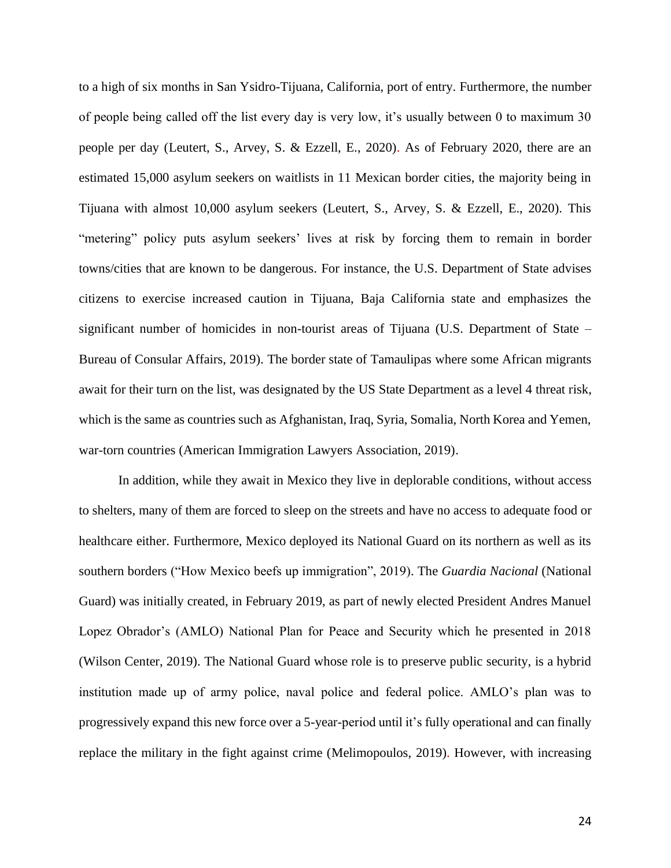to a high of six months in San Ysidro-Tijuana, California, port of entry. Furthermore, the number of people being called off the list every day is very low, it's usually between 0 to maximum 30 people per day (Leutert, S., Arvey, S. & Ezzell, E., 2020). As of February 2020, there are an estimated 15,000 asylum seekers on waitlists in 11 Mexican border cities, the majority being in Tijuana with almost 10,000 asylum seekers (Leutert, S., Arvey, S. & Ezzell, E., 2020). This "metering" policy puts asylum seekers' lives at risk by forcing them to remain in border towns/cities that are known to be dangerous. For instance, the U.S. Department of State advises citizens to exercise increased caution in Tijuana, Baja California state and emphasizes the significant number of homicides in non-tourist areas of Tijuana (U.S. Department of State – Bureau of Consular Affairs, 2019). The border state of Tamaulipas where some African migrants await for their turn on the list, was designated by the US State Department as a level 4 threat risk, which is the same as countries such as Afghanistan, Iraq, Syria, Somalia, North Korea and Yemen, war-torn countries (American Immigration Lawyers Association, 2019).

In addition, while they await in Mexico they live in deplorable conditions, without access to shelters, many of them are forced to sleep on the streets and have no access to adequate food or healthcare either. Furthermore, Mexico deployed its National Guard on its northern as well as its southern borders ("How Mexico beefs up immigration", 2019). The *Guardia Nacional* (National Guard) was initially created, in February 2019, as part of newly elected President Andres Manuel Lopez Obrador's (AMLO) National Plan for Peace and Security which he presented in 2018 (Wilson Center, 2019). The National Guard whose role is to preserve public security, is a hybrid institution made up of army police, naval police and federal police. AMLO's plan was to progressively expand this new force over a 5-year-period until it's fully operational and can finally replace the military in the fight against crime (Melimopoulos, 2019). However, with increasing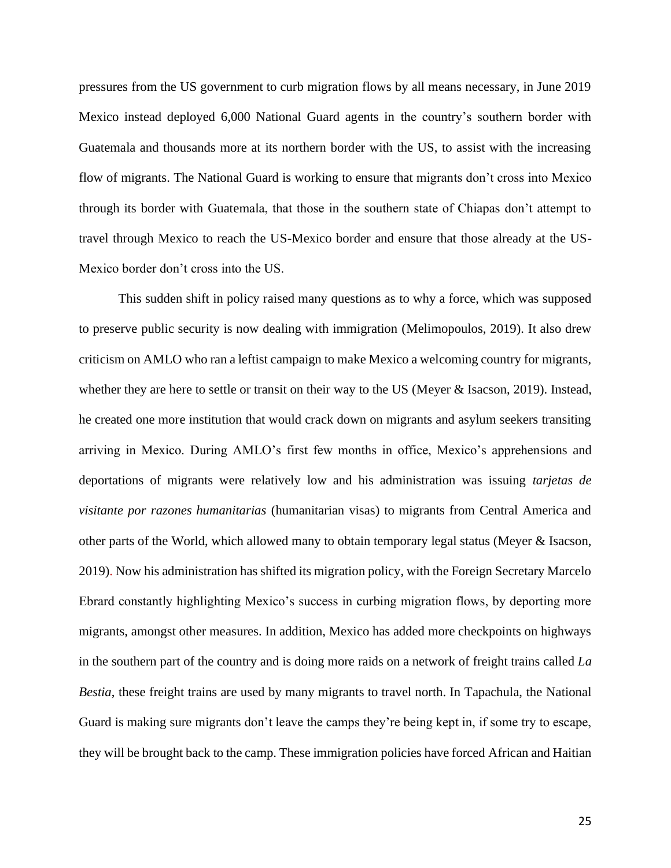pressures from the US government to curb migration flows by all means necessary, in June 2019 Mexico instead deployed 6,000 National Guard agents in the country's southern border with Guatemala and thousands more at its northern border with the US, to assist with the increasing flow of migrants. The National Guard is working to ensure that migrants don't cross into Mexico through its border with Guatemala, that those in the southern state of Chiapas don't attempt to travel through Mexico to reach the US-Mexico border and ensure that those already at the US-Mexico border don't cross into the US.

This sudden shift in policy raised many questions as to why a force, which was supposed to preserve public security is now dealing with immigration (Melimopoulos, 2019). It also drew criticism on AMLO who ran a leftist campaign to make Mexico a welcoming country for migrants, whether they are here to settle or transit on their way to the US (Meyer & Isacson, 2019). Instead, he created one more institution that would crack down on migrants and asylum seekers transiting arriving in Mexico. During AMLO's first few months in office, Mexico's apprehensions and deportations of migrants were relatively low and his administration was issuing *tarjetas de visitante por razones humanitarias* (humanitarian visas) to migrants from Central America and other parts of the World, which allowed many to obtain temporary legal status (Meyer & Isacson, 2019). Now his administration has shifted its migration policy, with the Foreign Secretary Marcelo Ebrard constantly highlighting Mexico's success in curbing migration flows, by deporting more migrants, amongst other measures. In addition, Mexico has added more checkpoints on highways in the southern part of the country and is doing more raids on a network of freight trains called *La Bestia*, these freight trains are used by many migrants to travel north. In Tapachula, the National Guard is making sure migrants don't leave the camps they're being kept in, if some try to escape, they will be brought back to the camp. These immigration policies have forced African and Haitian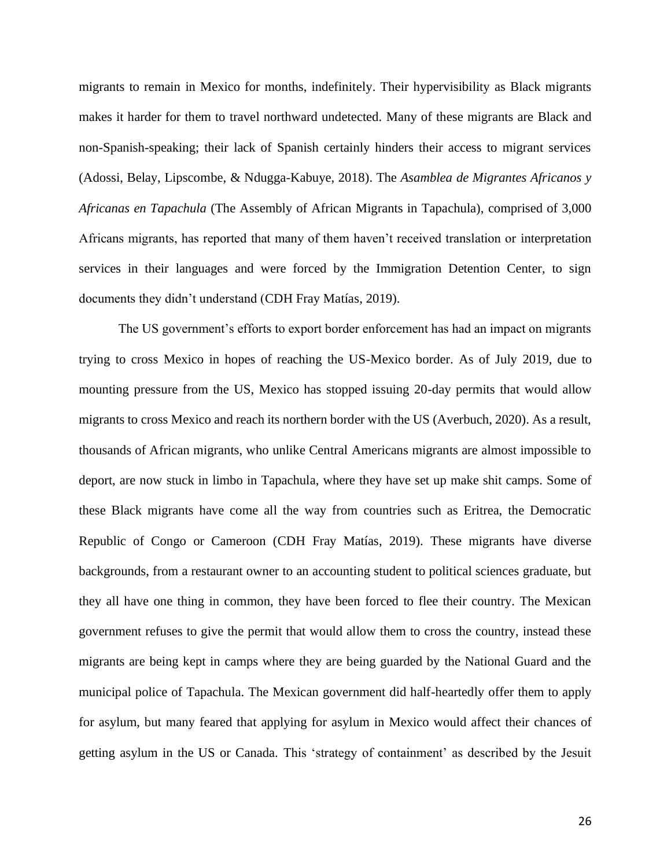migrants to remain in Mexico for months, indefinitely. Their hypervisibility as Black migrants makes it harder for them to travel northward undetected. Many of these migrants are Black and non-Spanish-speaking; their lack of Spanish certainly hinders their access to migrant services (Adossi, Belay, Lipscombe, & Ndugga-Kabuye, 2018). The *Asamblea de Migrantes Africanos y Africanas en Tapachula* (The Assembly of African Migrants in Tapachula), comprised of 3,000 Africans migrants, has reported that many of them haven't received translation or interpretation services in their languages and were forced by the Immigration Detention Center, to sign documents they didn't understand (CDH Fray Matías, 2019).

The US government's efforts to export border enforcement has had an impact on migrants trying to cross Mexico in hopes of reaching the US-Mexico border. As of July 2019, due to mounting pressure from the US, Mexico has stopped issuing 20-day permits that would allow migrants to cross Mexico and reach its northern border with the US (Averbuch, 2020). As a result, thousands of African migrants, who unlike Central Americans migrants are almost impossible to deport, are now stuck in limbo in Tapachula, where they have set up make shit camps. Some of these Black migrants have come all the way from countries such as Eritrea, the Democratic Republic of Congo or Cameroon (CDH Fray Matías, 2019). These migrants have diverse backgrounds, from a restaurant owner to an accounting student to political sciences graduate, but they all have one thing in common, they have been forced to flee their country. The Mexican government refuses to give the permit that would allow them to cross the country, instead these migrants are being kept in camps where they are being guarded by the National Guard and the municipal police of Tapachula. The Mexican government did half-heartedly offer them to apply for asylum, but many feared that applying for asylum in Mexico would affect their chances of getting asylum in the US or Canada. This 'strategy of containment' as described by the Jesuit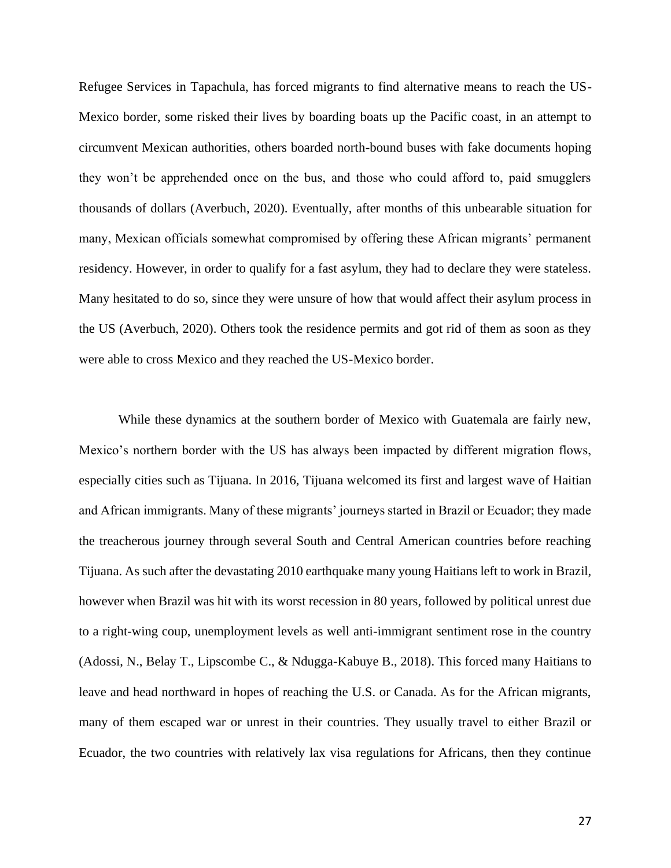Refugee Services in Tapachula, has forced migrants to find alternative means to reach the US-Mexico border, some risked their lives by boarding boats up the Pacific coast, in an attempt to circumvent Mexican authorities, others boarded north-bound buses with fake documents hoping they won't be apprehended once on the bus, and those who could afford to, paid smugglers thousands of dollars (Averbuch, 2020). Eventually, after months of this unbearable situation for many, Mexican officials somewhat compromised by offering these African migrants' permanent residency. However, in order to qualify for a fast asylum, they had to declare they were stateless. Many hesitated to do so, since they were unsure of how that would affect their asylum process in the US (Averbuch, 2020). Others took the residence permits and got rid of them as soon as they were able to cross Mexico and they reached the US-Mexico border.

While these dynamics at the southern border of Mexico with Guatemala are fairly new, Mexico's northern border with the US has always been impacted by different migration flows, especially cities such as Tijuana. In 2016, Tijuana welcomed its first and largest wave of Haitian and African immigrants. Many of these migrants' journeys started in Brazil or Ecuador; they made the treacherous journey through several South and Central American countries before reaching Tijuana. As such after the devastating 2010 earthquake many young Haitians left to work in Brazil, however when Brazil was hit with its worst recession in 80 years, followed by political unrest due to a right-wing coup, unemployment levels as well anti-immigrant sentiment rose in the country (Adossi, N., Belay T., Lipscombe C., & Ndugga-Kabuye B., 2018). This forced many Haitians to leave and head northward in hopes of reaching the U.S. or Canada. As for the African migrants, many of them escaped war or unrest in their countries. They usually travel to either Brazil or Ecuador, the two countries with relatively lax visa regulations for Africans, then they continue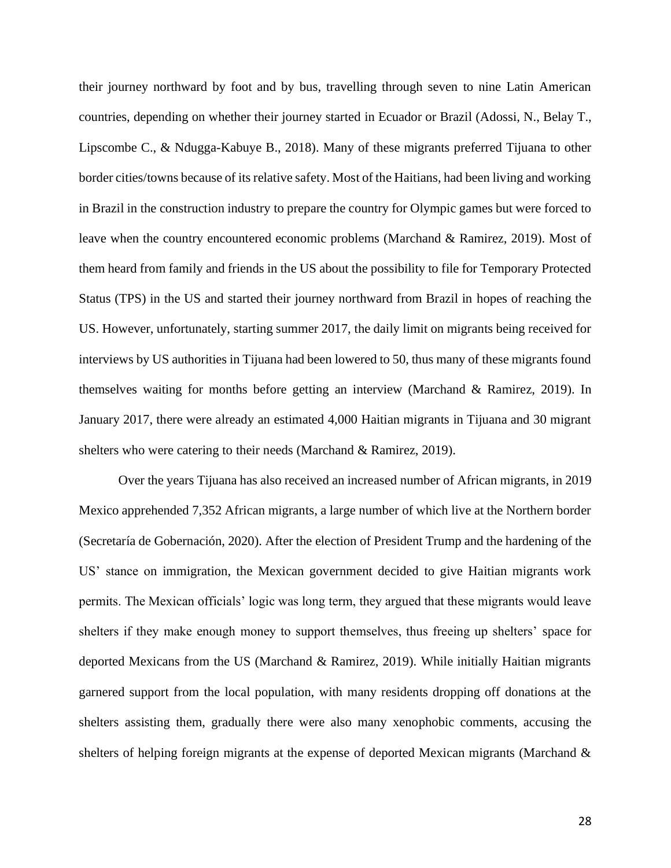their journey northward by foot and by bus, travelling through seven to nine Latin American countries, depending on whether their journey started in Ecuador or Brazil (Adossi, N., Belay T., Lipscombe C., & Ndugga-Kabuye B., 2018). Many of these migrants preferred Tijuana to other border cities/towns because of its relative safety. Most of the Haitians, had been living and working in Brazil in the construction industry to prepare the country for Olympic games but were forced to leave when the country encountered economic problems (Marchand & Ramirez, 2019). Most of them heard from family and friends in the US about the possibility to file for Temporary Protected Status (TPS) in the US and started their journey northward from Brazil in hopes of reaching the US. However, unfortunately, starting summer 2017, the daily limit on migrants being received for interviews by US authorities in Tijuana had been lowered to 50, thus many of these migrants found themselves waiting for months before getting an interview (Marchand & Ramirez, 2019). In January 2017, there were already an estimated 4,000 Haitian migrants in Tijuana and 30 migrant shelters who were catering to their needs (Marchand & Ramirez, 2019).

Over the years Tijuana has also received an increased number of African migrants, in 2019 Mexico apprehended 7,352 African migrants, a large number of which live at the Northern border (Secretaría de Gobernación, 2020). After the election of President Trump and the hardening of the US' stance on immigration, the Mexican government decided to give Haitian migrants work permits. The Mexican officials' logic was long term, they argued that these migrants would leave shelters if they make enough money to support themselves, thus freeing up shelters' space for deported Mexicans from the US (Marchand & Ramirez, 2019). While initially Haitian migrants garnered support from the local population, with many residents dropping off donations at the shelters assisting them, gradually there were also many xenophobic comments, accusing the shelters of helping foreign migrants at the expense of deported Mexican migrants (Marchand &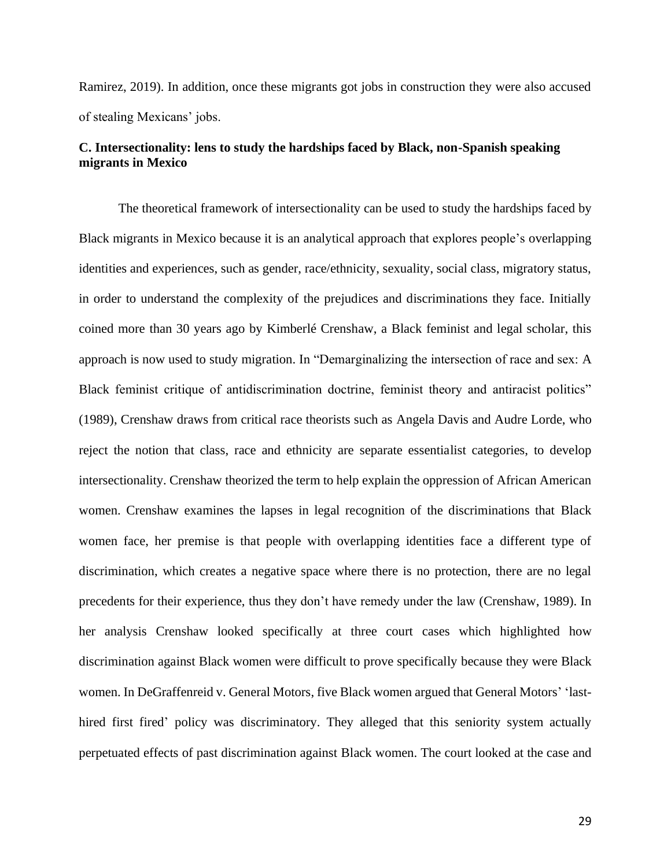Ramirez, 2019). In addition, once these migrants got jobs in construction they were also accused of stealing Mexicans' jobs.

### **C. Intersectionality: lens to study the hardships faced by Black, non-Spanish speaking migrants in Mexico**

The theoretical framework of intersectionality can be used to study the hardships faced by Black migrants in Mexico because it is an analytical approach that explores people's overlapping identities and experiences, such as gender, race/ethnicity, sexuality, social class, migratory status, in order to understand the complexity of the prejudices and discriminations they face. Initially coined more than 30 years ago by Kimberlé Crenshaw, a Black feminist and legal scholar, this approach is now used to study migration. In "Demarginalizing the intersection of race and sex: A Black feminist critique of antidiscrimination doctrine, feminist theory and antiracist politics" (1989), Crenshaw draws from critical race theorists such as Angela Davis and Audre Lorde, who reject the notion that class, race and ethnicity are separate essentialist categories, to develop intersectionality. Crenshaw theorized the term to help explain the oppression of African American women. Crenshaw examines the lapses in legal recognition of the discriminations that Black women face, her premise is that people with overlapping identities face a different type of discrimination, which creates a negative space where there is no protection, there are no legal precedents for their experience, thus they don't have remedy under the law (Crenshaw, 1989). In her analysis Crenshaw looked specifically at three court cases which highlighted how discrimination against Black women were difficult to prove specifically because they were Black women. In DeGraffenreid v. General Motors, five Black women argued that General Motors' 'lasthired first fired' policy was discriminatory. They alleged that this seniority system actually perpetuated effects of past discrimination against Black women. The court looked at the case and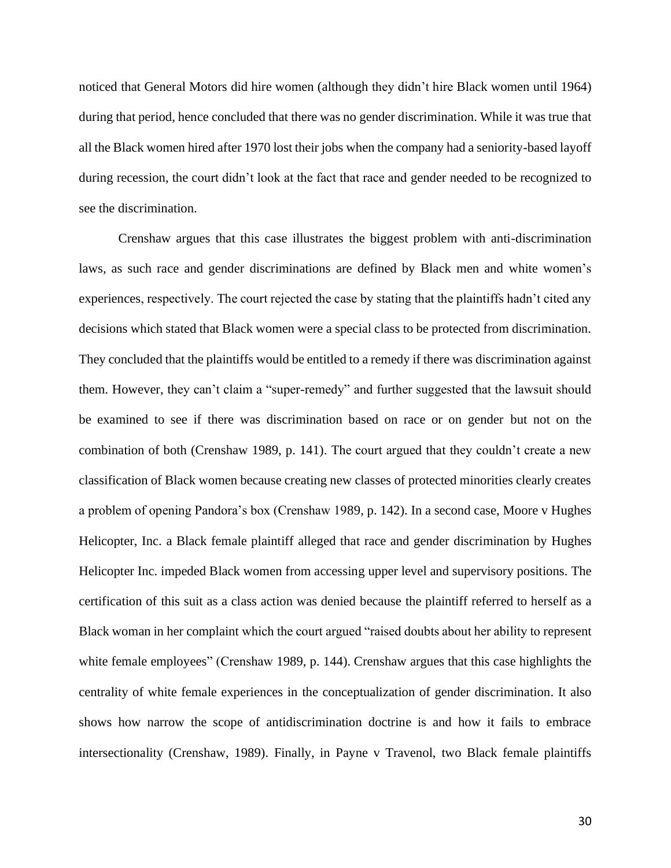noticed that General Motors did hire women (although they didn't hire Black women until 1964) during that period, hence concluded that there was no gender discrimination. While it was true that all the Black women hired after 1970 lost their jobs when the company had a seniority-based layoff during recession, the court didn't look at the fact that race and gender needed to be recognized to see the discrimination.

Crenshaw argues that this case illustrates the biggest problem with anti-discrimination laws, as such race and gender discriminations are defined by Black men and white women's experiences, respectively. The court rejected the case by stating that the plaintiffs hadn't cited any decisions which stated that Black women were a special class to be protected from discrimination. They concluded that the plaintiffs would be entitled to a remedy if there was discrimination against them. However, they can't claim a "super-remedy" and further suggested that the lawsuit should be examined to see if there was discrimination based on race or on gender but not on the combination of both (Crenshaw 1989, p. 141). The court argued that they couldn't create a new classification of Black women because creating new classes of protected minorities clearly creates a problem of opening Pandora's box (Crenshaw 1989, p. 142). In a second case, Moore v Hughes Helicopter, Inc. a Black female plaintiff alleged that race and gender discrimination by Hughes Helicopter Inc. impeded Black women from accessing upper level and supervisory positions. The certification of this suit as a class action was denied because the plaintiff referred to herself as a Black woman in her complaint which the court argued "raised doubts about her ability to represent white female employees" (Crenshaw 1989, p. 144). Crenshaw argues that this case highlights the centrality of white female experiences in the conceptualization of gender discrimination. It also shows how narrow the scope of antidiscrimination doctrine is and how it fails to embrace intersectionality (Crenshaw, 1989). Finally, in Payne v Travenol, two Black female plaintiffs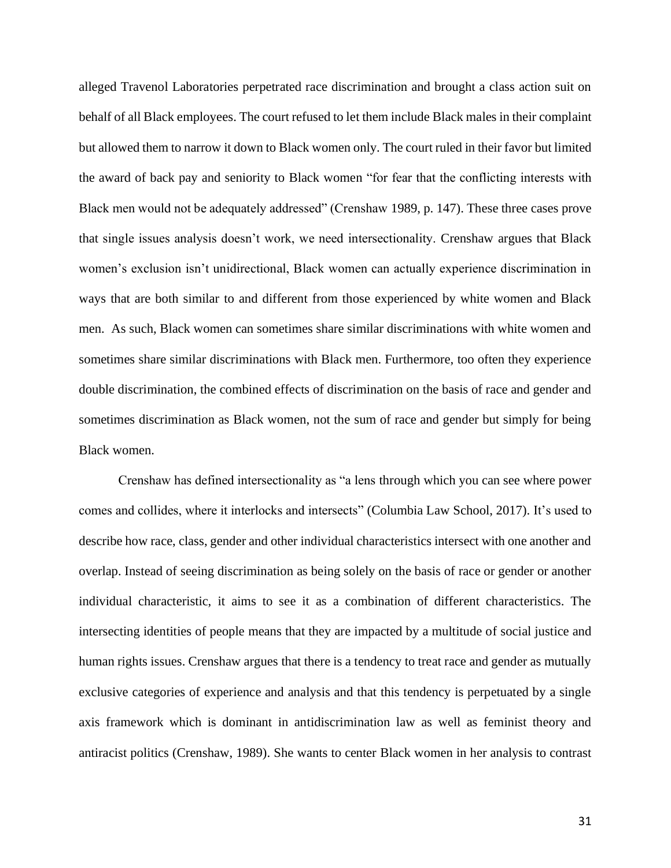alleged Travenol Laboratories perpetrated race discrimination and brought a class action suit on behalf of all Black employees. The court refused to let them include Black males in their complaint but allowed them to narrow it down to Black women only. The court ruled in their favor but limited the award of back pay and seniority to Black women "for fear that the conflicting interests with Black men would not be adequately addressed" (Crenshaw 1989, p. 147). These three cases prove that single issues analysis doesn't work, we need intersectionality. Crenshaw argues that Black women's exclusion isn't unidirectional, Black women can actually experience discrimination in ways that are both similar to and different from those experienced by white women and Black men. As such, Black women can sometimes share similar discriminations with white women and sometimes share similar discriminations with Black men. Furthermore, too often they experience double discrimination, the combined effects of discrimination on the basis of race and gender and sometimes discrimination as Black women, not the sum of race and gender but simply for being Black women.

Crenshaw has defined intersectionality as "a lens through which you can see where power comes and collides, where it interlocks and intersects" (Columbia Law School, 2017). It's used to describe how race, class, gender and other individual characteristics intersect with one another and overlap. Instead of seeing discrimination as being solely on the basis of race or gender or another individual characteristic, it aims to see it as a combination of different characteristics. The intersecting identities of people means that they are impacted by a multitude of social justice and human rights issues. Crenshaw argues that there is a tendency to treat race and gender as mutually exclusive categories of experience and analysis and that this tendency is perpetuated by a single axis framework which is dominant in antidiscrimination law as well as feminist theory and antiracist politics (Crenshaw, 1989). She wants to center Black women in her analysis to contrast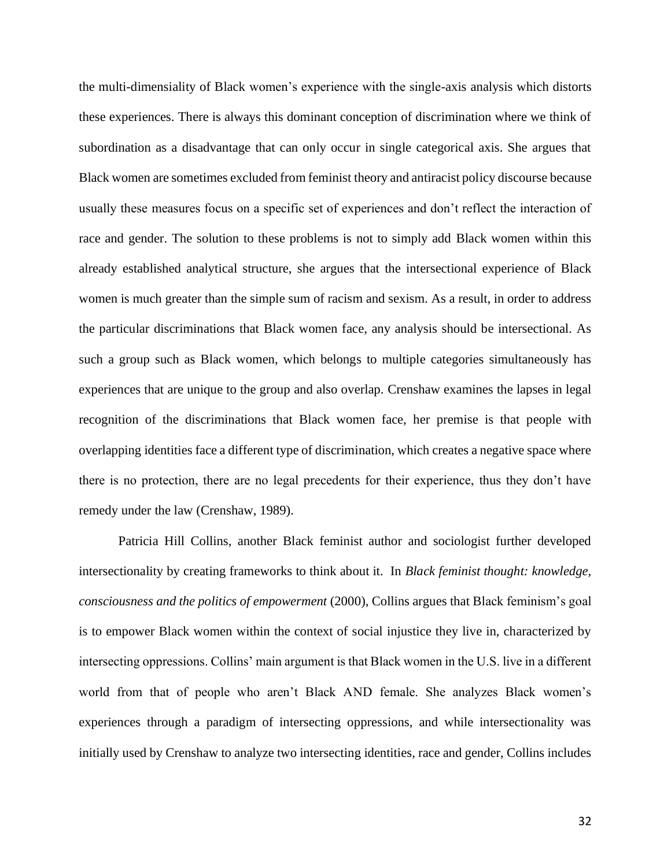the multi-dimensiality of Black women's experience with the single-axis analysis which distorts these experiences. There is always this dominant conception of discrimination where we think of subordination as a disadvantage that can only occur in single categorical axis. She argues that Black women are sometimes excluded from feminist theory and antiracist policy discourse because usually these measures focus on a specific set of experiences and don't reflect the interaction of race and gender. The solution to these problems is not to simply add Black women within this already established analytical structure, she argues that the intersectional experience of Black women is much greater than the simple sum of racism and sexism. As a result, in order to address the particular discriminations that Black women face, any analysis should be intersectional. As such a group such as Black women, which belongs to multiple categories simultaneously has experiences that are unique to the group and also overlap. Crenshaw examines the lapses in legal recognition of the discriminations that Black women face, her premise is that people with overlapping identities face a different type of discrimination, which creates a negative space where there is no protection, there are no legal precedents for their experience, thus they don't have remedy under the law (Crenshaw, 1989).

Patricia Hill Collins, another Black feminist author and sociologist further developed intersectionality by creating frameworks to think about it. In *Black feminist thought: knowledge, consciousness and the politics of empowerment* (2000), Collins argues that Black feminism's goal is to empower Black women within the context of social injustice they live in, characterized by intersecting oppressions. Collins' main argument is that Black women in the U.S. live in a different world from that of people who aren't Black AND female. She analyzes Black women's experiences through a paradigm of intersecting oppressions, and while intersectionality was initially used by Crenshaw to analyze two intersecting identities, race and gender, Collins includes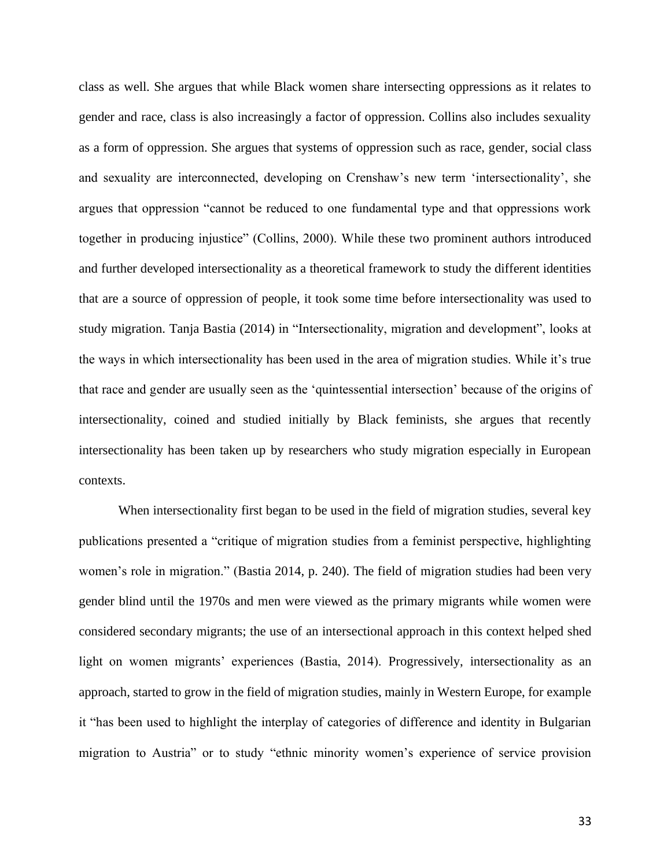class as well. She argues that while Black women share intersecting oppressions as it relates to gender and race, class is also increasingly a factor of oppression. Collins also includes sexuality as a form of oppression. She argues that systems of oppression such as race, gender, social class and sexuality are interconnected, developing on Crenshaw's new term 'intersectionality', she argues that oppression "cannot be reduced to one fundamental type and that oppressions work together in producing injustice" (Collins, 2000). While these two prominent authors introduced and further developed intersectionality as a theoretical framework to study the different identities that are a source of oppression of people, it took some time before intersectionality was used to study migration. Tanja Bastia (2014) in "Intersectionality, migration and development", looks at the ways in which intersectionality has been used in the area of migration studies. While it's true that race and gender are usually seen as the 'quintessential intersection' because of the origins of intersectionality, coined and studied initially by Black feminists, she argues that recently intersectionality has been taken up by researchers who study migration especially in European contexts.

When intersectionality first began to be used in the field of migration studies, several key publications presented a "critique of migration studies from a feminist perspective, highlighting women's role in migration." (Bastia 2014, p. 240). The field of migration studies had been very gender blind until the 1970s and men were viewed as the primary migrants while women were considered secondary migrants; the use of an intersectional approach in this context helped shed light on women migrants' experiences (Bastia, 2014). Progressively, intersectionality as an approach, started to grow in the field of migration studies, mainly in Western Europe, for example it "has been used to highlight the interplay of categories of difference and identity in Bulgarian migration to Austria" or to study "ethnic minority women's experience of service provision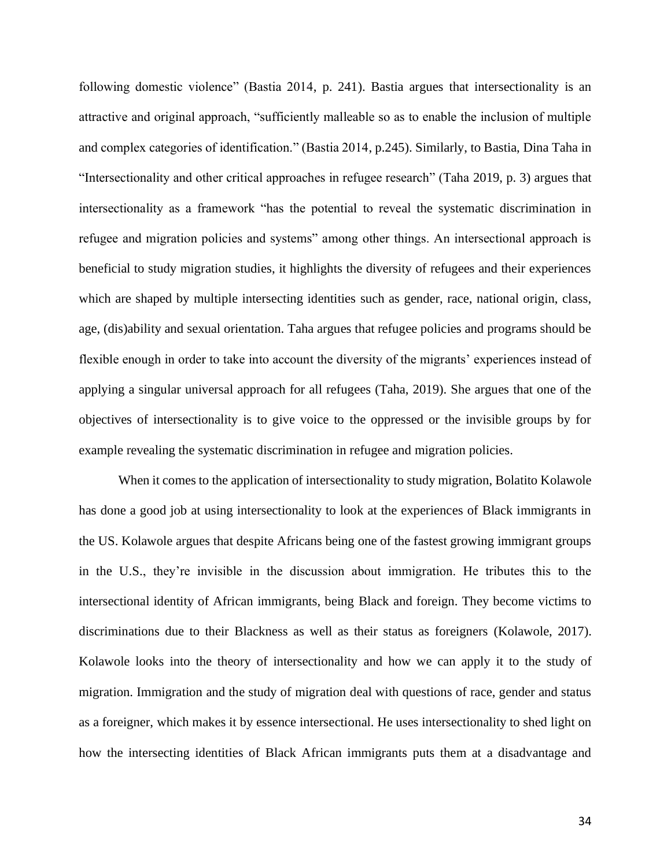following domestic violence" (Bastia 2014, p. 241). Bastia argues that intersectionality is an attractive and original approach, "sufficiently malleable so as to enable the inclusion of multiple and complex categories of identification." (Bastia 2014, p.245). Similarly, to Bastia, Dina Taha in "Intersectionality and other critical approaches in refugee research" (Taha 2019, p. 3) argues that intersectionality as a framework "has the potential to reveal the systematic discrimination in refugee and migration policies and systems" among other things. An intersectional approach is beneficial to study migration studies, it highlights the diversity of refugees and their experiences which are shaped by multiple intersecting identities such as gender, race, national origin, class, age, (dis)ability and sexual orientation. Taha argues that refugee policies and programs should be flexible enough in order to take into account the diversity of the migrants' experiences instead of applying a singular universal approach for all refugees (Taha, 2019). She argues that one of the objectives of intersectionality is to give voice to the oppressed or the invisible groups by for example revealing the systematic discrimination in refugee and migration policies.

When it comes to the application of intersectionality to study migration, Bolatito Kolawole has done a good job at using intersectionality to look at the experiences of Black immigrants in the US. Kolawole argues that despite Africans being one of the fastest growing immigrant groups in the U.S., they're invisible in the discussion about immigration. He tributes this to the intersectional identity of African immigrants, being Black and foreign. They become victims to discriminations due to their Blackness as well as their status as foreigners (Kolawole, 2017). Kolawole looks into the theory of intersectionality and how we can apply it to the study of migration. Immigration and the study of migration deal with questions of race, gender and status as a foreigner, which makes it by essence intersectional. He uses intersectionality to shed light on how the intersecting identities of Black African immigrants puts them at a disadvantage and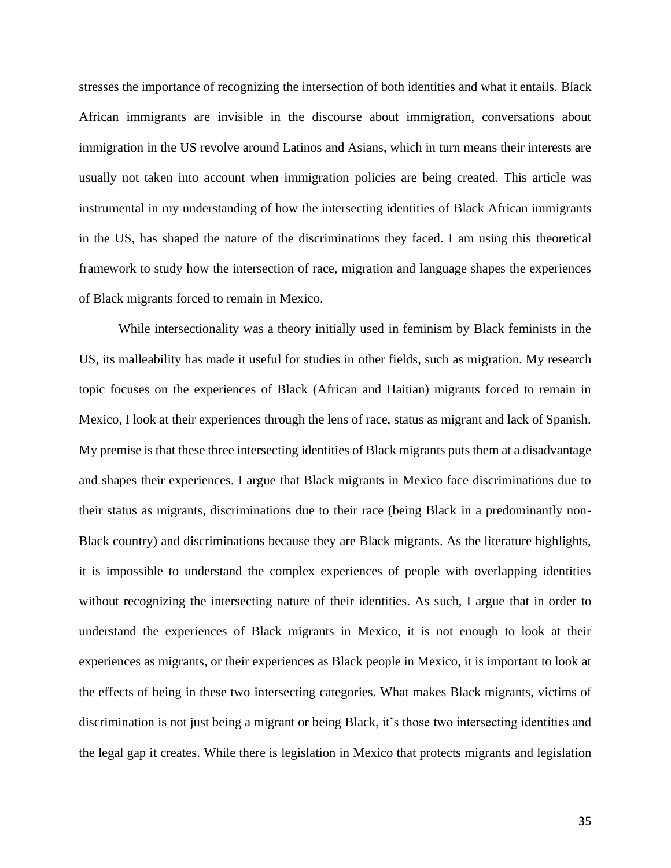stresses the importance of recognizing the intersection of both identities and what it entails. Black African immigrants are invisible in the discourse about immigration, conversations about immigration in the US revolve around Latinos and Asians, which in turn means their interests are usually not taken into account when immigration policies are being created. This article was instrumental in my understanding of how the intersecting identities of Black African immigrants in the US, has shaped the nature of the discriminations they faced. I am using this theoretical framework to study how the intersection of race, migration and language shapes the experiences of Black migrants forced to remain in Mexico.

While intersectionality was a theory initially used in feminism by Black feminists in the US, its malleability has made it useful for studies in other fields, such as migration. My research topic focuses on the experiences of Black (African and Haitian) migrants forced to remain in Mexico, I look at their experiences through the lens of race, status as migrant and lack of Spanish. My premise is that these three intersecting identities of Black migrants puts them at a disadvantage and shapes their experiences. I argue that Black migrants in Mexico face discriminations due to their status as migrants, discriminations due to their race (being Black in a predominantly non-Black country) and discriminations because they are Black migrants. As the literature highlights, it is impossible to understand the complex experiences of people with overlapping identities without recognizing the intersecting nature of their identities. As such, I argue that in order to understand the experiences of Black migrants in Mexico, it is not enough to look at their experiences as migrants, or their experiences as Black people in Mexico, it is important to look at the effects of being in these two intersecting categories. What makes Black migrants, victims of discrimination is not just being a migrant or being Black, it's those two intersecting identities and the legal gap it creates. While there is legislation in Mexico that protects migrants and legislation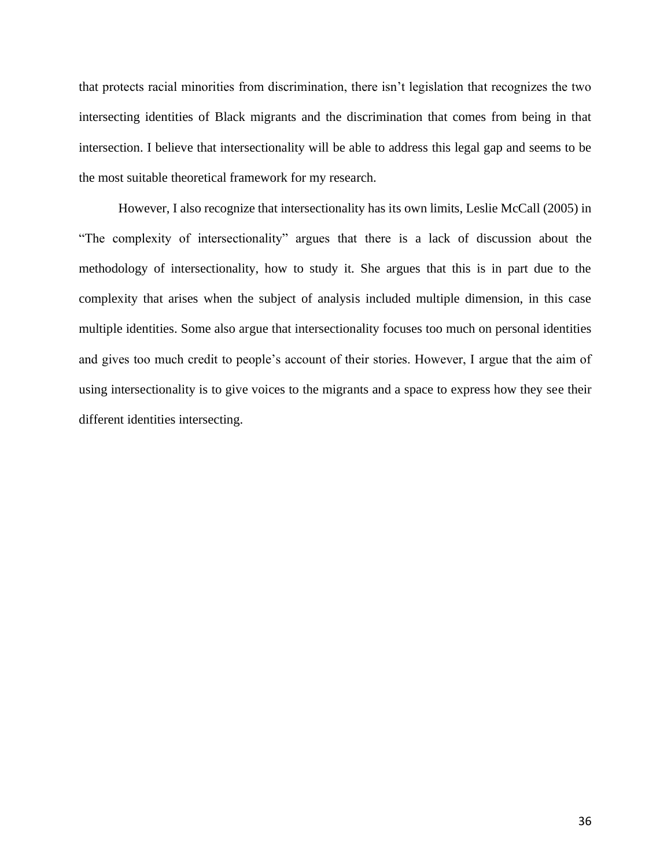that protects racial minorities from discrimination, there isn't legislation that recognizes the two intersecting identities of Black migrants and the discrimination that comes from being in that intersection. I believe that intersectionality will be able to address this legal gap and seems to be the most suitable theoretical framework for my research.

However, I also recognize that intersectionality has its own limits, Leslie McCall (2005) in "The complexity of intersectionality" argues that there is a lack of discussion about the methodology of intersectionality, how to study it. She argues that this is in part due to the complexity that arises when the subject of analysis included multiple dimension, in this case multiple identities. Some also argue that intersectionality focuses too much on personal identities and gives too much credit to people's account of their stories. However, I argue that the aim of using intersectionality is to give voices to the migrants and a space to express how they see their different identities intersecting.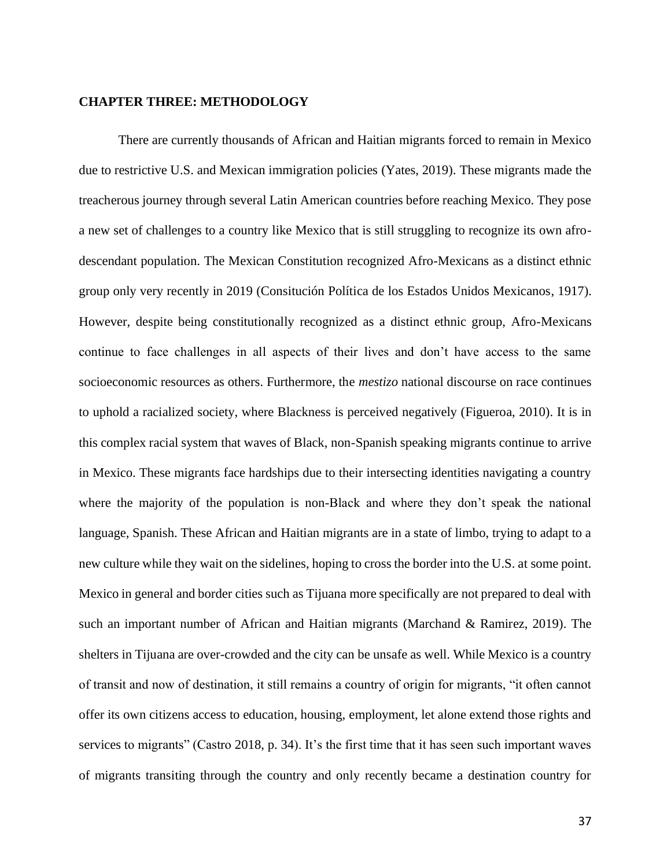#### **CHAPTER THREE: METHODOLOGY**

There are currently thousands of African and Haitian migrants forced to remain in Mexico due to restrictive U.S. and Mexican immigration policies (Yates, 2019). These migrants made the treacherous journey through several Latin American countries before reaching Mexico. They pose a new set of challenges to a country like Mexico that is still struggling to recognize its own afrodescendant population. The Mexican Constitution recognized Afro-Mexicans as a distinct ethnic group only very recently in 2019 (Consitución Política de los Estados Unidos Mexicanos, 1917). However, despite being constitutionally recognized as a distinct ethnic group, Afro-Mexicans continue to face challenges in all aspects of their lives and don't have access to the same socioeconomic resources as others. Furthermore, the *mestizo* national discourse on race continues to uphold a racialized society, where Blackness is perceived negatively (Figueroa, 2010). It is in this complex racial system that waves of Black, non-Spanish speaking migrants continue to arrive in Mexico. These migrants face hardships due to their intersecting identities navigating a country where the majority of the population is non-Black and where they don't speak the national language, Spanish. These African and Haitian migrants are in a state of limbo, trying to adapt to a new culture while they wait on the sidelines, hoping to cross the border into the U.S. at some point. Mexico in general and border cities such as Tijuana more specifically are not prepared to deal with such an important number of African and Haitian migrants (Marchand & Ramirez, 2019). The shelters in Tijuana are over-crowded and the city can be unsafe as well. While Mexico is a country of transit and now of destination, it still remains a country of origin for migrants, "it often cannot offer its own citizens access to education, housing, employment, let alone extend those rights and services to migrants" (Castro 2018, p. 34). It's the first time that it has seen such important waves of migrants transiting through the country and only recently became a destination country for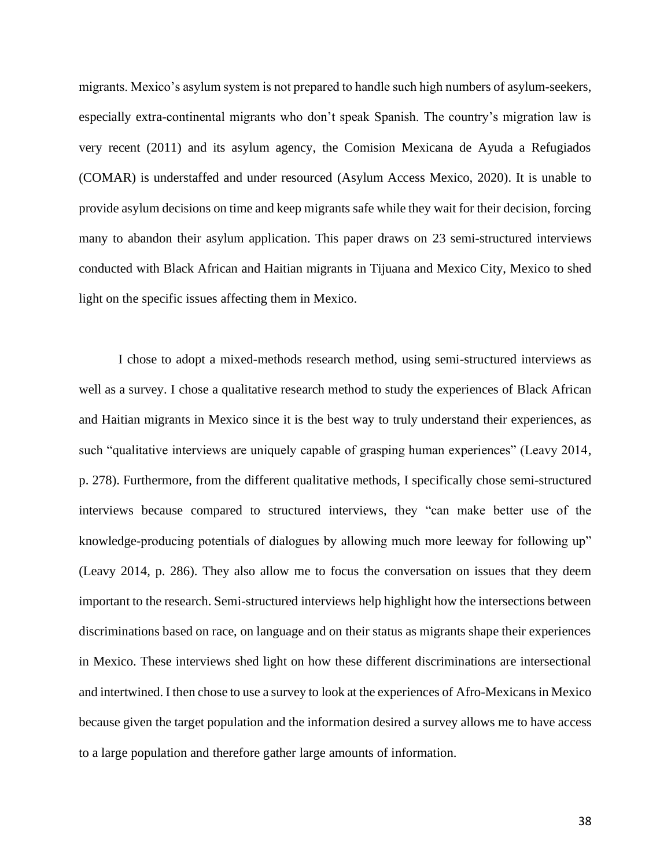migrants. Mexico's asylum system is not prepared to handle such high numbers of asylum-seekers, especially extra-continental migrants who don't speak Spanish. The country's migration law is very recent (2011) and its asylum agency, the Comision Mexicana de Ayuda a Refugiados (COMAR) is understaffed and under resourced (Asylum Access Mexico, 2020). It is unable to provide asylum decisions on time and keep migrants safe while they wait for their decision, forcing many to abandon their asylum application. This paper draws on 23 semi-structured interviews conducted with Black African and Haitian migrants in Tijuana and Mexico City, Mexico to shed light on the specific issues affecting them in Mexico.

I chose to adopt a mixed-methods research method, using semi-structured interviews as well as a survey. I chose a qualitative research method to study the experiences of Black African and Haitian migrants in Mexico since it is the best way to truly understand their experiences, as such "qualitative interviews are uniquely capable of grasping human experiences" (Leavy 2014, p. 278). Furthermore, from the different qualitative methods, I specifically chose semi-structured interviews because compared to structured interviews, they "can make better use of the knowledge-producing potentials of dialogues by allowing much more leeway for following up" (Leavy 2014, p. 286). They also allow me to focus the conversation on issues that they deem important to the research. Semi-structured interviews help highlight how the intersections between discriminations based on race, on language and on their status as migrants shape their experiences in Mexico. These interviews shed light on how these different discriminations are intersectional and intertwined. I then chose to use a survey to look at the experiences of Afro-Mexicans in Mexico because given the target population and the information desired a survey allows me to have access to a large population and therefore gather large amounts of information.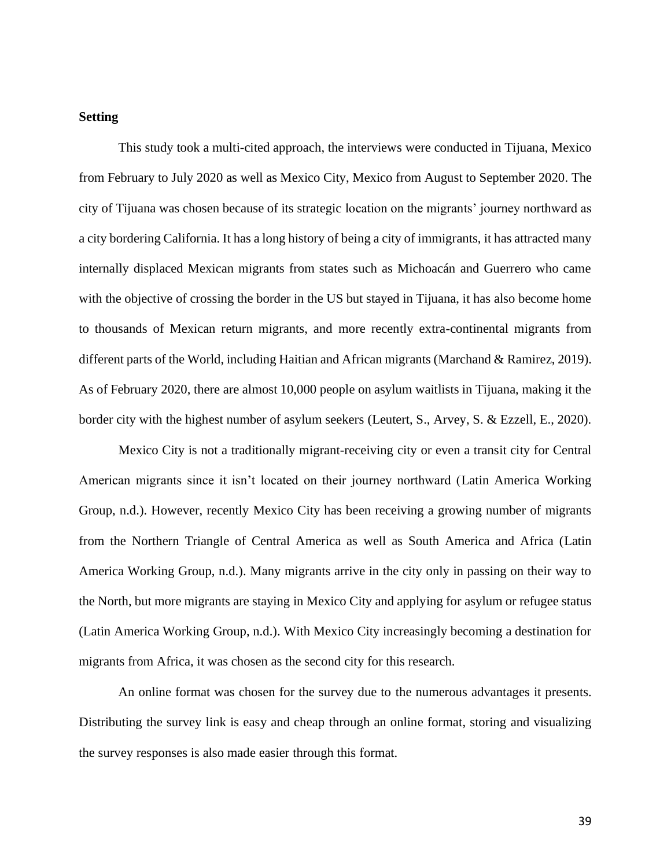# **Setting**

This study took a multi-cited approach, the interviews were conducted in Tijuana, Mexico from February to July 2020 as well as Mexico City, Mexico from August to September 2020. The city of Tijuana was chosen because of its strategic location on the migrants' journey northward as a city bordering California. It has a long history of being a city of immigrants, it has attracted many internally displaced Mexican migrants from states such as Michoacán and Guerrero who came with the objective of crossing the border in the US but stayed in Tijuana, it has also become home to thousands of Mexican return migrants, and more recently extra-continental migrants from different parts of the World, including Haitian and African migrants (Marchand & Ramirez, 2019). As of February 2020, there are almost 10,000 people on asylum waitlists in Tijuana, making it the border city with the highest number of asylum seekers (Leutert, S., Arvey, S. & Ezzell, E., 2020).

Mexico City is not a traditionally migrant-receiving city or even a transit city for Central American migrants since it isn't located on their journey northward (Latin America Working Group, n.d.). However, recently Mexico City has been receiving a growing number of migrants from the Northern Triangle of Central America as well as South America and Africa (Latin America Working Group, n.d.). Many migrants arrive in the city only in passing on their way to the North, but more migrants are staying in Mexico City and applying for asylum or refugee status (Latin America Working Group, n.d.). With Mexico City increasingly becoming a destination for migrants from Africa, it was chosen as the second city for this research.

An online format was chosen for the survey due to the numerous advantages it presents. Distributing the survey link is easy and cheap through an online format, storing and visualizing the survey responses is also made easier through this format.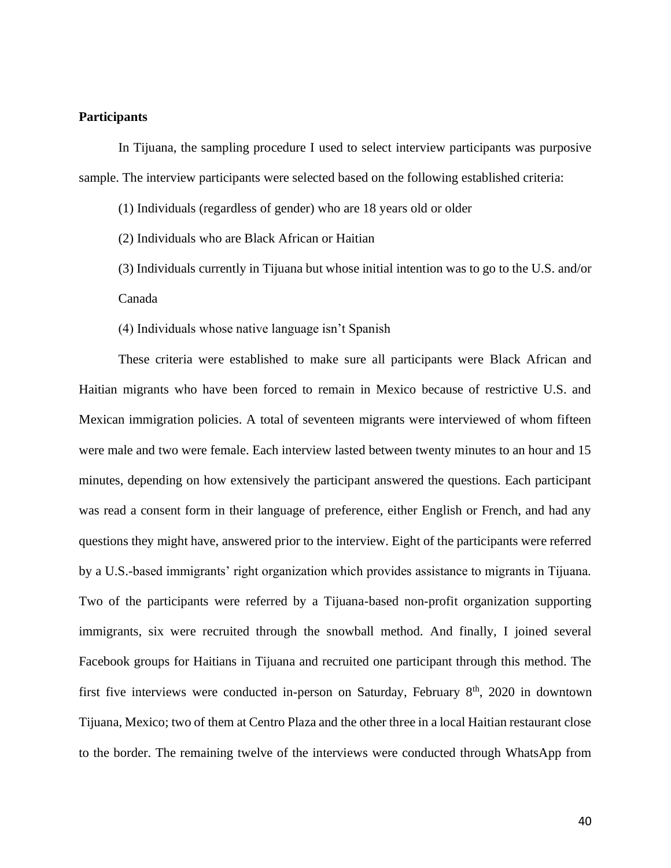# **Participants**

In Tijuana, the sampling procedure I used to select interview participants was purposive sample. The interview participants were selected based on the following established criteria:

(1) Individuals (regardless of gender) who are 18 years old or older

(2) Individuals who are Black African or Haitian

(3) Individuals currently in Tijuana but whose initial intention was to go to the U.S. and/or Canada

(4) Individuals whose native language isn't Spanish

These criteria were established to make sure all participants were Black African and Haitian migrants who have been forced to remain in Mexico because of restrictive U.S. and Mexican immigration policies. A total of seventeen migrants were interviewed of whom fifteen were male and two were female. Each interview lasted between twenty minutes to an hour and 15 minutes, depending on how extensively the participant answered the questions. Each participant was read a consent form in their language of preference, either English or French, and had any questions they might have, answered prior to the interview. Eight of the participants were referred by a U.S.-based immigrants' right organization which provides assistance to migrants in Tijuana. Two of the participants were referred by a Tijuana-based non-profit organization supporting immigrants, six were recruited through the snowball method. And finally, I joined several Facebook groups for Haitians in Tijuana and recruited one participant through this method. The first five interviews were conducted in-person on Saturday, February  $8<sup>th</sup>$ , 2020 in downtown Tijuana, Mexico; two of them at Centro Plaza and the other three in a local Haitian restaurant close to the border. The remaining twelve of the interviews were conducted through WhatsApp from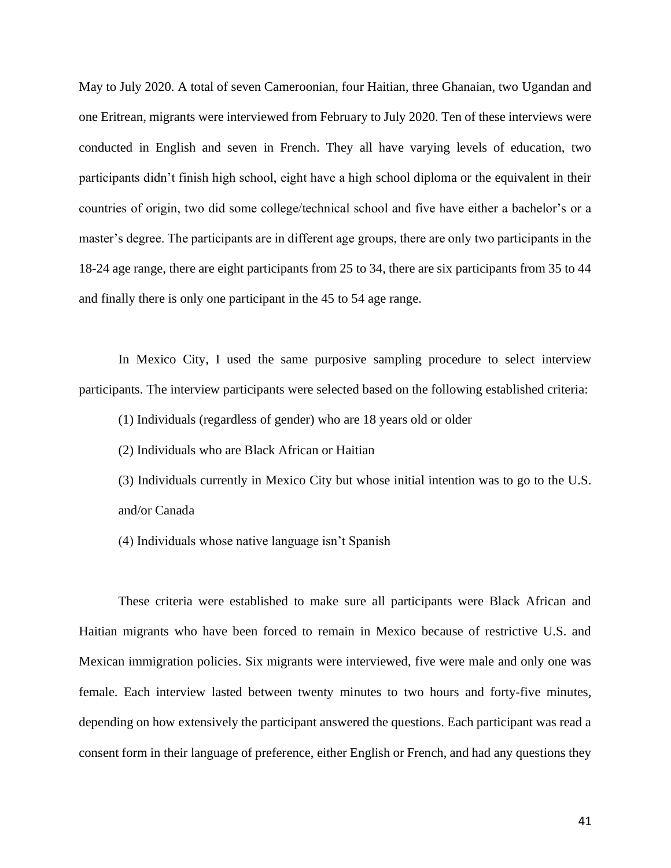May to July 2020. A total of seven Cameroonian, four Haitian, three Ghanaian, two Ugandan and one Eritrean, migrants were interviewed from February to July 2020. Ten of these interviews were conducted in English and seven in French. They all have varying levels of education, two participants didn't finish high school, eight have a high school diploma or the equivalent in their countries of origin, two did some college/technical school and five have either a bachelor's or a master's degree. The participants are in different age groups, there are only two participants in the 18-24 age range, there are eight participants from 25 to 34, there are six participants from 35 to 44 and finally there is only one participant in the 45 to 54 age range.

In Mexico City, I used the same purposive sampling procedure to select interview participants. The interview participants were selected based on the following established criteria:

(1) Individuals (regardless of gender) who are 18 years old or older

(2) Individuals who are Black African or Haitian

(3) Individuals currently in Mexico City but whose initial intention was to go to the U.S. and/or Canada

(4) Individuals whose native language isn't Spanish

These criteria were established to make sure all participants were Black African and Haitian migrants who have been forced to remain in Mexico because of restrictive U.S. and Mexican immigration policies. Six migrants were interviewed, five were male and only one was female. Each interview lasted between twenty minutes to two hours and forty-five minutes, depending on how extensively the participant answered the questions. Each participant was read a consent form in their language of preference, either English or French, and had any questions they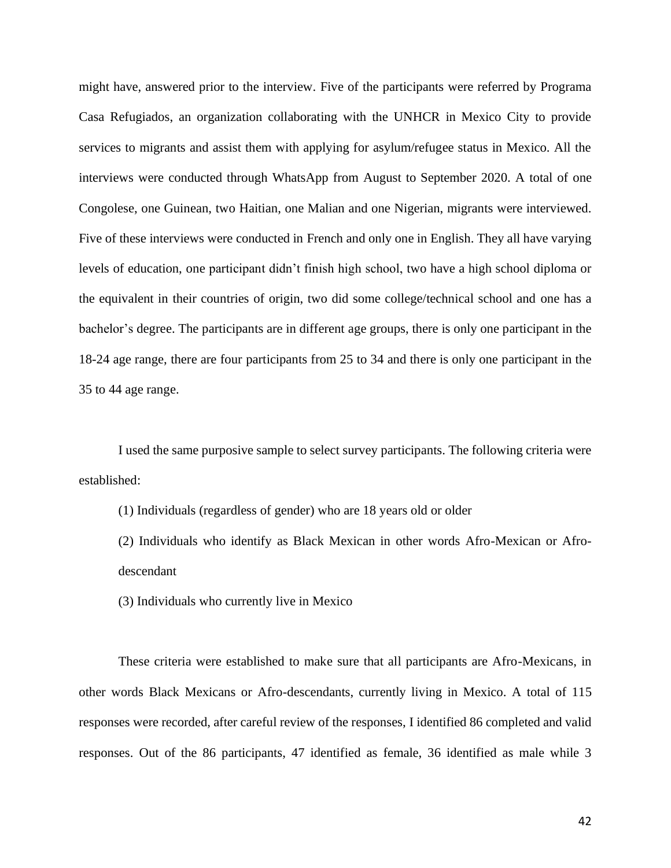might have, answered prior to the interview. Five of the participants were referred by Programa Casa Refugiados, an organization collaborating with the UNHCR in Mexico City to provide services to migrants and assist them with applying for asylum/refugee status in Mexico. All the interviews were conducted through WhatsApp from August to September 2020. A total of one Congolese, one Guinean, two Haitian, one Malian and one Nigerian, migrants were interviewed. Five of these interviews were conducted in French and only one in English. They all have varying levels of education, one participant didn't finish high school, two have a high school diploma or the equivalent in their countries of origin, two did some college/technical school and one has a bachelor's degree. The participants are in different age groups, there is only one participant in the 18-24 age range, there are four participants from 25 to 34 and there is only one participant in the 35 to 44 age range.

I used the same purposive sample to select survey participants. The following criteria were established:

- (1) Individuals (regardless of gender) who are 18 years old or older
- (2) Individuals who identify as Black Mexican in other words Afro-Mexican or Afrodescendant
- (3) Individuals who currently live in Mexico

These criteria were established to make sure that all participants are Afro-Mexicans, in other words Black Mexicans or Afro-descendants, currently living in Mexico. A total of 115 responses were recorded, after careful review of the responses, I identified 86 completed and valid responses. Out of the 86 participants, 47 identified as female, 36 identified as male while 3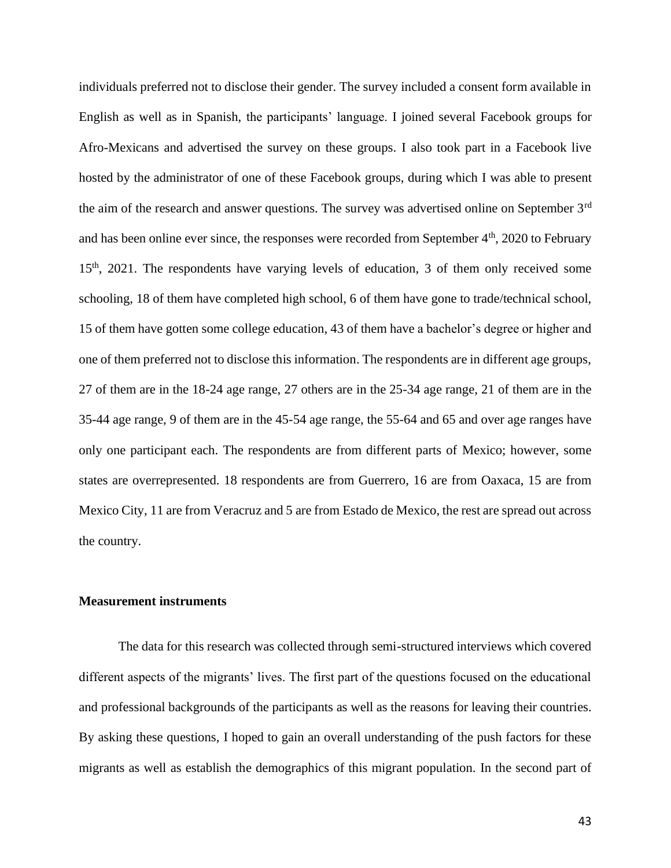individuals preferred not to disclose their gender. The survey included a consent form available in English as well as in Spanish, the participants' language. I joined several Facebook groups for Afro-Mexicans and advertised the survey on these groups. I also took part in a Facebook live hosted by the administrator of one of these Facebook groups, during which I was able to present the aim of the research and answer questions. The survey was advertised online on September 3rd and has been online ever since, the responses were recorded from September  $4<sup>th</sup>$ , 2020 to February 15th, 2021. The respondents have varying levels of education, 3 of them only received some schooling, 18 of them have completed high school, 6 of them have gone to trade/technical school, 15 of them have gotten some college education, 43 of them have a bachelor's degree or higher and one of them preferred not to disclose this information. The respondents are in different age groups, 27 of them are in the 18-24 age range, 27 others are in the 25-34 age range, 21 of them are in the 35-44 age range, 9 of them are in the 45-54 age range, the 55-64 and 65 and over age ranges have only one participant each. The respondents are from different parts of Mexico; however, some states are overrepresented. 18 respondents are from Guerrero, 16 are from Oaxaca, 15 are from Mexico City, 11 are from Veracruz and 5 are from Estado de Mexico, the rest are spread out across the country.

#### **Measurement instruments**

The data for this research was collected through semi-structured interviews which covered different aspects of the migrants' lives. The first part of the questions focused on the educational and professional backgrounds of the participants as well as the reasons for leaving their countries. By asking these questions, I hoped to gain an overall understanding of the push factors for these migrants as well as establish the demographics of this migrant population. In the second part of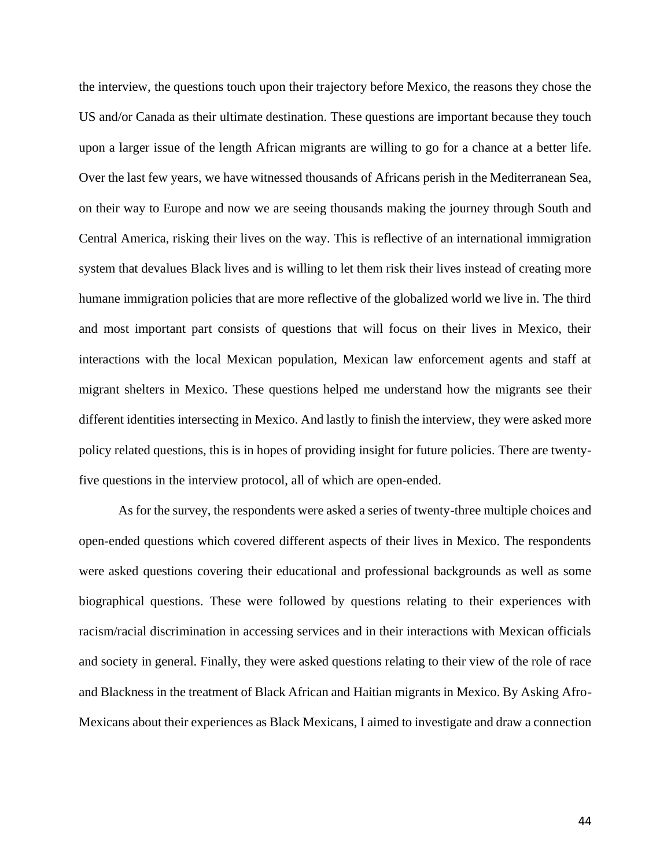the interview, the questions touch upon their trajectory before Mexico, the reasons they chose the US and/or Canada as their ultimate destination. These questions are important because they touch upon a larger issue of the length African migrants are willing to go for a chance at a better life. Over the last few years, we have witnessed thousands of Africans perish in the Mediterranean Sea, on their way to Europe and now we are seeing thousands making the journey through South and Central America, risking their lives on the way. This is reflective of an international immigration system that devalues Black lives and is willing to let them risk their lives instead of creating more humane immigration policies that are more reflective of the globalized world we live in. The third and most important part consists of questions that will focus on their lives in Mexico, their interactions with the local Mexican population, Mexican law enforcement agents and staff at migrant shelters in Mexico. These questions helped me understand how the migrants see their different identities intersecting in Mexico. And lastly to finish the interview, they were asked more policy related questions, this is in hopes of providing insight for future policies. There are twentyfive questions in the interview protocol, all of which are open-ended.

As for the survey, the respondents were asked a series of twenty-three multiple choices and open-ended questions which covered different aspects of their lives in Mexico. The respondents were asked questions covering their educational and professional backgrounds as well as some biographical questions. These were followed by questions relating to their experiences with racism/racial discrimination in accessing services and in their interactions with Mexican officials and society in general. Finally, they were asked questions relating to their view of the role of race and Blackness in the treatment of Black African and Haitian migrants in Mexico. By Asking Afro-Mexicans about their experiences as Black Mexicans, I aimed to investigate and draw a connection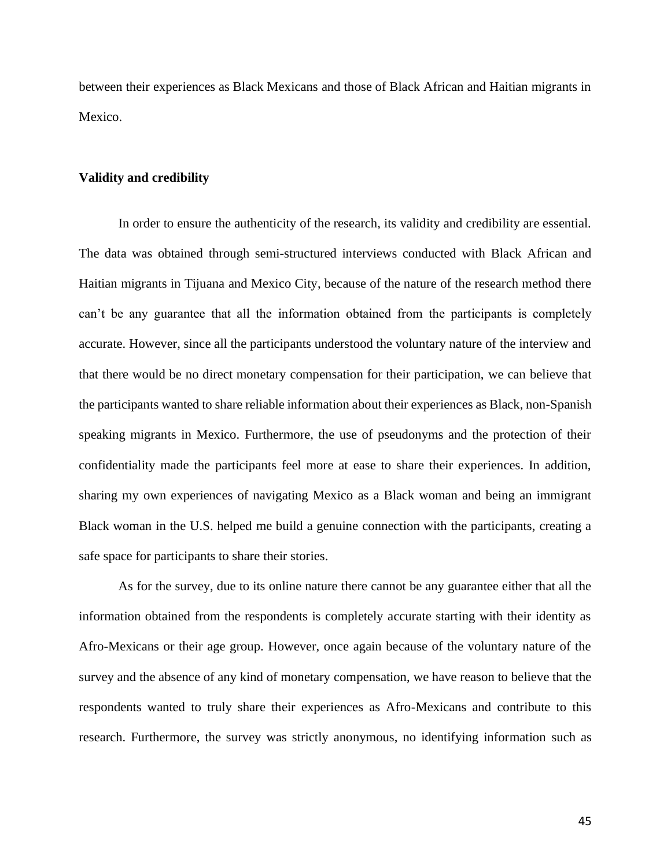between their experiences as Black Mexicans and those of Black African and Haitian migrants in Mexico.

#### **Validity and credibility**

In order to ensure the authenticity of the research, its validity and credibility are essential. The data was obtained through semi-structured interviews conducted with Black African and Haitian migrants in Tijuana and Mexico City, because of the nature of the research method there can't be any guarantee that all the information obtained from the participants is completely accurate. However, since all the participants understood the voluntary nature of the interview and that there would be no direct monetary compensation for their participation, we can believe that the participants wanted to share reliable information about their experiences as Black, non-Spanish speaking migrants in Mexico. Furthermore, the use of pseudonyms and the protection of their confidentiality made the participants feel more at ease to share their experiences. In addition, sharing my own experiences of navigating Mexico as a Black woman and being an immigrant Black woman in the U.S. helped me build a genuine connection with the participants, creating a safe space for participants to share their stories.

As for the survey, due to its online nature there cannot be any guarantee either that all the information obtained from the respondents is completely accurate starting with their identity as Afro-Mexicans or their age group. However, once again because of the voluntary nature of the survey and the absence of any kind of monetary compensation, we have reason to believe that the respondents wanted to truly share their experiences as Afro-Mexicans and contribute to this research. Furthermore, the survey was strictly anonymous, no identifying information such as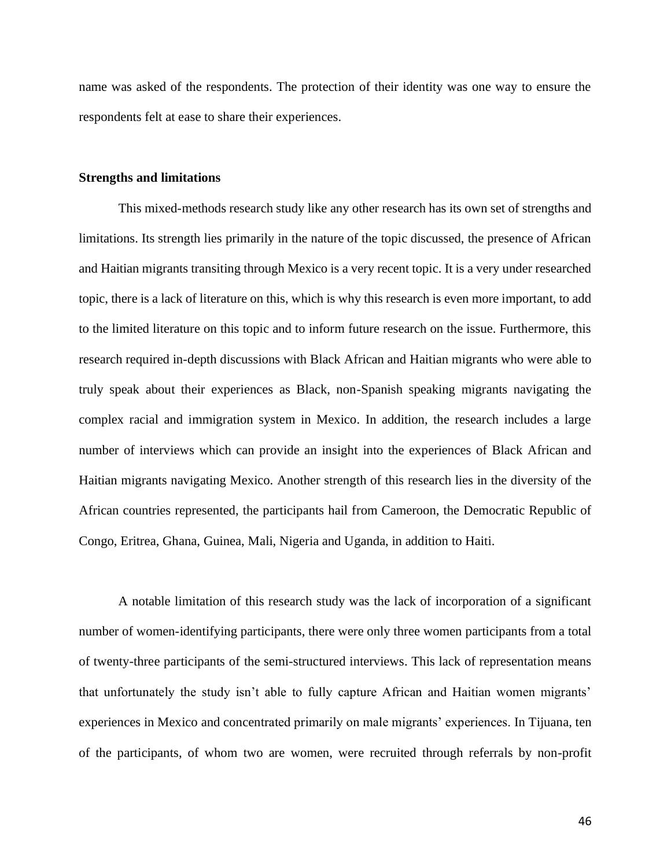name was asked of the respondents. The protection of their identity was one way to ensure the respondents felt at ease to share their experiences.

## **Strengths and limitations**

This mixed-methods research study like any other research has its own set of strengths and limitations. Its strength lies primarily in the nature of the topic discussed, the presence of African and Haitian migrants transiting through Mexico is a very recent topic. It is a very under researched topic, there is a lack of literature on this, which is why this research is even more important, to add to the limited literature on this topic and to inform future research on the issue. Furthermore, this research required in-depth discussions with Black African and Haitian migrants who were able to truly speak about their experiences as Black, non-Spanish speaking migrants navigating the complex racial and immigration system in Mexico. In addition, the research includes a large number of interviews which can provide an insight into the experiences of Black African and Haitian migrants navigating Mexico. Another strength of this research lies in the diversity of the African countries represented, the participants hail from Cameroon, the Democratic Republic of Congo, Eritrea, Ghana, Guinea, Mali, Nigeria and Uganda, in addition to Haiti.

A notable limitation of this research study was the lack of incorporation of a significant number of women-identifying participants, there were only three women participants from a total of twenty-three participants of the semi-structured interviews. This lack of representation means that unfortunately the study isn't able to fully capture African and Haitian women migrants' experiences in Mexico and concentrated primarily on male migrants' experiences. In Tijuana, ten of the participants, of whom two are women, were recruited through referrals by non-profit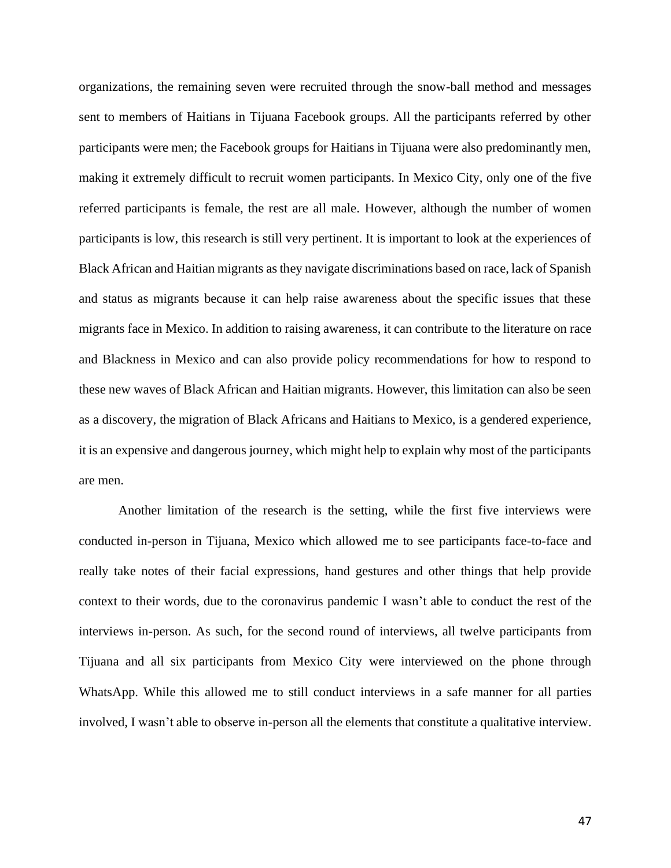organizations, the remaining seven were recruited through the snow-ball method and messages sent to members of Haitians in Tijuana Facebook groups. All the participants referred by other participants were men; the Facebook groups for Haitians in Tijuana were also predominantly men, making it extremely difficult to recruit women participants. In Mexico City, only one of the five referred participants is female, the rest are all male. However, although the number of women participants is low, this research is still very pertinent. It is important to look at the experiences of Black African and Haitian migrants as they navigate discriminations based on race, lack of Spanish and status as migrants because it can help raise awareness about the specific issues that these migrants face in Mexico. In addition to raising awareness, it can contribute to the literature on race and Blackness in Mexico and can also provide policy recommendations for how to respond to these new waves of Black African and Haitian migrants. However, this limitation can also be seen as a discovery, the migration of Black Africans and Haitians to Mexico, is a gendered experience, it is an expensive and dangerous journey, which might help to explain why most of the participants are men.

Another limitation of the research is the setting, while the first five interviews were conducted in-person in Tijuana, Mexico which allowed me to see participants face-to-face and really take notes of their facial expressions, hand gestures and other things that help provide context to their words, due to the coronavirus pandemic I wasn't able to conduct the rest of the interviews in-person. As such, for the second round of interviews, all twelve participants from Tijuana and all six participants from Mexico City were interviewed on the phone through WhatsApp. While this allowed me to still conduct interviews in a safe manner for all parties involved, I wasn't able to observe in-person all the elements that constitute a qualitative interview.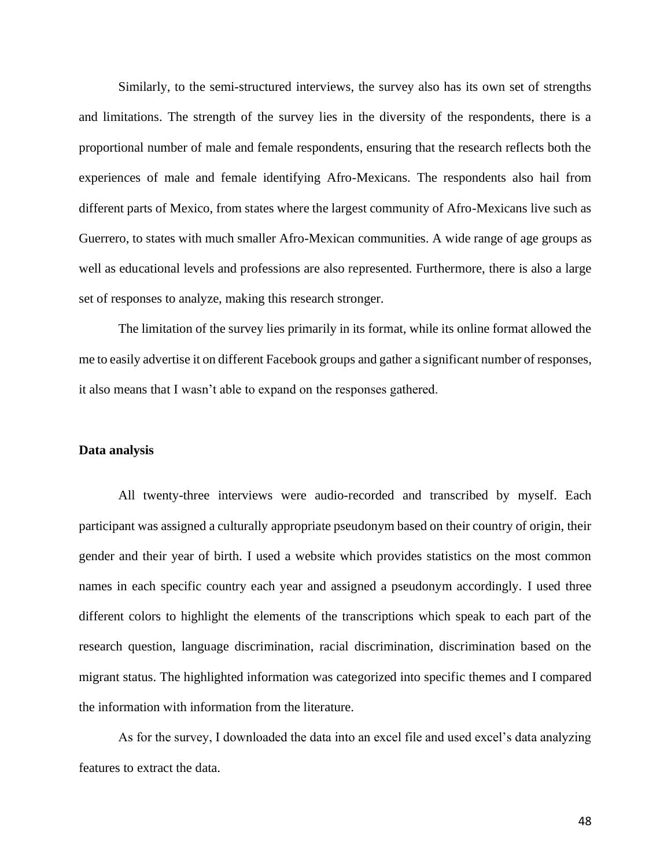Similarly, to the semi-structured interviews, the survey also has its own set of strengths and limitations. The strength of the survey lies in the diversity of the respondents, there is a proportional number of male and female respondents, ensuring that the research reflects both the experiences of male and female identifying Afro-Mexicans. The respondents also hail from different parts of Mexico, from states where the largest community of Afro-Mexicans live such as Guerrero, to states with much smaller Afro-Mexican communities. A wide range of age groups as well as educational levels and professions are also represented. Furthermore, there is also a large set of responses to analyze, making this research stronger.

The limitation of the survey lies primarily in its format, while its online format allowed the me to easily advertise it on different Facebook groups and gather a significant number of responses, it also means that I wasn't able to expand on the responses gathered.

#### **Data analysis**

All twenty-three interviews were audio-recorded and transcribed by myself. Each participant was assigned a culturally appropriate pseudonym based on their country of origin, their gender and their year of birth. I used a website which provides statistics on the most common names in each specific country each year and assigned a pseudonym accordingly. I used three different colors to highlight the elements of the transcriptions which speak to each part of the research question, language discrimination, racial discrimination, discrimination based on the migrant status. The highlighted information was categorized into specific themes and I compared the information with information from the literature.

As for the survey, I downloaded the data into an excel file and used excel's data analyzing features to extract the data.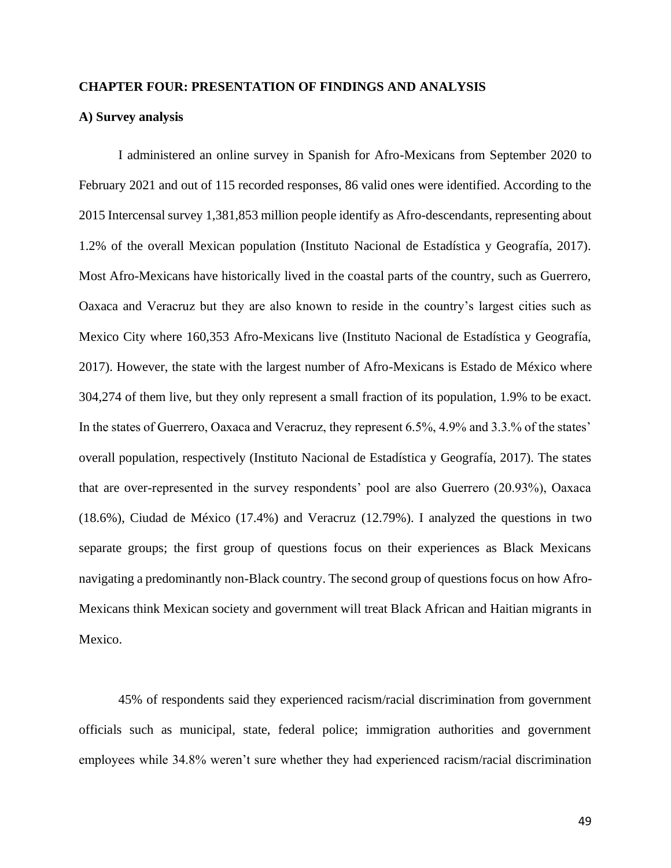#### **CHAPTER FOUR: PRESENTATION OF FINDINGS AND ANALYSIS**

## **A) Survey analysis**

I administered an online survey in Spanish for Afro-Mexicans from September 2020 to February 2021 and out of 115 recorded responses, 86 valid ones were identified. According to the 2015 Intercensal survey 1,381,853 million people identify as Afro-descendants, representing about 1.2% of the overall Mexican population (Instituto Nacional de Estadística y Geografía, 2017). Most Afro-Mexicans have historically lived in the coastal parts of the country, such as Guerrero, Oaxaca and Veracruz but they are also known to reside in the country's largest cities such as Mexico City where 160,353 Afro-Mexicans live (Instituto Nacional de Estadística y Geografía, 2017). However, the state with the largest number of Afro-Mexicans is Estado de México where 304,274 of them live, but they only represent a small fraction of its population, 1.9% to be exact. In the states of Guerrero, Oaxaca and Veracruz, they represent 6.5%, 4.9% and 3.3.% of the states' overall population, respectively (Instituto Nacional de Estadística y Geografía, 2017). The states that are over-represented in the survey respondents' pool are also Guerrero (20.93%), Oaxaca (18.6%), Ciudad de México (17.4%) and Veracruz (12.79%). I analyzed the questions in two separate groups; the first group of questions focus on their experiences as Black Mexicans navigating a predominantly non-Black country. The second group of questions focus on how Afro-Mexicans think Mexican society and government will treat Black African and Haitian migrants in Mexico.

45% of respondents said they experienced racism/racial discrimination from government officials such as municipal, state, federal police; immigration authorities and government employees while 34.8% weren't sure whether they had experienced racism/racial discrimination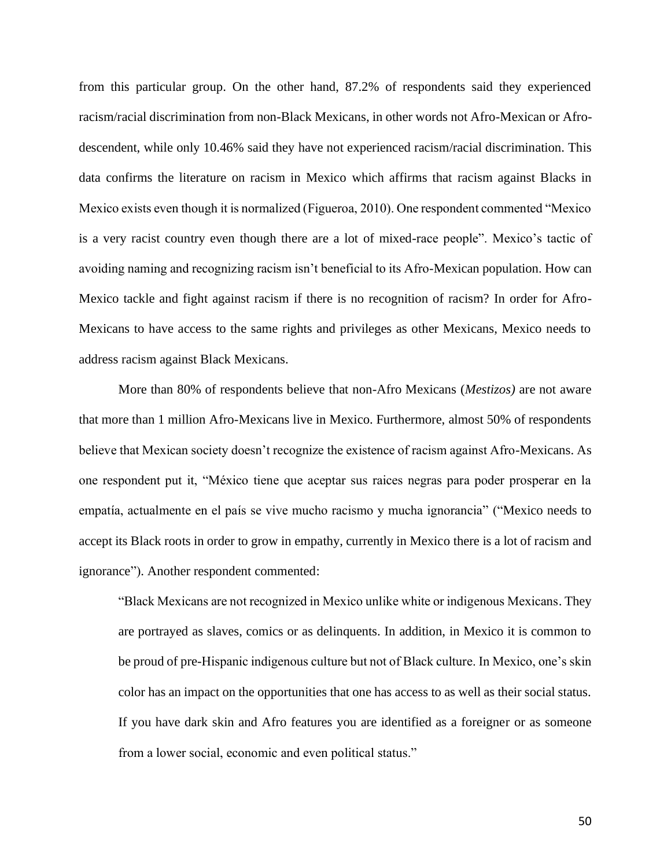from this particular group. On the other hand, 87.2% of respondents said they experienced racism/racial discrimination from non-Black Mexicans, in other words not Afro-Mexican or Afrodescendent, while only 10.46% said they have not experienced racism/racial discrimination. This data confirms the literature on racism in Mexico which affirms that racism against Blacks in Mexico exists even though it is normalized (Figueroa, 2010). One respondent commented "Mexico is a very racist country even though there are a lot of mixed-race people". Mexico's tactic of avoiding naming and recognizing racism isn't beneficial to its Afro-Mexican population. How can Mexico tackle and fight against racism if there is no recognition of racism? In order for Afro-Mexicans to have access to the same rights and privileges as other Mexicans, Mexico needs to address racism against Black Mexicans.

More than 80% of respondents believe that non-Afro Mexicans (*Mestizos)* are not aware that more than 1 million Afro-Mexicans live in Mexico. Furthermore, almost 50% of respondents believe that Mexican society doesn't recognize the existence of racism against Afro-Mexicans. As one respondent put it, "México tiene que aceptar sus raices negras para poder prosperar en la empatía, actualmente en el país se vive mucho racismo y mucha ignorancia" ("Mexico needs to accept its Black roots in order to grow in empathy, currently in Mexico there is a lot of racism and ignorance"). Another respondent commented:

"Black Mexicans are not recognized in Mexico unlike white or indigenous Mexicans. They are portrayed as slaves, comics or as delinquents. In addition, in Mexico it is common to be proud of pre-Hispanic indigenous culture but not of Black culture. In Mexico, one's skin color has an impact on the opportunities that one has access to as well as their social status. If you have dark skin and Afro features you are identified as a foreigner or as someone from a lower social, economic and even political status."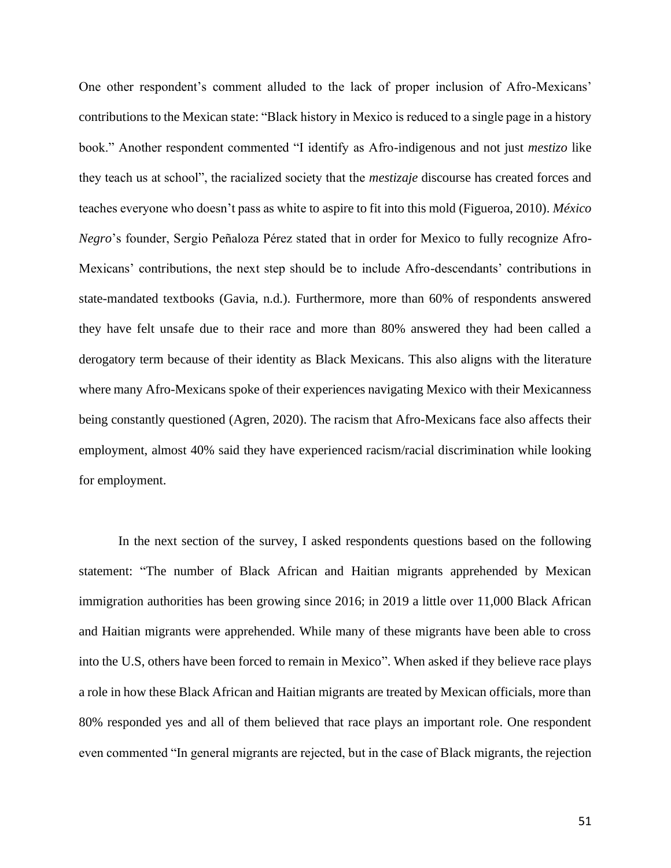One other respondent's comment alluded to the lack of proper inclusion of Afro-Mexicans' contributions to the Mexican state: "Black history in Mexico is reduced to a single page in a history book." Another respondent commented "I identify as Afro-indigenous and not just *mestizo* like they teach us at school", the racialized society that the *mestizaje* discourse has created forces and teaches everyone who doesn't pass as white to aspire to fit into this mold (Figueroa, 2010). *México Negro*'s founder, Sergio Peñaloza Pérez stated that in order for Mexico to fully recognize Afro-Mexicans' contributions, the next step should be to include Afro-descendants' contributions in state-mandated textbooks (Gavia, n.d.). Furthermore, more than 60% of respondents answered they have felt unsafe due to their race and more than 80% answered they had been called a derogatory term because of their identity as Black Mexicans. This also aligns with the literature where many Afro-Mexicans spoke of their experiences navigating Mexico with their Mexicanness being constantly questioned (Agren, 2020). The racism that Afro-Mexicans face also affects their employment, almost 40% said they have experienced racism/racial discrimination while looking for employment.

In the next section of the survey, I asked respondents questions based on the following statement: "The number of Black African and Haitian migrants apprehended by Mexican immigration authorities has been growing since 2016; in 2019 a little over 11,000 Black African and Haitian migrants were apprehended. While many of these migrants have been able to cross into the U.S, others have been forced to remain in Mexico". When asked if they believe race plays a role in how these Black African and Haitian migrants are treated by Mexican officials, more than 80% responded yes and all of them believed that race plays an important role. One respondent even commented "In general migrants are rejected, but in the case of Black migrants, the rejection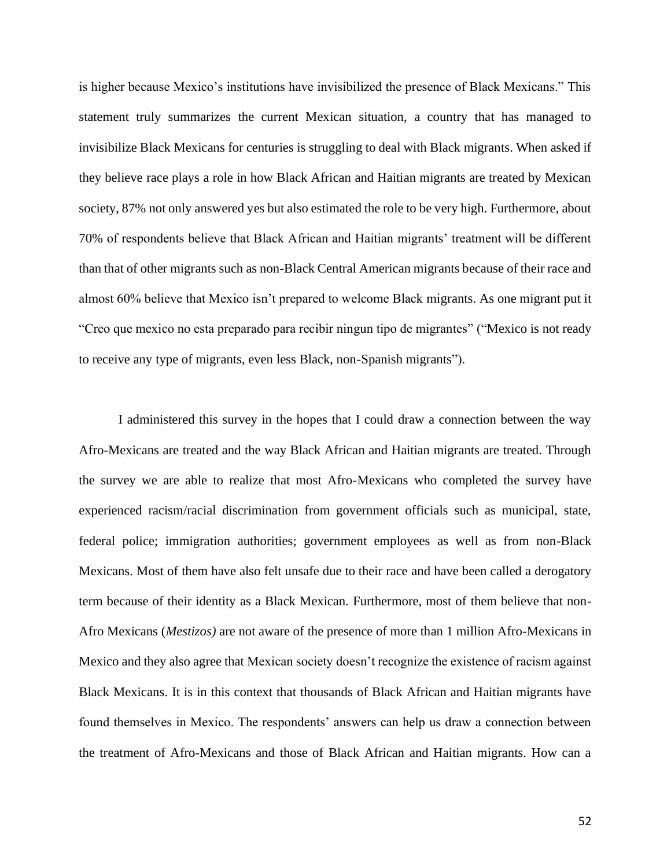is higher because Mexico's institutions have invisibilized the presence of Black Mexicans." This statement truly summarizes the current Mexican situation, a country that has managed to invisibilize Black Mexicans for centuries is struggling to deal with Black migrants. When asked if they believe race plays a role in how Black African and Haitian migrants are treated by Mexican society, 87% not only answered yes but also estimated the role to be very high. Furthermore, about 70% of respondents believe that Black African and Haitian migrants' treatment will be different than that of other migrants such as non-Black Central American migrants because of their race and almost 60% believe that Mexico isn't prepared to welcome Black migrants. As one migrant put it "Creo que mexico no esta preparado para recibir ningun tipo de migrantes" ("Mexico is not ready to receive any type of migrants, even less Black, non-Spanish migrants").

I administered this survey in the hopes that I could draw a connection between the way Afro-Mexicans are treated and the way Black African and Haitian migrants are treated. Through the survey we are able to realize that most Afro-Mexicans who completed the survey have experienced racism/racial discrimination from government officials such as municipal, state, federal police; immigration authorities; government employees as well as from non-Black Mexicans. Most of them have also felt unsafe due to their race and have been called a derogatory term because of their identity as a Black Mexican. Furthermore, most of them believe that non-Afro Mexicans (*Mestizos)* are not aware of the presence of more than 1 million Afro-Mexicans in Mexico and they also agree that Mexican society doesn't recognize the existence of racism against Black Mexicans. It is in this context that thousands of Black African and Haitian migrants have found themselves in Mexico. The respondents' answers can help us draw a connection between the treatment of Afro-Mexicans and those of Black African and Haitian migrants. How can a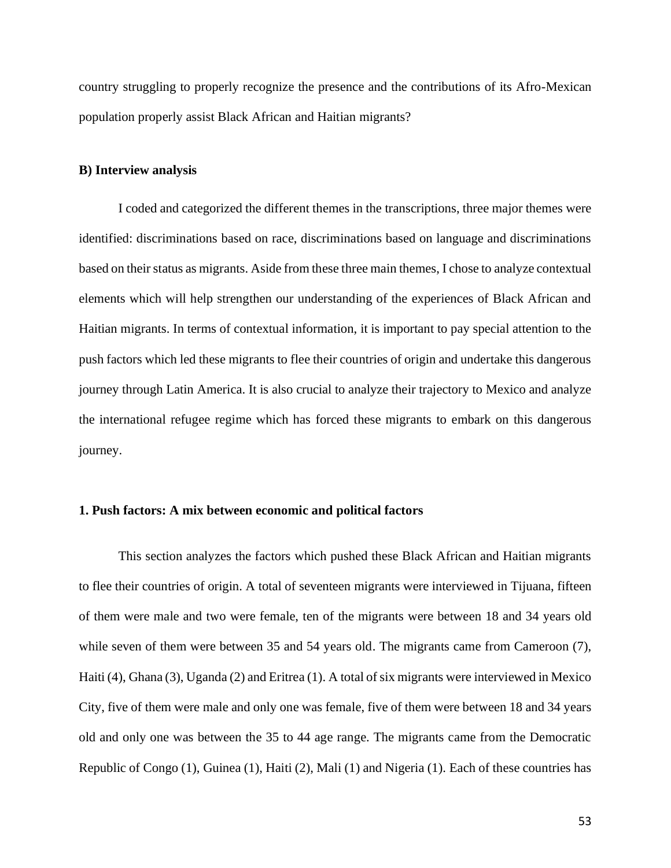country struggling to properly recognize the presence and the contributions of its Afro-Mexican population properly assist Black African and Haitian migrants?

#### **B) Interview analysis**

I coded and categorized the different themes in the transcriptions, three major themes were identified: discriminations based on race, discriminations based on language and discriminations based on their status as migrants. Aside from these three main themes, I chose to analyze contextual elements which will help strengthen our understanding of the experiences of Black African and Haitian migrants. In terms of contextual information, it is important to pay special attention to the push factors which led these migrants to flee their countries of origin and undertake this dangerous journey through Latin America. It is also crucial to analyze their trajectory to Mexico and analyze the international refugee regime which has forced these migrants to embark on this dangerous journey.

# **1. Push factors: A mix between economic and political factors**

This section analyzes the factors which pushed these Black African and Haitian migrants to flee their countries of origin. A total of seventeen migrants were interviewed in Tijuana, fifteen of them were male and two were female, ten of the migrants were between 18 and 34 years old while seven of them were between 35 and 54 years old. The migrants came from Cameroon  $(7)$ , Haiti (4), Ghana (3), Uganda (2) and Eritrea (1). A total of six migrants were interviewed in Mexico City, five of them were male and only one was female, five of them were between 18 and 34 years old and only one was between the 35 to 44 age range. The migrants came from the Democratic Republic of Congo (1), Guinea (1), Haiti (2), Mali (1) and Nigeria (1). Each of these countries has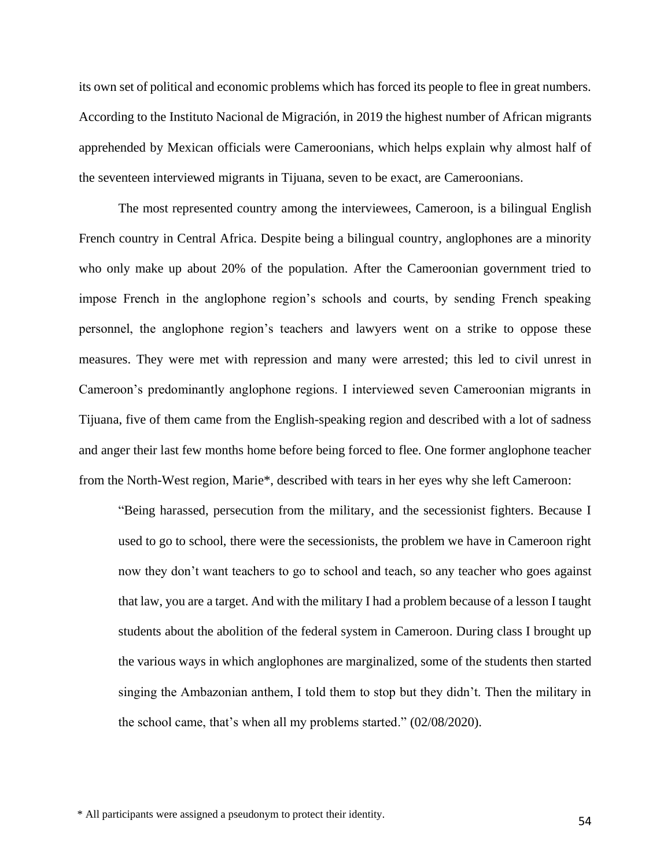its own set of political and economic problems which has forced its people to flee in great numbers. According to the Instituto Nacional de Migración, in 2019 the highest number of African migrants apprehended by Mexican officials were Cameroonians, which helps explain why almost half of the seventeen interviewed migrants in Tijuana, seven to be exact, are Cameroonians.

The most represented country among the interviewees, Cameroon, is a bilingual English French country in Central Africa. Despite being a bilingual country, anglophones are a minority who only make up about 20% of the population. After the Cameroonian government tried to impose French in the anglophone region's schools and courts, by sending French speaking personnel, the anglophone region's teachers and lawyers went on a strike to oppose these measures. They were met with repression and many were arrested; this led to civil unrest in Cameroon's predominantly anglophone regions. I interviewed seven Cameroonian migrants in Tijuana, five of them came from the English-speaking region and described with a lot of sadness and anger their last few months home before being forced to flee. One former anglophone teacher from the North-West region, Marie\*, described with tears in her eyes why she left Cameroon:

"Being harassed, persecution from the military, and the secessionist fighters. Because I used to go to school, there were the secessionists, the problem we have in Cameroon right now they don't want teachers to go to school and teach, so any teacher who goes against that law, you are a target. And with the military I had a problem because of a lesson I taught students about the abolition of the federal system in Cameroon. During class I brought up the various ways in which anglophones are marginalized, some of the students then started singing the Ambazonian anthem, I told them to stop but they didn't. Then the military in the school came, that's when all my problems started." (02/08/2020).

\* All participants were assigned a pseudonym to protect their identity.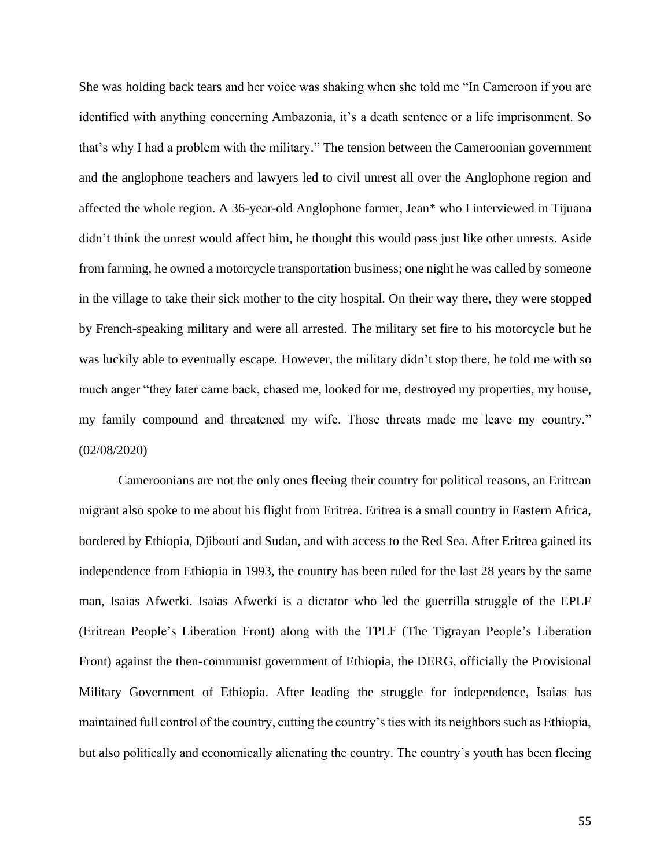She was holding back tears and her voice was shaking when she told me "In Cameroon if you are identified with anything concerning Ambazonia, it's a death sentence or a life imprisonment. So that's why I had a problem with the military." The tension between the Cameroonian government and the anglophone teachers and lawyers led to civil unrest all over the Anglophone region and affected the whole region. A 36-year-old Anglophone farmer, Jean\* who I interviewed in Tijuana didn't think the unrest would affect him, he thought this would pass just like other unrests. Aside from farming, he owned a motorcycle transportation business; one night he was called by someone in the village to take their sick mother to the city hospital. On their way there, they were stopped by French-speaking military and were all arrested. The military set fire to his motorcycle but he was luckily able to eventually escape. However, the military didn't stop there, he told me with so much anger "they later came back, chased me, looked for me, destroyed my properties, my house, my family compound and threatened my wife. Those threats made me leave my country." (02/08/2020)

Cameroonians are not the only ones fleeing their country for political reasons, an Eritrean migrant also spoke to me about his flight from Eritrea. Eritrea is a small country in Eastern Africa, bordered by Ethiopia, Djibouti and Sudan, and with access to the Red Sea. After Eritrea gained its independence from Ethiopia in 1993, the country has been ruled for the last 28 years by the same man, Isaias Afwerki. Isaias Afwerki is a dictator who led the guerrilla struggle of the EPLF (Eritrean People's Liberation Front) along with the TPLF (The Tigrayan People's Liberation Front) against the then-communist government of Ethiopia, the DERG, officially the Provisional Military Government of Ethiopia. After leading the struggle for independence, Isaias has maintained full control of the country, cutting the country's ties with its neighbors such as Ethiopia, but also politically and economically alienating the country. The country's youth has been fleeing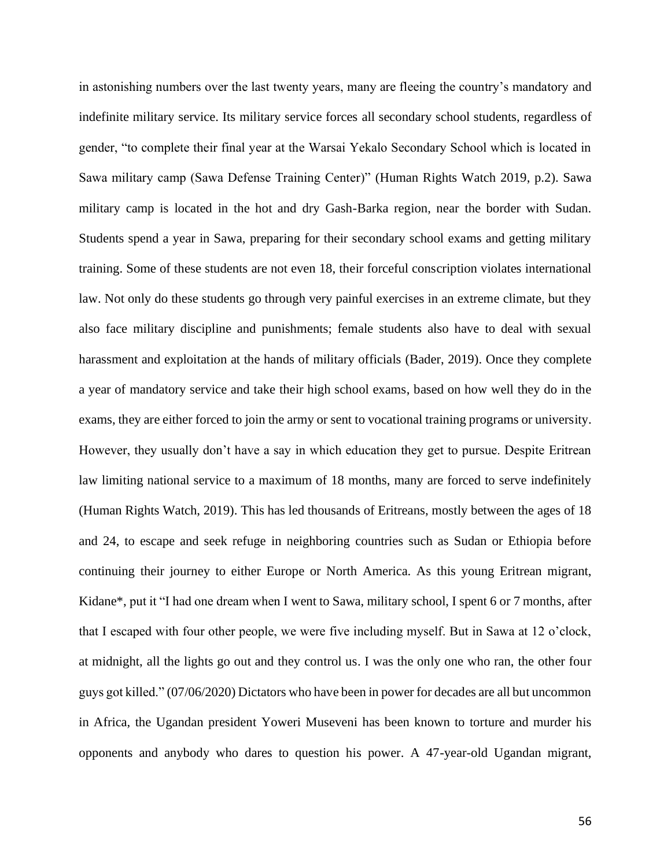in astonishing numbers over the last twenty years, many are fleeing the country's mandatory and indefinite military service. Its military service forces all secondary school students, regardless of gender, "to complete their final year at the Warsai Yekalo Secondary School which is located in Sawa military camp (Sawa Defense Training Center)" (Human Rights Watch 2019, p.2). Sawa military camp is located in the hot and dry Gash-Barka region, near the border with Sudan. Students spend a year in Sawa, preparing for their secondary school exams and getting military training. Some of these students are not even 18, their forceful conscription violates international law. Not only do these students go through very painful exercises in an extreme climate, but they also face military discipline and punishments; female students also have to deal with sexual harassment and exploitation at the hands of military officials (Bader, 2019). Once they complete a year of mandatory service and take their high school exams, based on how well they do in the exams, they are either forced to join the army or sent to vocational training programs or university. However, they usually don't have a say in which education they get to pursue. Despite Eritrean law limiting national service to a maximum of 18 months, many are forced to serve indefinitely (Human Rights Watch, 2019). This has led thousands of Eritreans, mostly between the ages of 18 and 24, to escape and seek refuge in neighboring countries such as Sudan or Ethiopia before continuing their journey to either Europe or North America. As this young Eritrean migrant, Kidane\*, put it "I had one dream when I went to Sawa, military school, I spent 6 or 7 months, after that I escaped with four other people, we were five including myself. But in Sawa at 12 o'clock, at midnight, all the lights go out and they control us. I was the only one who ran, the other four guys got killed." (07/06/2020) Dictators who have been in power for decades are all but uncommon in Africa, the Ugandan president Yoweri Museveni has been known to torture and murder his opponents and anybody who dares to question his power. A 47-year-old Ugandan migrant,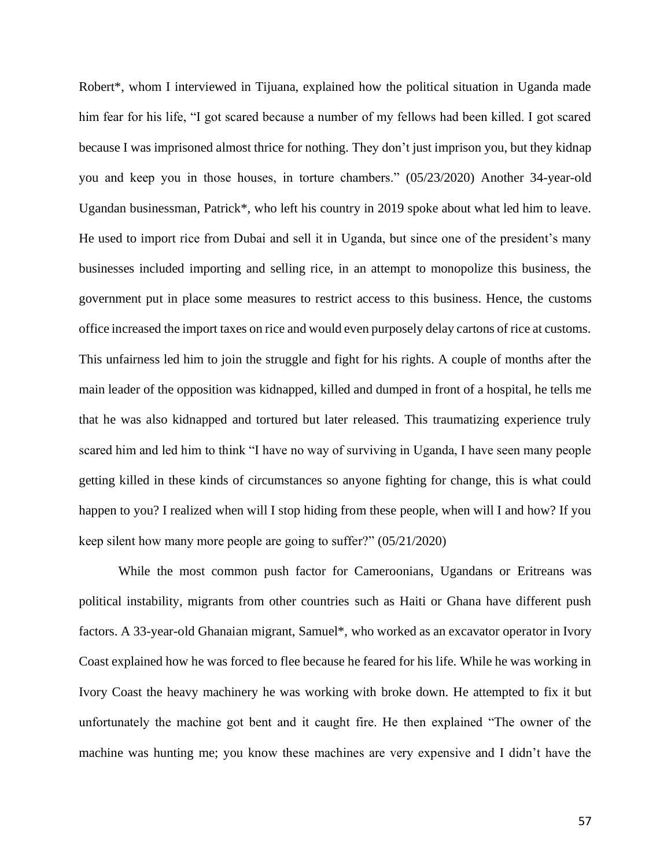Robert\*, whom I interviewed in Tijuana, explained how the political situation in Uganda made him fear for his life, "I got scared because a number of my fellows had been killed. I got scared because I was imprisoned almost thrice for nothing. They don't just imprison you, but they kidnap you and keep you in those houses, in torture chambers." (05/23/2020) Another 34-year-old Ugandan businessman, Patrick\*, who left his country in 2019 spoke about what led him to leave. He used to import rice from Dubai and sell it in Uganda, but since one of the president's many businesses included importing and selling rice, in an attempt to monopolize this business, the government put in place some measures to restrict access to this business. Hence, the customs office increased the import taxes on rice and would even purposely delay cartons of rice at customs. This unfairness led him to join the struggle and fight for his rights. A couple of months after the main leader of the opposition was kidnapped, killed and dumped in front of a hospital, he tells me that he was also kidnapped and tortured but later released. This traumatizing experience truly scared him and led him to think "I have no way of surviving in Uganda, I have seen many people getting killed in these kinds of circumstances so anyone fighting for change, this is what could happen to you? I realized when will I stop hiding from these people, when will I and how? If you keep silent how many more people are going to suffer?" (05/21/2020)

While the most common push factor for Cameroonians, Ugandans or Eritreans was political instability, migrants from other countries such as Haiti or Ghana have different push factors. A 33-year-old Ghanaian migrant, Samuel\*, who worked as an excavator operator in Ivory Coast explained how he was forced to flee because he feared for his life. While he was working in Ivory Coast the heavy machinery he was working with broke down. He attempted to fix it but unfortunately the machine got bent and it caught fire. He then explained "The owner of the machine was hunting me; you know these machines are very expensive and I didn't have the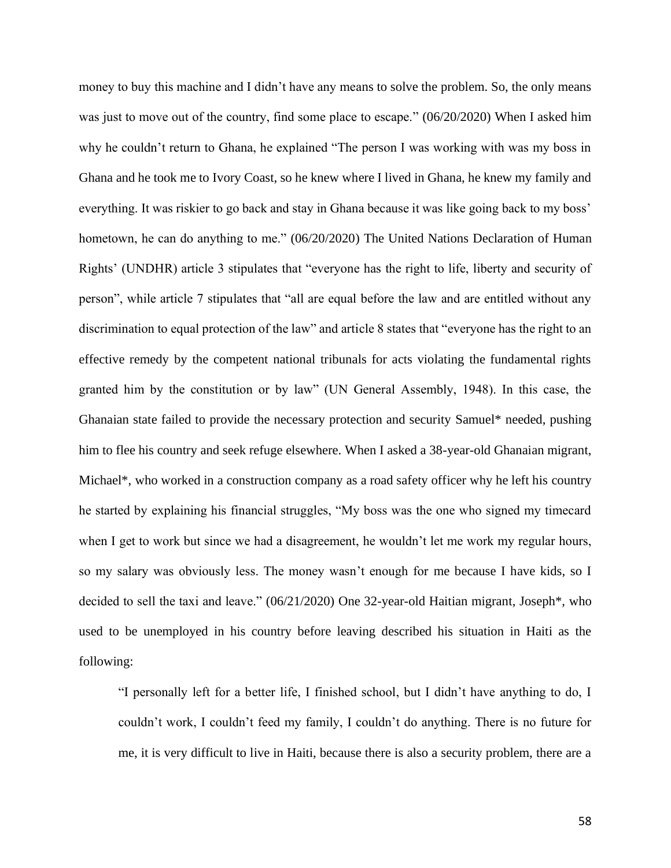money to buy this machine and I didn't have any means to solve the problem. So, the only means was just to move out of the country, find some place to escape." (06/20/2020) When I asked him why he couldn't return to Ghana, he explained "The person I was working with was my boss in Ghana and he took me to Ivory Coast, so he knew where I lived in Ghana, he knew my family and everything. It was riskier to go back and stay in Ghana because it was like going back to my boss' hometown, he can do anything to me." (06/20/2020) The United Nations Declaration of Human Rights' (UNDHR) article 3 stipulates that "everyone has the right to life, liberty and security of person", while article 7 stipulates that "all are equal before the law and are entitled without any discrimination to equal protection of the law" and article 8 states that "everyone has the right to an effective remedy by the competent national tribunals for acts violating the fundamental rights granted him by the constitution or by law" (UN General Assembly, 1948). In this case, the Ghanaian state failed to provide the necessary protection and security Samuel\* needed, pushing him to flee his country and seek refuge elsewhere. When I asked a 38-year-old Ghanaian migrant, Michael\*, who worked in a construction company as a road safety officer why he left his country he started by explaining his financial struggles, "My boss was the one who signed my timecard when I get to work but since we had a disagreement, he wouldn't let me work my regular hours, so my salary was obviously less. The money wasn't enough for me because I have kids, so I decided to sell the taxi and leave." (06/21/2020) One 32-year-old Haitian migrant, Joseph\*, who used to be unemployed in his country before leaving described his situation in Haiti as the following:

"I personally left for a better life, I finished school, but I didn't have anything to do, I couldn't work, I couldn't feed my family, I couldn't do anything. There is no future for me, it is very difficult to live in Haiti, because there is also a security problem, there are a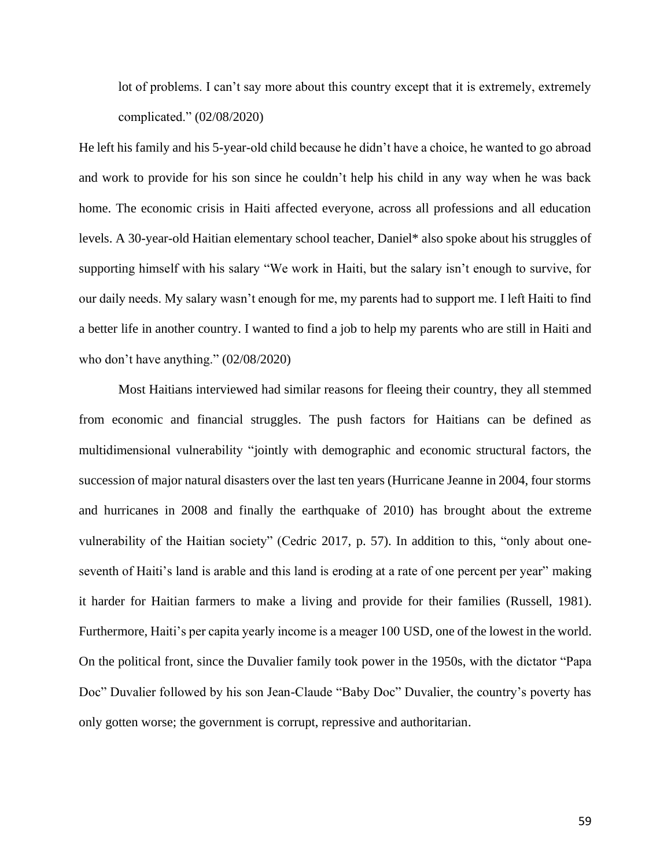lot of problems. I can't say more about this country except that it is extremely, extremely complicated." (02/08/2020)

He left his family and his 5-year-old child because he didn't have a choice, he wanted to go abroad and work to provide for his son since he couldn't help his child in any way when he was back home. The economic crisis in Haiti affected everyone, across all professions and all education levels. A 30-year-old Haitian elementary school teacher, Daniel\* also spoke about his struggles of supporting himself with his salary "We work in Haiti, but the salary isn't enough to survive, for our daily needs. My salary wasn't enough for me, my parents had to support me. I left Haiti to find a better life in another country. I wanted to find a job to help my parents who are still in Haiti and who don't have anything." (02/08/2020)

Most Haitians interviewed had similar reasons for fleeing their country, they all stemmed from economic and financial struggles. The push factors for Haitians can be defined as multidimensional vulnerability "jointly with demographic and economic structural factors, the succession of major natural disasters over the last ten years (Hurricane Jeanne in 2004, four storms and hurricanes in 2008 and finally the earthquake of 2010) has brought about the extreme vulnerability of the Haitian society" (Cedric 2017, p. 57). In addition to this, "only about oneseventh of Haiti's land is arable and this land is eroding at a rate of one percent per year" making it harder for Haitian farmers to make a living and provide for their families (Russell, 1981). Furthermore, Haiti's per capita yearly income is a meager 100 USD, one of the lowest in the world. On the political front, since the Duvalier family took power in the 1950s, with the dictator "Papa Doc" Duvalier followed by his son Jean-Claude "Baby Doc" Duvalier, the country's poverty has only gotten worse; the government is corrupt, repressive and authoritarian.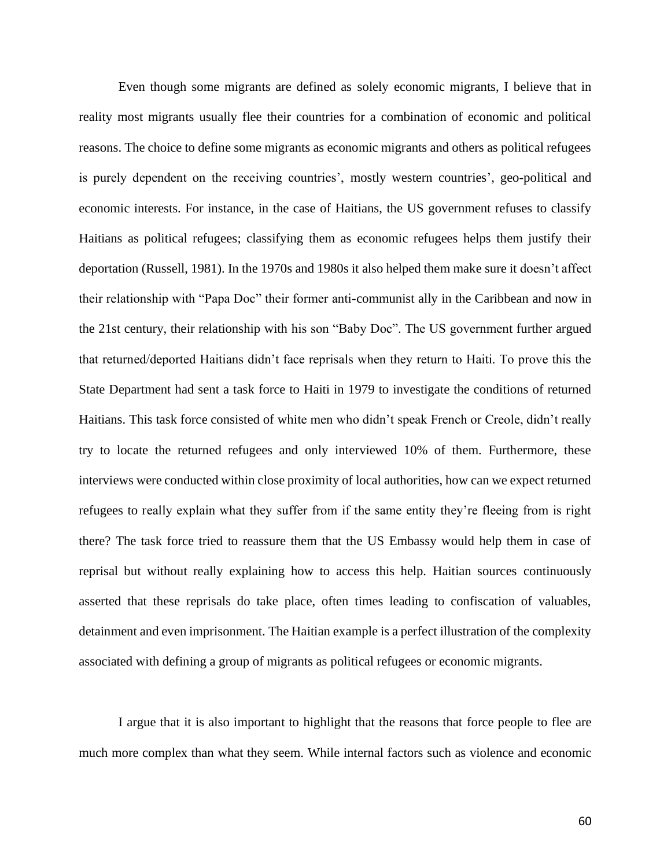Even though some migrants are defined as solely economic migrants, I believe that in reality most migrants usually flee their countries for a combination of economic and political reasons. The choice to define some migrants as economic migrants and others as political refugees is purely dependent on the receiving countries', mostly western countries', geo-political and economic interests. For instance, in the case of Haitians, the US government refuses to classify Haitians as political refugees; classifying them as economic refugees helps them justify their deportation (Russell, 1981). In the 1970s and 1980s it also helped them make sure it doesn't affect their relationship with "Papa Doc" their former anti-communist ally in the Caribbean and now in the 21st century, their relationship with his son "Baby Doc". The US government further argued that returned/deported Haitians didn't face reprisals when they return to Haiti. To prove this the State Department had sent a task force to Haiti in 1979 to investigate the conditions of returned Haitians. This task force consisted of white men who didn't speak French or Creole, didn't really try to locate the returned refugees and only interviewed 10% of them. Furthermore, these interviews were conducted within close proximity of local authorities, how can we expect returned refugees to really explain what they suffer from if the same entity they're fleeing from is right there? The task force tried to reassure them that the US Embassy would help them in case of reprisal but without really explaining how to access this help. Haitian sources continuously asserted that these reprisals do take place, often times leading to confiscation of valuables, detainment and even imprisonment. The Haitian example is a perfect illustration of the complexity associated with defining a group of migrants as political refugees or economic migrants.

I argue that it is also important to highlight that the reasons that force people to flee are much more complex than what they seem. While internal factors such as violence and economic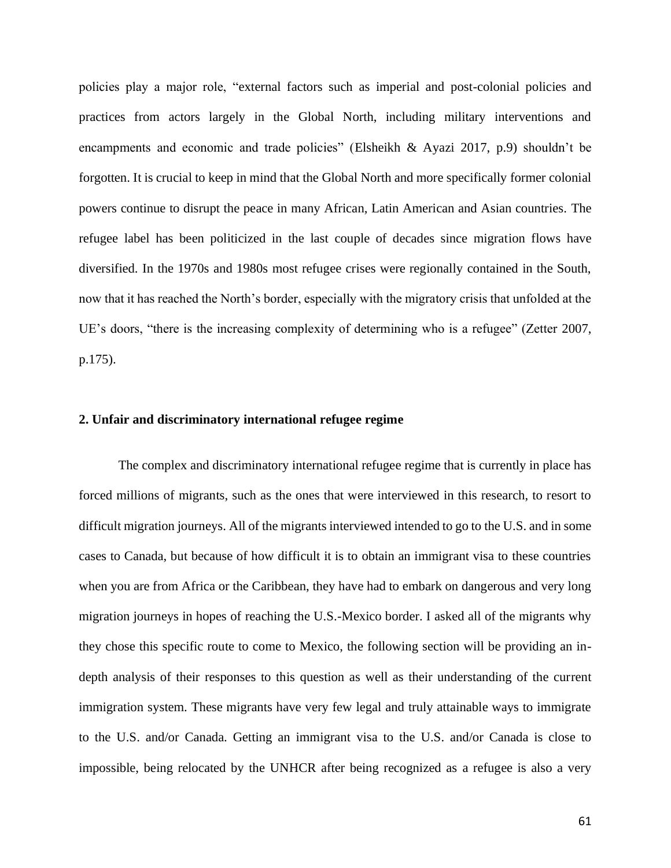policies play a major role, "external factors such as imperial and post-colonial policies and practices from actors largely in the Global North, including military interventions and encampments and economic and trade policies" (Elsheikh & Ayazi 2017, p.9) shouldn't be forgotten. It is crucial to keep in mind that the Global North and more specifically former colonial powers continue to disrupt the peace in many African, Latin American and Asian countries. The refugee label has been politicized in the last couple of decades since migration flows have diversified. In the 1970s and 1980s most refugee crises were regionally contained in the South, now that it has reached the North's border, especially with the migratory crisis that unfolded at the UE's doors, "there is the increasing complexity of determining who is a refugee" (Zetter 2007, p.175).

## **2. Unfair and discriminatory international refugee regime**

The complex and discriminatory international refugee regime that is currently in place has forced millions of migrants, such as the ones that were interviewed in this research, to resort to difficult migration journeys. All of the migrants interviewed intended to go to the U.S. and in some cases to Canada, but because of how difficult it is to obtain an immigrant visa to these countries when you are from Africa or the Caribbean, they have had to embark on dangerous and very long migration journeys in hopes of reaching the U.S.-Mexico border. I asked all of the migrants why they chose this specific route to come to Mexico, the following section will be providing an indepth analysis of their responses to this question as well as their understanding of the current immigration system. These migrants have very few legal and truly attainable ways to immigrate to the U.S. and/or Canada. Getting an immigrant visa to the U.S. and/or Canada is close to impossible, being relocated by the UNHCR after being recognized as a refugee is also a very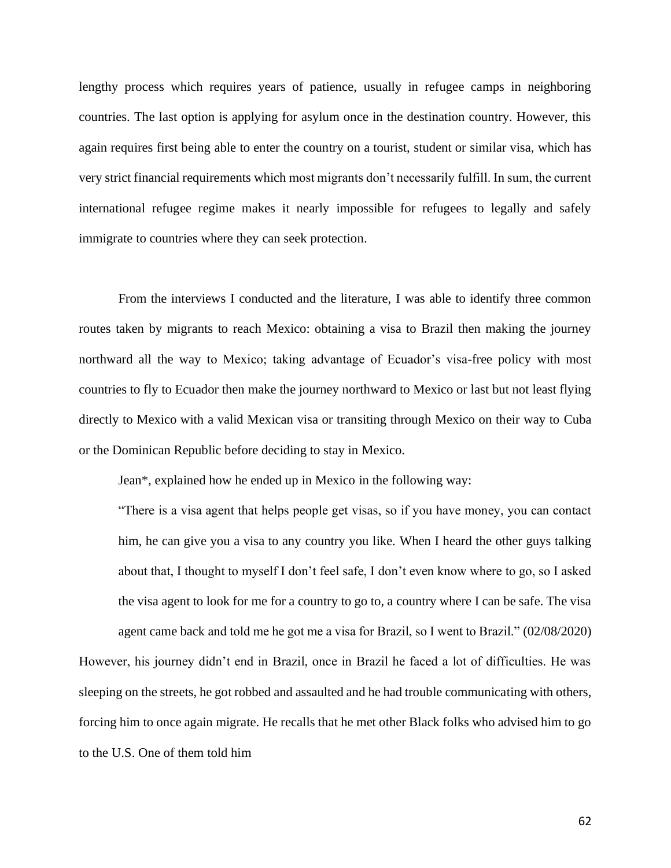lengthy process which requires years of patience, usually in refugee camps in neighboring countries. The last option is applying for asylum once in the destination country. However, this again requires first being able to enter the country on a tourist, student or similar visa, which has very strict financial requirements which most migrants don't necessarily fulfill. In sum, the current international refugee regime makes it nearly impossible for refugees to legally and safely immigrate to countries where they can seek protection.

From the interviews I conducted and the literature, I was able to identify three common routes taken by migrants to reach Mexico: obtaining a visa to Brazil then making the journey northward all the way to Mexico; taking advantage of Ecuador's visa-free policy with most countries to fly to Ecuador then make the journey northward to Mexico or last but not least flying directly to Mexico with a valid Mexican visa or transiting through Mexico on their way to Cuba or the Dominican Republic before deciding to stay in Mexico.

Jean\*, explained how he ended up in Mexico in the following way:

"There is a visa agent that helps people get visas, so if you have money, you can contact him, he can give you a visa to any country you like. When I heard the other guys talking about that, I thought to myself I don't feel safe, I don't even know where to go, so I asked the visa agent to look for me for a country to go to, a country where I can be safe. The visa agent came back and told me he got me a visa for Brazil, so I went to Brazil." (02/08/2020) However, his journey didn't end in Brazil, once in Brazil he faced a lot of difficulties. He was sleeping on the streets, he got robbed and assaulted and he had trouble communicating with others,

forcing him to once again migrate. He recalls that he met other Black folks who advised him to go to the U.S. One of them told him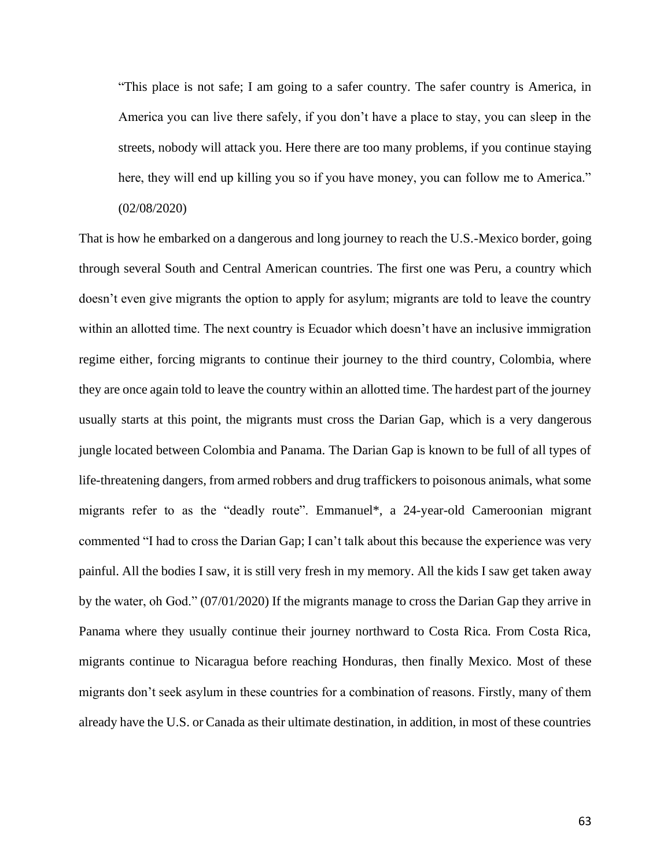"This place is not safe; I am going to a safer country. The safer country is America, in America you can live there safely, if you don't have a place to stay, you can sleep in the streets, nobody will attack you. Here there are too many problems, if you continue staying here, they will end up killing you so if you have money, you can follow me to America." (02/08/2020)

That is how he embarked on a dangerous and long journey to reach the U.S.-Mexico border, going through several South and Central American countries. The first one was Peru, a country which doesn't even give migrants the option to apply for asylum; migrants are told to leave the country within an allotted time. The next country is Ecuador which doesn't have an inclusive immigration regime either, forcing migrants to continue their journey to the third country, Colombia, where they are once again told to leave the country within an allotted time. The hardest part of the journey usually starts at this point, the migrants must cross the Darian Gap, which is a very dangerous jungle located between Colombia and Panama. The Darian Gap is known to be full of all types of life-threatening dangers, from armed robbers and drug traffickers to poisonous animals, what some migrants refer to as the "deadly route". Emmanuel\*, a 24-year-old Cameroonian migrant commented "I had to cross the Darian Gap; I can't talk about this because the experience was very painful. All the bodies I saw, it is still very fresh in my memory. All the kids I saw get taken away by the water, oh God." (07/01/2020) If the migrants manage to cross the Darian Gap they arrive in Panama where they usually continue their journey northward to Costa Rica. From Costa Rica, migrants continue to Nicaragua before reaching Honduras, then finally Mexico. Most of these migrants don't seek asylum in these countries for a combination of reasons. Firstly, many of them already have the U.S. or Canada as their ultimate destination, in addition, in most of these countries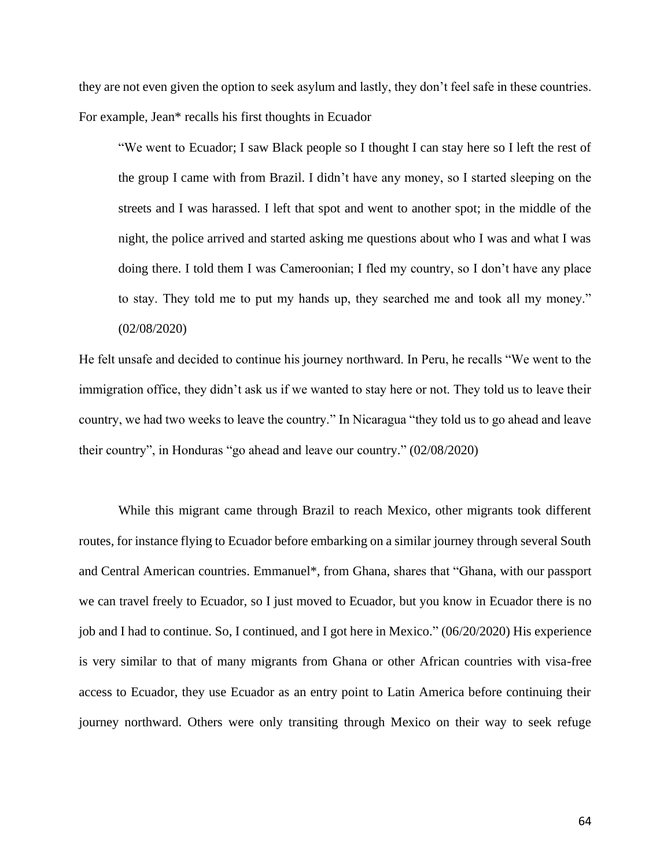they are not even given the option to seek asylum and lastly, they don't feel safe in these countries. For example, Jean\* recalls his first thoughts in Ecuador

"We went to Ecuador; I saw Black people so I thought I can stay here so I left the rest of the group I came with from Brazil. I didn't have any money, so I started sleeping on the streets and I was harassed. I left that spot and went to another spot; in the middle of the night, the police arrived and started asking me questions about who I was and what I was doing there. I told them I was Cameroonian; I fled my country, so I don't have any place to stay. They told me to put my hands up, they searched me and took all my money." (02/08/2020)

He felt unsafe and decided to continue his journey northward. In Peru, he recalls "We went to the immigration office, they didn't ask us if we wanted to stay here or not. They told us to leave their country, we had two weeks to leave the country." In Nicaragua "they told us to go ahead and leave their country", in Honduras "go ahead and leave our country." (02/08/2020)

While this migrant came through Brazil to reach Mexico, other migrants took different routes, for instance flying to Ecuador before embarking on a similar journey through several South and Central American countries. Emmanuel\*, from Ghana, shares that "Ghana, with our passport we can travel freely to Ecuador, so I just moved to Ecuador, but you know in Ecuador there is no job and I had to continue. So, I continued, and I got here in Mexico." (06/20/2020) His experience is very similar to that of many migrants from Ghana or other African countries with visa-free access to Ecuador, they use Ecuador as an entry point to Latin America before continuing their journey northward. Others were only transiting through Mexico on their way to seek refuge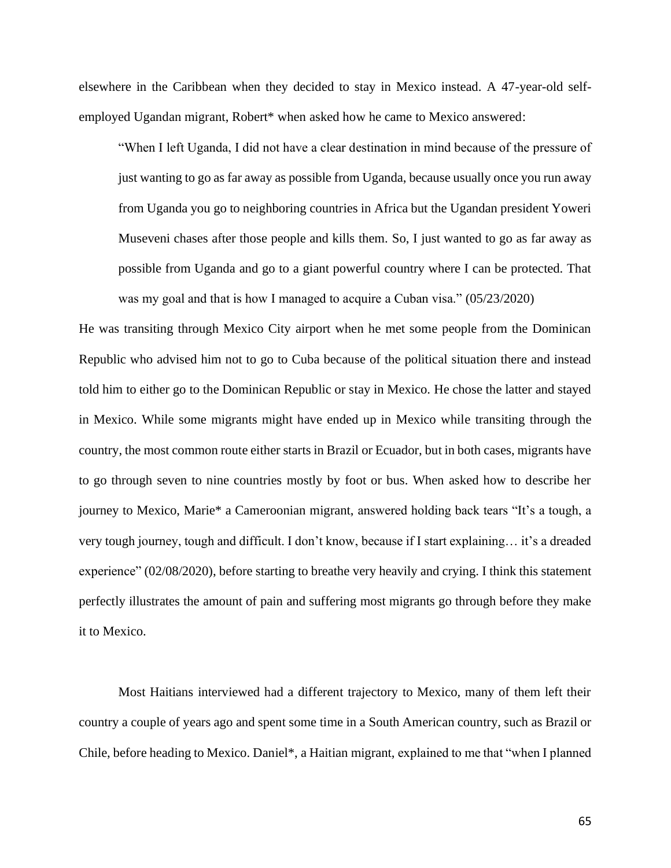elsewhere in the Caribbean when they decided to stay in Mexico instead. A 47-year-old selfemployed Ugandan migrant, Robert\* when asked how he came to Mexico answered:

"When I left Uganda, I did not have a clear destination in mind because of the pressure of just wanting to go as far away as possible from Uganda, because usually once you run away from Uganda you go to neighboring countries in Africa but the Ugandan president Yoweri Museveni chases after those people and kills them. So, I just wanted to go as far away as possible from Uganda and go to a giant powerful country where I can be protected. That was my goal and that is how I managed to acquire a Cuban visa." (05/23/2020)

He was transiting through Mexico City airport when he met some people from the Dominican Republic who advised him not to go to Cuba because of the political situation there and instead told him to either go to the Dominican Republic or stay in Mexico. He chose the latter and stayed in Mexico. While some migrants might have ended up in Mexico while transiting through the country, the most common route either starts in Brazil or Ecuador, but in both cases, migrants have to go through seven to nine countries mostly by foot or bus. When asked how to describe her journey to Mexico, Marie\* a Cameroonian migrant, answered holding back tears "It's a tough, a very tough journey, tough and difficult. I don't know, because if I start explaining… it's a dreaded experience" (02/08/2020), before starting to breathe very heavily and crying. I think this statement perfectly illustrates the amount of pain and suffering most migrants go through before they make it to Mexico.

Most Haitians interviewed had a different trajectory to Mexico, many of them left their country a couple of years ago and spent some time in a South American country, such as Brazil or Chile, before heading to Mexico. Daniel\*, a Haitian migrant, explained to me that "when I planned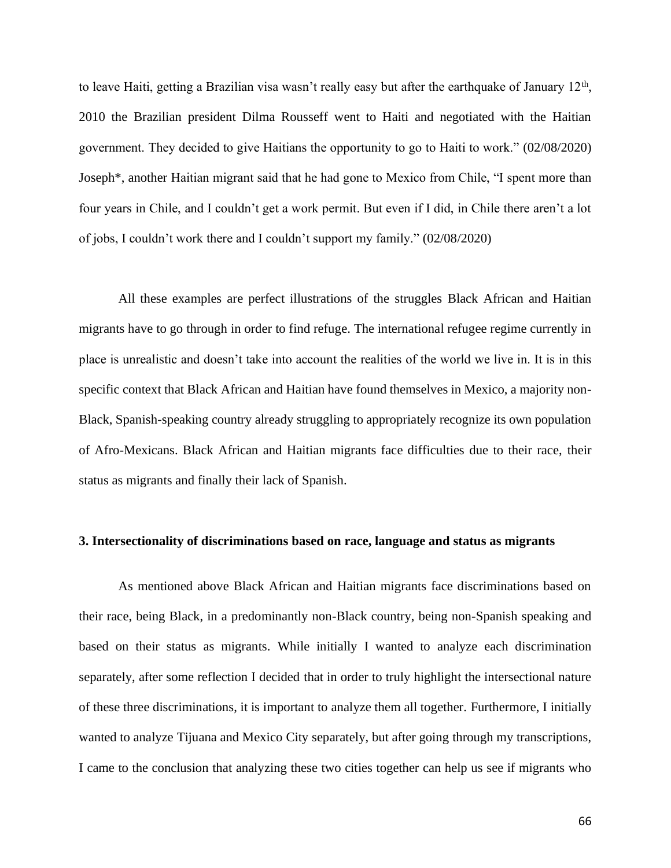to leave Haiti, getting a Brazilian visa wasn't really easy but after the earthquake of January  $12<sup>th</sup>$ , 2010 the Brazilian president Dilma Rousseff went to Haiti and negotiated with the Haitian government. They decided to give Haitians the opportunity to go to Haiti to work." (02/08/2020) Joseph\*, another Haitian migrant said that he had gone to Mexico from Chile, "I spent more than four years in Chile, and I couldn't get a work permit. But even if I did, in Chile there aren't a lot of jobs, I couldn't work there and I couldn't support my family." (02/08/2020)

All these examples are perfect illustrations of the struggles Black African and Haitian migrants have to go through in order to find refuge. The international refugee regime currently in place is unrealistic and doesn't take into account the realities of the world we live in. It is in this specific context that Black African and Haitian have found themselves in Mexico, a majority non-Black, Spanish-speaking country already struggling to appropriately recognize its own population of Afro-Mexicans. Black African and Haitian migrants face difficulties due to their race, their status as migrants and finally their lack of Spanish.

#### **3. Intersectionality of discriminations based on race, language and status as migrants**

As mentioned above Black African and Haitian migrants face discriminations based on their race, being Black, in a predominantly non-Black country, being non-Spanish speaking and based on their status as migrants. While initially I wanted to analyze each discrimination separately, after some reflection I decided that in order to truly highlight the intersectional nature of these three discriminations, it is important to analyze them all together. Furthermore, I initially wanted to analyze Tijuana and Mexico City separately, but after going through my transcriptions, I came to the conclusion that analyzing these two cities together can help us see if migrants who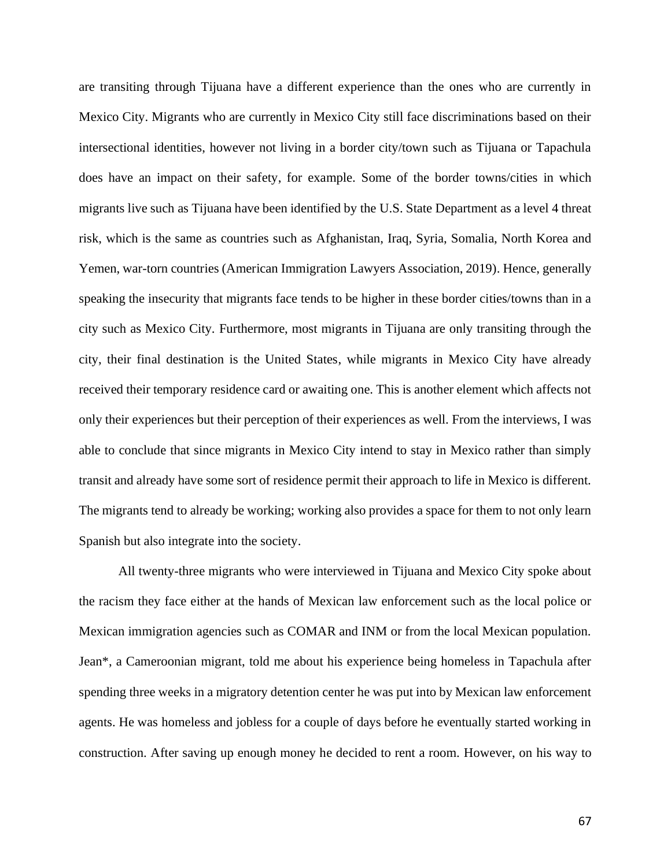are transiting through Tijuana have a different experience than the ones who are currently in Mexico City. Migrants who are currently in Mexico City still face discriminations based on their intersectional identities, however not living in a border city/town such as Tijuana or Tapachula does have an impact on their safety, for example. Some of the border towns/cities in which migrants live such as Tijuana have been identified by the U.S. State Department as a level 4 threat risk, which is the same as countries such as Afghanistan, Iraq, Syria, Somalia, North Korea and Yemen, war-torn countries (American Immigration Lawyers Association, 2019). Hence, generally speaking the insecurity that migrants face tends to be higher in these border cities/towns than in a city such as Mexico City. Furthermore, most migrants in Tijuana are only transiting through the city, their final destination is the United States, while migrants in Mexico City have already received their temporary residence card or awaiting one. This is another element which affects not only their experiences but their perception of their experiences as well. From the interviews, I was able to conclude that since migrants in Mexico City intend to stay in Mexico rather than simply transit and already have some sort of residence permit their approach to life in Mexico is different. The migrants tend to already be working; working also provides a space for them to not only learn Spanish but also integrate into the society.

All twenty-three migrants who were interviewed in Tijuana and Mexico City spoke about the racism they face either at the hands of Mexican law enforcement such as the local police or Mexican immigration agencies such as COMAR and INM or from the local Mexican population. Jean\*, a Cameroonian migrant, told me about his experience being homeless in Tapachula after spending three weeks in a migratory detention center he was put into by Mexican law enforcement agents. He was homeless and jobless for a couple of days before he eventually started working in construction. After saving up enough money he decided to rent a room. However, on his way to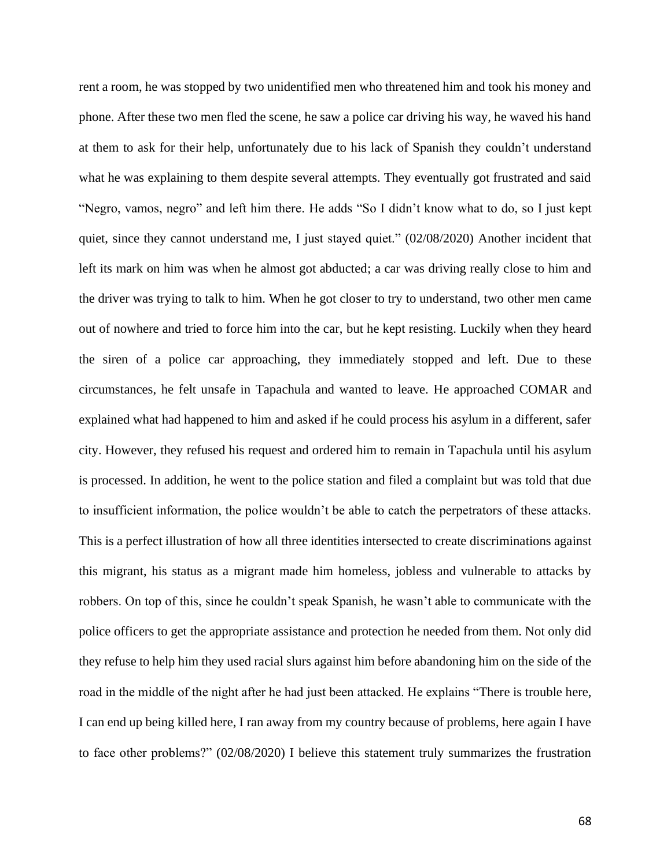rent a room, he was stopped by two unidentified men who threatened him and took his money and phone. After these two men fled the scene, he saw a police car driving his way, he waved his hand at them to ask for their help, unfortunately due to his lack of Spanish they couldn't understand what he was explaining to them despite several attempts. They eventually got frustrated and said "Negro, vamos, negro" and left him there. He adds "So I didn't know what to do, so I just kept quiet, since they cannot understand me, I just stayed quiet." (02/08/2020) Another incident that left its mark on him was when he almost got abducted; a car was driving really close to him and the driver was trying to talk to him. When he got closer to try to understand, two other men came out of nowhere and tried to force him into the car, but he kept resisting. Luckily when they heard the siren of a police car approaching, they immediately stopped and left. Due to these circumstances, he felt unsafe in Tapachula and wanted to leave. He approached COMAR and explained what had happened to him and asked if he could process his asylum in a different, safer city. However, they refused his request and ordered him to remain in Tapachula until his asylum is processed. In addition, he went to the police station and filed a complaint but was told that due to insufficient information, the police wouldn't be able to catch the perpetrators of these attacks. This is a perfect illustration of how all three identities intersected to create discriminations against this migrant, his status as a migrant made him homeless, jobless and vulnerable to attacks by robbers. On top of this, since he couldn't speak Spanish, he wasn't able to communicate with the police officers to get the appropriate assistance and protection he needed from them. Not only did they refuse to help him they used racial slurs against him before abandoning him on the side of the road in the middle of the night after he had just been attacked. He explains "There is trouble here, I can end up being killed here, I ran away from my country because of problems, here again I have to face other problems?" (02/08/2020) I believe this statement truly summarizes the frustration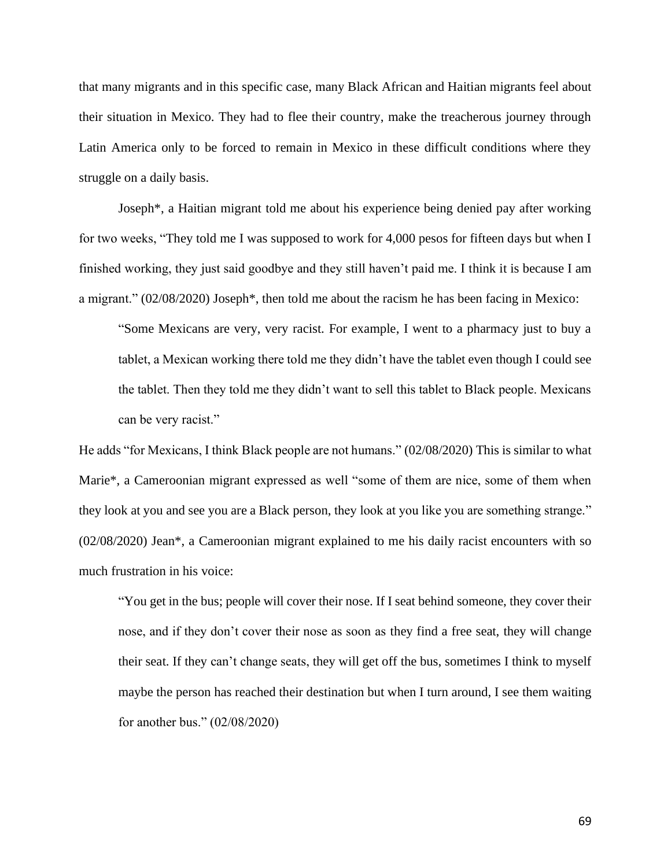that many migrants and in this specific case, many Black African and Haitian migrants feel about their situation in Mexico. They had to flee their country, make the treacherous journey through Latin America only to be forced to remain in Mexico in these difficult conditions where they struggle on a daily basis.

Joseph\*, a Haitian migrant told me about his experience being denied pay after working for two weeks, "They told me I was supposed to work for 4,000 pesos for fifteen days but when I finished working, they just said goodbye and they still haven't paid me. I think it is because I am a migrant." (02/08/2020) Joseph\*, then told me about the racism he has been facing in Mexico:

"Some Mexicans are very, very racist. For example, I went to a pharmacy just to buy a tablet, a Mexican working there told me they didn't have the tablet even though I could see the tablet. Then they told me they didn't want to sell this tablet to Black people. Mexicans can be very racist."

He adds "for Mexicans, I think Black people are not humans." (02/08/2020) This is similar to what Marie\*, a Cameroonian migrant expressed as well "some of them are nice, some of them when they look at you and see you are a Black person, they look at you like you are something strange." (02/08/2020) Jean\*, a Cameroonian migrant explained to me his daily racist encounters with so much frustration in his voice:

"You get in the bus; people will cover their nose. If I seat behind someone, they cover their nose, and if they don't cover their nose as soon as they find a free seat, they will change their seat. If they can't change seats, they will get off the bus, sometimes I think to myself maybe the person has reached their destination but when I turn around, I see them waiting for another bus." (02/08/2020)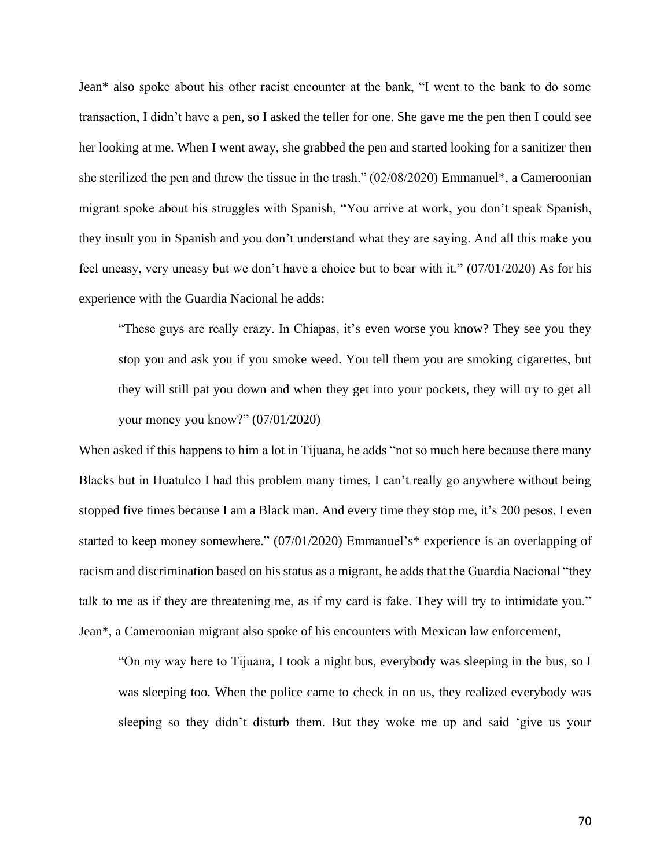Jean\* also spoke about his other racist encounter at the bank, "I went to the bank to do some transaction, I didn't have a pen, so I asked the teller for one. She gave me the pen then I could see her looking at me. When I went away, she grabbed the pen and started looking for a sanitizer then she sterilized the pen and threw the tissue in the trash." (02/08/2020) Emmanuel\*, a Cameroonian migrant spoke about his struggles with Spanish, "You arrive at work, you don't speak Spanish, they insult you in Spanish and you don't understand what they are saying. And all this make you feel uneasy, very uneasy but we don't have a choice but to bear with it." (07/01/2020) As for his experience with the Guardia Nacional he adds:

"These guys are really crazy. In Chiapas, it's even worse you know? They see you they stop you and ask you if you smoke weed. You tell them you are smoking cigarettes, but they will still pat you down and when they get into your pockets, they will try to get all your money you know?" (07/01/2020)

When asked if this happens to him a lot in Tijuana, he adds "not so much here because there many Blacks but in Huatulco I had this problem many times, I can't really go anywhere without being stopped five times because I am a Black man. And every time they stop me, it's 200 pesos, I even started to keep money somewhere." (07/01/2020) Emmanuel's\* experience is an overlapping of racism and discrimination based on his status as a migrant, he adds that the Guardia Nacional "they talk to me as if they are threatening me, as if my card is fake. They will try to intimidate you." Jean\*, a Cameroonian migrant also spoke of his encounters with Mexican law enforcement,

"On my way here to Tijuana, I took a night bus, everybody was sleeping in the bus, so I was sleeping too. When the police came to check in on us, they realized everybody was sleeping so they didn't disturb them. But they woke me up and said 'give us your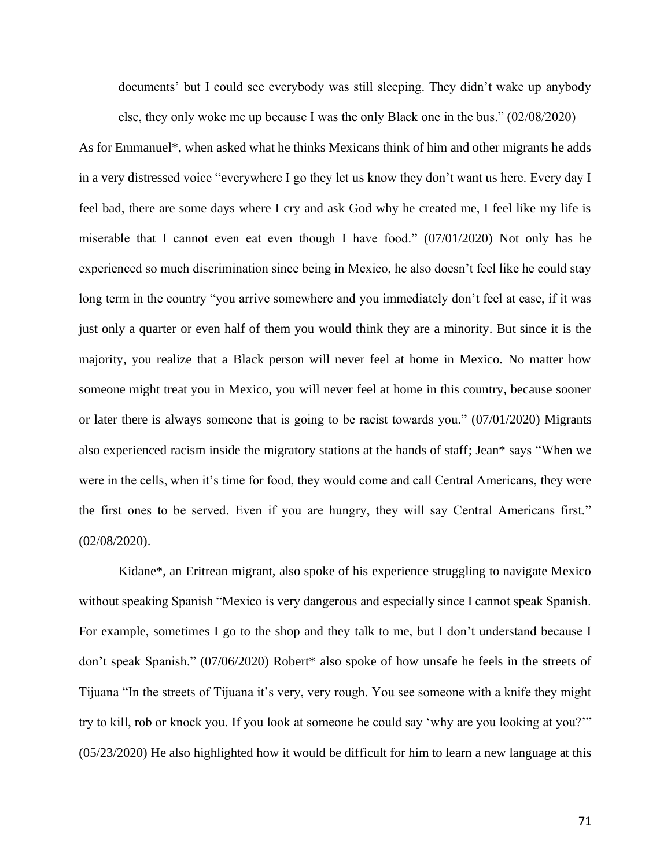documents' but I could see everybody was still sleeping. They didn't wake up anybody else, they only woke me up because I was the only Black one in the bus." (02/08/2020)

As for Emmanuel\*, when asked what he thinks Mexicans think of him and other migrants he adds in a very distressed voice "everywhere I go they let us know they don't want us here. Every day I feel bad, there are some days where I cry and ask God why he created me, I feel like my life is miserable that I cannot even eat even though I have food." (07/01/2020) Not only has he experienced so much discrimination since being in Mexico, he also doesn't feel like he could stay long term in the country "you arrive somewhere and you immediately don't feel at ease, if it was just only a quarter or even half of them you would think they are a minority. But since it is the majority, you realize that a Black person will never feel at home in Mexico. No matter how someone might treat you in Mexico, you will never feel at home in this country, because sooner or later there is always someone that is going to be racist towards you." (07/01/2020) Migrants also experienced racism inside the migratory stations at the hands of staff; Jean\* says "When we were in the cells, when it's time for food, they would come and call Central Americans, they were the first ones to be served. Even if you are hungry, they will say Central Americans first." (02/08/2020).

Kidane\*, an Eritrean migrant, also spoke of his experience struggling to navigate Mexico without speaking Spanish "Mexico is very dangerous and especially since I cannot speak Spanish. For example, sometimes I go to the shop and they talk to me, but I don't understand because I don't speak Spanish." (07/06/2020) Robert\* also spoke of how unsafe he feels in the streets of Tijuana "In the streets of Tijuana it's very, very rough. You see someone with a knife they might try to kill, rob or knock you. If you look at someone he could say 'why are you looking at you?'" (05/23/2020) He also highlighted how it would be difficult for him to learn a new language at this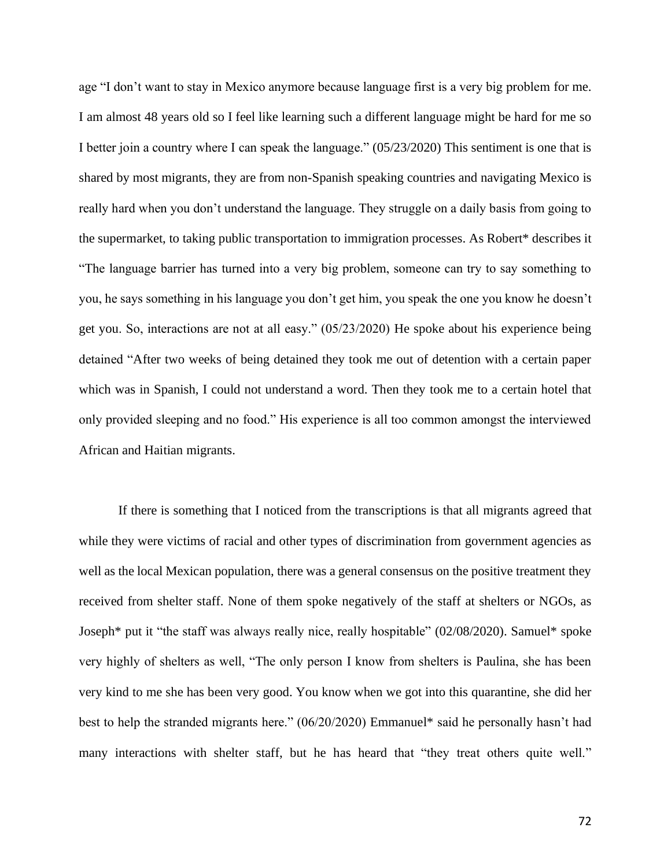age "I don't want to stay in Mexico anymore because language first is a very big problem for me. I am almost 48 years old so I feel like learning such a different language might be hard for me so I better join a country where I can speak the language." (05/23/2020) This sentiment is one that is shared by most migrants, they are from non-Spanish speaking countries and navigating Mexico is really hard when you don't understand the language. They struggle on a daily basis from going to the supermarket, to taking public transportation to immigration processes. As Robert\* describes it "The language barrier has turned into a very big problem, someone can try to say something to you, he says something in his language you don't get him, you speak the one you know he doesn't get you. So, interactions are not at all easy." (05/23/2020) He spoke about his experience being detained "After two weeks of being detained they took me out of detention with a certain paper which was in Spanish, I could not understand a word. Then they took me to a certain hotel that only provided sleeping and no food." His experience is all too common amongst the interviewed African and Haitian migrants.

If there is something that I noticed from the transcriptions is that all migrants agreed that while they were victims of racial and other types of discrimination from government agencies as well as the local Mexican population, there was a general consensus on the positive treatment they received from shelter staff. None of them spoke negatively of the staff at shelters or NGOs, as Joseph\* put it "the staff was always really nice, really hospitable" (02/08/2020). Samuel\* spoke very highly of shelters as well, "The only person I know from shelters is Paulina, she has been very kind to me she has been very good. You know when we got into this quarantine, she did her best to help the stranded migrants here." (06/20/2020) Emmanuel\* said he personally hasn't had many interactions with shelter staff, but he has heard that "they treat others quite well."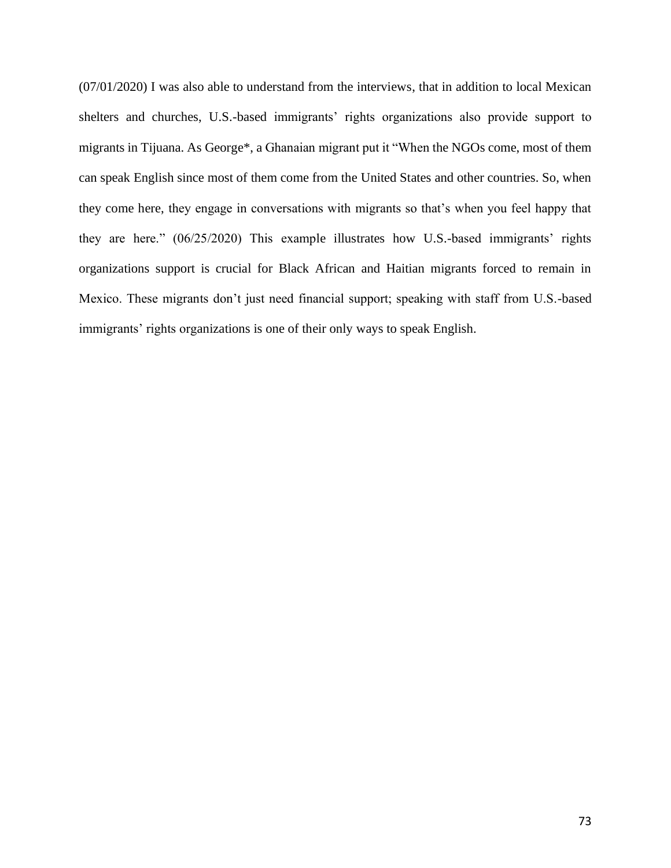(07/01/2020) I was also able to understand from the interviews, that in addition to local Mexican shelters and churches, U.S.-based immigrants' rights organizations also provide support to migrants in Tijuana. As George\*, a Ghanaian migrant put it "When the NGOs come, most of them can speak English since most of them come from the United States and other countries. So, when they come here, they engage in conversations with migrants so that's when you feel happy that they are here." (06/25/2020) This example illustrates how U.S.-based immigrants' rights organizations support is crucial for Black African and Haitian migrants forced to remain in Mexico. These migrants don't just need financial support; speaking with staff from U.S.-based immigrants' rights organizations is one of their only ways to speak English.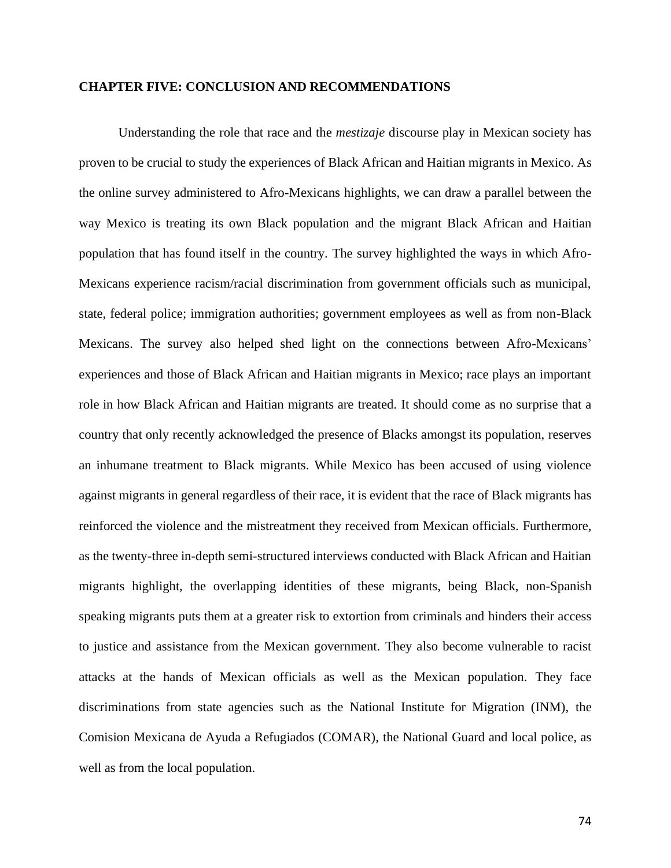#### **CHAPTER FIVE: CONCLUSION AND RECOMMENDATIONS**

Understanding the role that race and the *mestizaje* discourse play in Mexican society has proven to be crucial to study the experiences of Black African and Haitian migrants in Mexico. As the online survey administered to Afro-Mexicans highlights, we can draw a parallel between the way Mexico is treating its own Black population and the migrant Black African and Haitian population that has found itself in the country. The survey highlighted the ways in which Afro-Mexicans experience racism/racial discrimination from government officials such as municipal, state, federal police; immigration authorities; government employees as well as from non-Black Mexicans. The survey also helped shed light on the connections between Afro-Mexicans' experiences and those of Black African and Haitian migrants in Mexico; race plays an important role in how Black African and Haitian migrants are treated. It should come as no surprise that a country that only recently acknowledged the presence of Blacks amongst its population, reserves an inhumane treatment to Black migrants. While Mexico has been accused of using violence against migrants in general regardless of their race, it is evident that the race of Black migrants has reinforced the violence and the mistreatment they received from Mexican officials. Furthermore, as the twenty-three in-depth semi-structured interviews conducted with Black African and Haitian migrants highlight, the overlapping identities of these migrants, being Black, non-Spanish speaking migrants puts them at a greater risk to extortion from criminals and hinders their access to justice and assistance from the Mexican government. They also become vulnerable to racist attacks at the hands of Mexican officials as well as the Mexican population. They face discriminations from state agencies such as the National Institute for Migration (INM), the Comision Mexicana de Ayuda a Refugiados (COMAR), the National Guard and local police, as well as from the local population.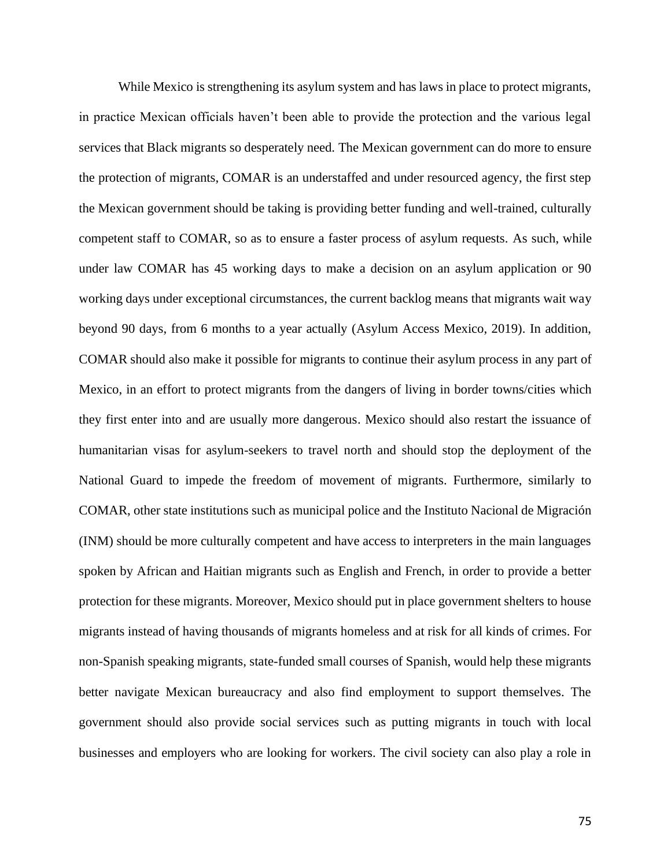While Mexico is strengthening its asylum system and has laws in place to protect migrants, in practice Mexican officials haven't been able to provide the protection and the various legal services that Black migrants so desperately need. The Mexican government can do more to ensure the protection of migrants, COMAR is an understaffed and under resourced agency, the first step the Mexican government should be taking is providing better funding and well-trained, culturally competent staff to COMAR, so as to ensure a faster process of asylum requests. As such, while under law COMAR has 45 working days to make a decision on an asylum application or 90 working days under exceptional circumstances, the current backlog means that migrants wait way beyond 90 days, from 6 months to a year actually (Asylum Access Mexico, 2019). In addition, COMAR should also make it possible for migrants to continue their asylum process in any part of Mexico, in an effort to protect migrants from the dangers of living in border towns/cities which they first enter into and are usually more dangerous. Mexico should also restart the issuance of humanitarian visas for asylum-seekers to travel north and should stop the deployment of the National Guard to impede the freedom of movement of migrants. Furthermore, similarly to COMAR, other state institutions such as municipal police and the Instituto Nacional de Migración (INM) should be more culturally competent and have access to interpreters in the main languages spoken by African and Haitian migrants such as English and French, in order to provide a better protection for these migrants. Moreover, Mexico should put in place government shelters to house migrants instead of having thousands of migrants homeless and at risk for all kinds of crimes. For non-Spanish speaking migrants, state-funded small courses of Spanish, would help these migrants better navigate Mexican bureaucracy and also find employment to support themselves. The government should also provide social services such as putting migrants in touch with local businesses and employers who are looking for workers. The civil society can also play a role in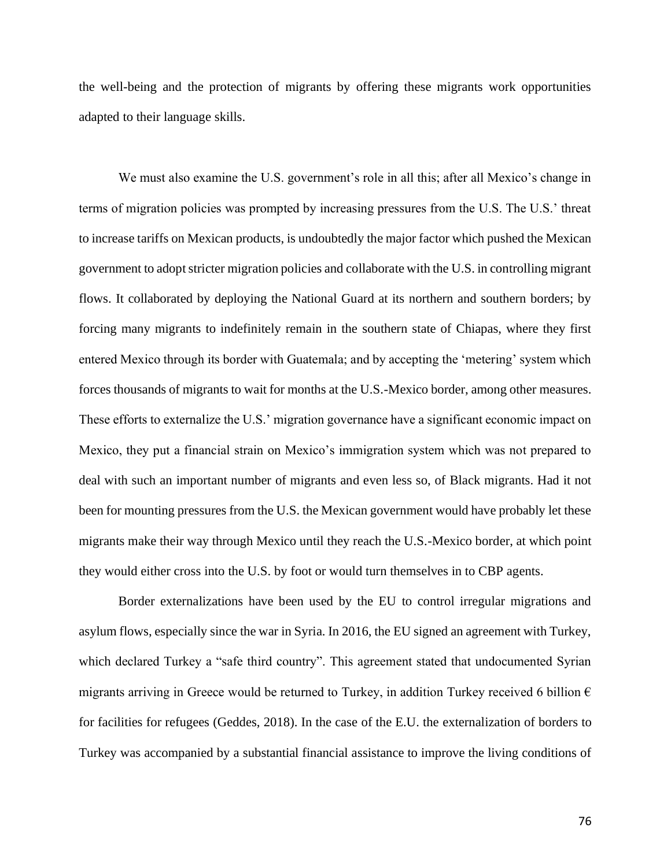the well-being and the protection of migrants by offering these migrants work opportunities adapted to their language skills.

We must also examine the U.S. government's role in all this; after all Mexico's change in terms of migration policies was prompted by increasing pressures from the U.S. The U.S.' threat to increase tariffs on Mexican products, is undoubtedly the major factor which pushed the Mexican government to adopt stricter migration policies and collaborate with the U.S. in controlling migrant flows. It collaborated by deploying the National Guard at its northern and southern borders; by forcing many migrants to indefinitely remain in the southern state of Chiapas, where they first entered Mexico through its border with Guatemala; and by accepting the 'metering' system which forces thousands of migrants to wait for months at the U.S.-Mexico border, among other measures. These efforts to externalize the U.S.' migration governance have a significant economic impact on Mexico, they put a financial strain on Mexico's immigration system which was not prepared to deal with such an important number of migrants and even less so, of Black migrants. Had it not been for mounting pressures from the U.S. the Mexican government would have probably let these migrants make their way through Mexico until they reach the U.S.-Mexico border, at which point they would either cross into the U.S. by foot or would turn themselves in to CBP agents.

Border externalizations have been used by the EU to control irregular migrations and asylum flows, especially since the war in Syria. In 2016, the EU signed an agreement with Turkey, which declared Turkey a "safe third country". This agreement stated that undocumented Syrian migrants arriving in Greece would be returned to Turkey, in addition Turkey received 6 billion  $\epsilon$ for facilities for refugees (Geddes, 2018). In the case of the E.U. the externalization of borders to Turkey was accompanied by a substantial financial assistance to improve the living conditions of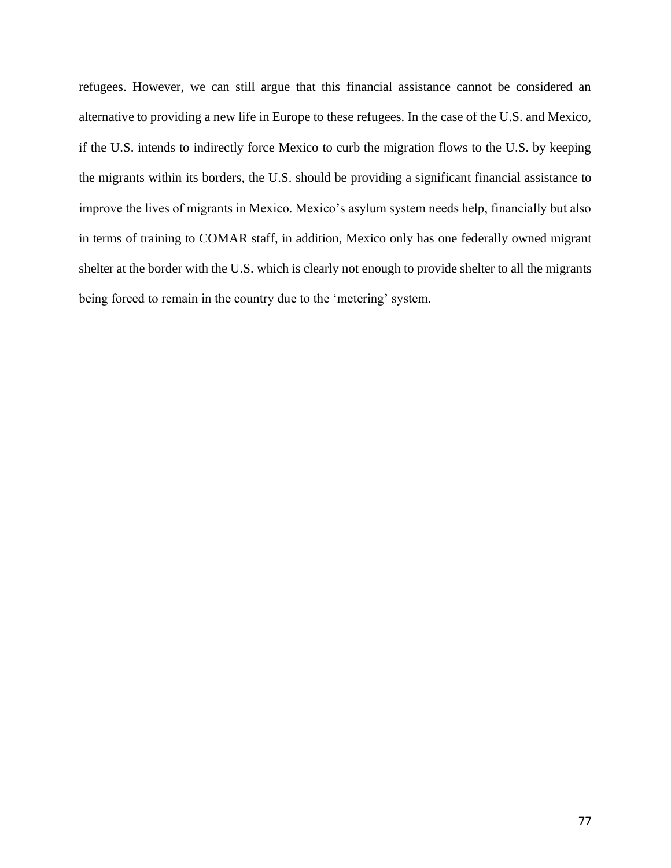refugees. However, we can still argue that this financial assistance cannot be considered an alternative to providing a new life in Europe to these refugees. In the case of the U.S. and Mexico, if the U.S. intends to indirectly force Mexico to curb the migration flows to the U.S. by keeping the migrants within its borders, the U.S. should be providing a significant financial assistance to improve the lives of migrants in Mexico. Mexico's asylum system needs help, financially but also in terms of training to COMAR staff, in addition, Mexico only has one federally owned migrant shelter at the border with the U.S. which is clearly not enough to provide shelter to all the migrants being forced to remain in the country due to the 'metering' system.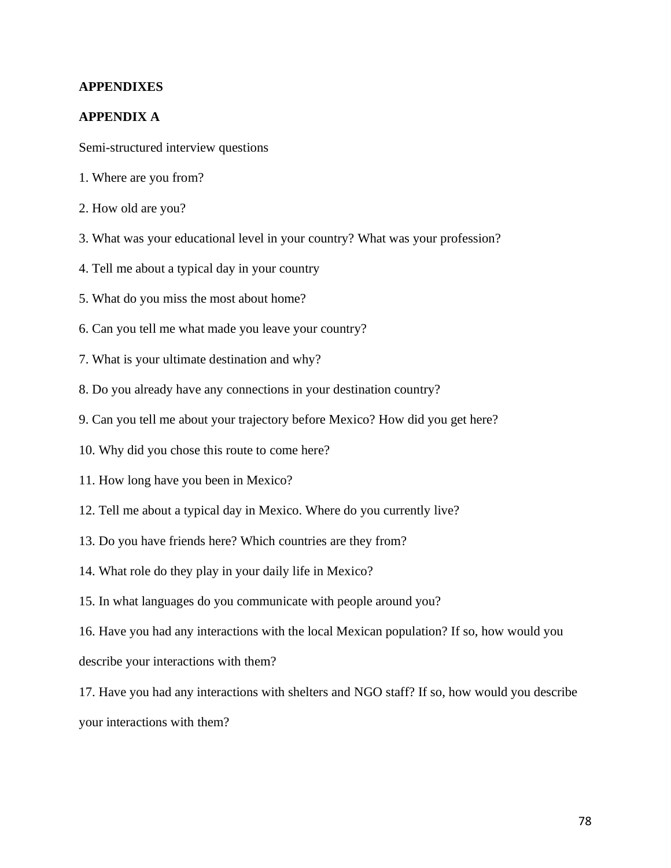## **APPENDIXES**

### **APPENDIX A**

Semi-structured interview questions

- 1. Where are you from?
- 2. How old are you?
- 3. What was your educational level in your country? What was your profession?
- 4. Tell me about a typical day in your country
- 5. What do you miss the most about home?
- 6. Can you tell me what made you leave your country?
- 7. What is your ultimate destination and why?
- 8. Do you already have any connections in your destination country?
- 9. Can you tell me about your trajectory before Mexico? How did you get here?
- 10. Why did you chose this route to come here?
- 11. How long have you been in Mexico?
- 12. Tell me about a typical day in Mexico. Where do you currently live?
- 13. Do you have friends here? Which countries are they from?
- 14. What role do they play in your daily life in Mexico?
- 15. In what languages do you communicate with people around you?

16. Have you had any interactions with the local Mexican population? If so, how would you describe your interactions with them?

17. Have you had any interactions with shelters and NGO staff? If so, how would you describe your interactions with them?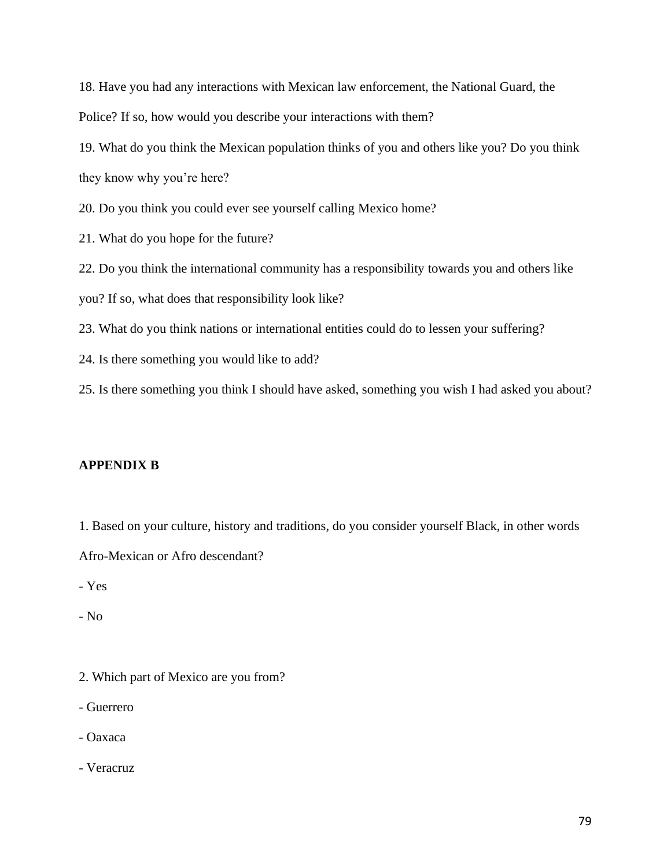18. Have you had any interactions with Mexican law enforcement, the National Guard, the Police? If so, how would you describe your interactions with them?

19. What do you think the Mexican population thinks of you and others like you? Do you think they know why you're here?

20. Do you think you could ever see yourself calling Mexico home?

21. What do you hope for the future?

22. Do you think the international community has a responsibility towards you and others like

you? If so, what does that responsibility look like?

23. What do you think nations or international entities could do to lessen your suffering?

24. Is there something you would like to add?

25. Is there something you think I should have asked, something you wish I had asked you about?

# **APPENDIX B**

1. Based on your culture, history and traditions, do you consider yourself Black, in other words Afro-Mexican or Afro descendant?

- Yes

- No

- 2. Which part of Mexico are you from?
- Guerrero
- Oaxaca
- Veracruz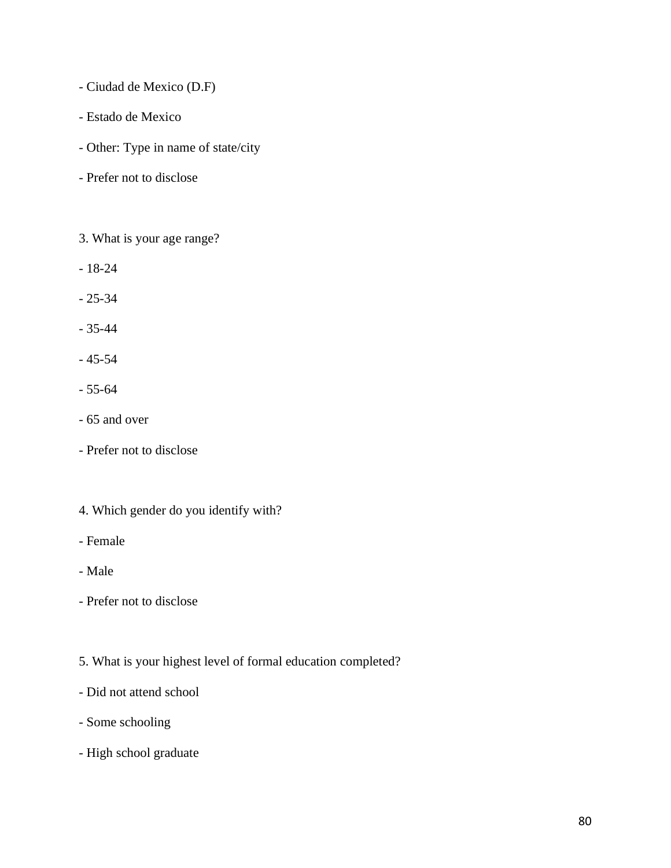- Ciudad de Mexico (D.F)
- Estado de Mexico
- Other: Type in name of state/city
- Prefer not to disclose
- 3. What is your age range?
- 18-24
- 25-34
- 35-44
- 45-54
- 55-64
- 65 and over
- Prefer not to disclose
- 4. Which gender do you identify with?
- Female
- Male
- Prefer not to disclose
- 5. What is your highest level of formal education completed?
- Did not attend school
- Some schooling
- High school graduate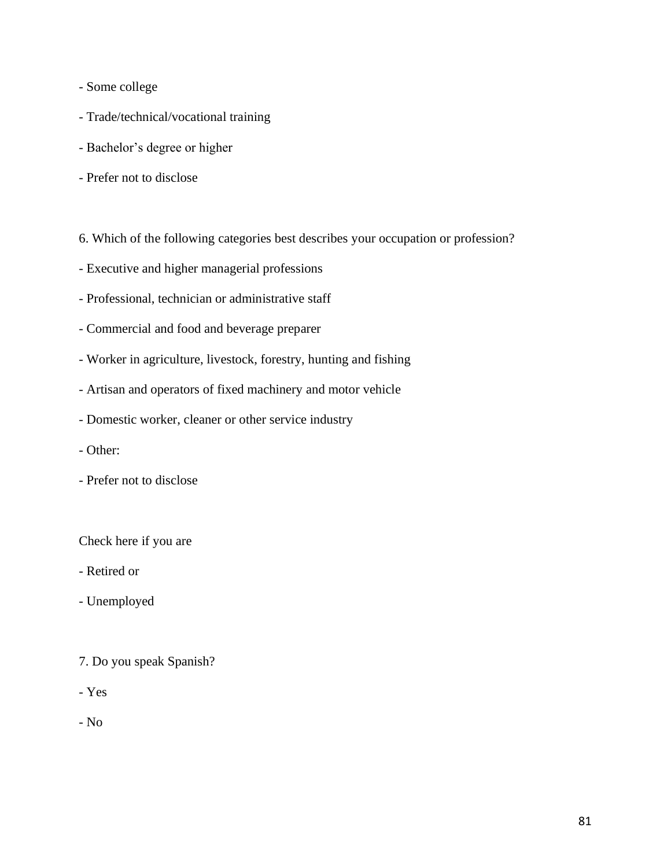- Some college
- Trade/technical/vocational training
- Bachelor's degree or higher
- Prefer not to disclose
- 6. Which of the following categories best describes your occupation or profession?
- Executive and higher managerial professions
- Professional, technician or administrative staff
- Commercial and food and beverage preparer
- Worker in agriculture, livestock, forestry, hunting and fishing
- Artisan and operators of fixed machinery and motor vehicle
- Domestic worker, cleaner or other service industry
- Other:
- Prefer not to disclose

Check here if you are

- Retired or
- Unemployed
- 7. Do you speak Spanish?
- Yes

- No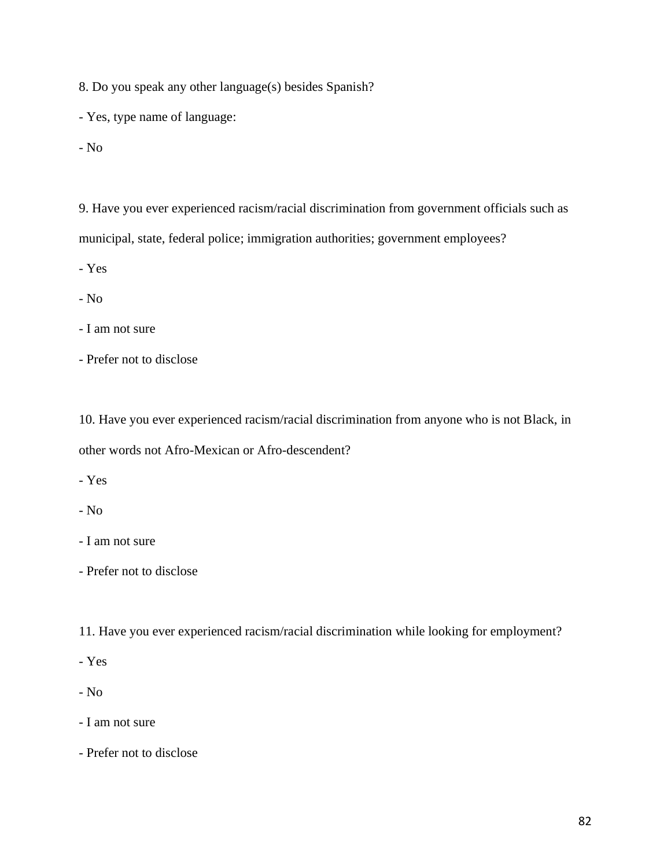8. Do you speak any other language(s) besides Spanish?

- Yes, type name of language:
- No

9. Have you ever experienced racism/racial discrimination from government officials such as municipal, state, federal police; immigration authorities; government employees?

- Yes

- No

- I am not sure

- Prefer not to disclose

10. Have you ever experienced racism/racial discrimination from anyone who is not Black, in other words not Afro-Mexican or Afro-descendent?

- Yes

- No
- I am not sure
- Prefer not to disclose

11. Have you ever experienced racism/racial discrimination while looking for employment?

- Yes

- No
- I am not sure
- Prefer not to disclose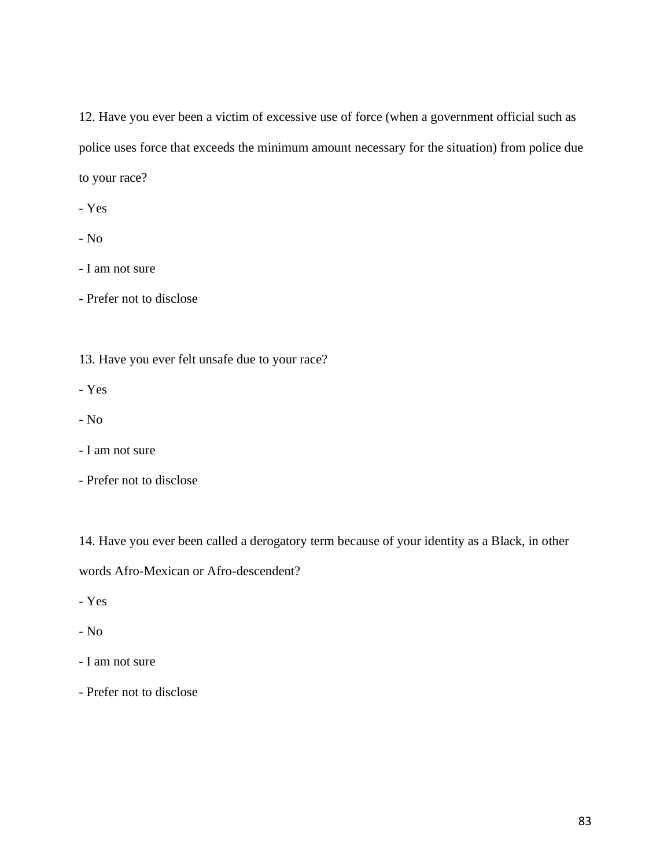12. Have you ever been a victim of excessive use of force (when a government official such as police uses force that exceeds the minimum amount necessary for the situation) from police due to your race?

- Yes

- No

- I am not sure

- Prefer not to disclose

13. Have you ever felt unsafe due to your race?

- Yes

- No
- I am not sure
- Prefer not to disclose

14. Have you ever been called a derogatory term because of your identity as a Black, in other

words Afro-Mexican or Afro-descendent?

- Yes
- No
- I am not sure
- Prefer not to disclose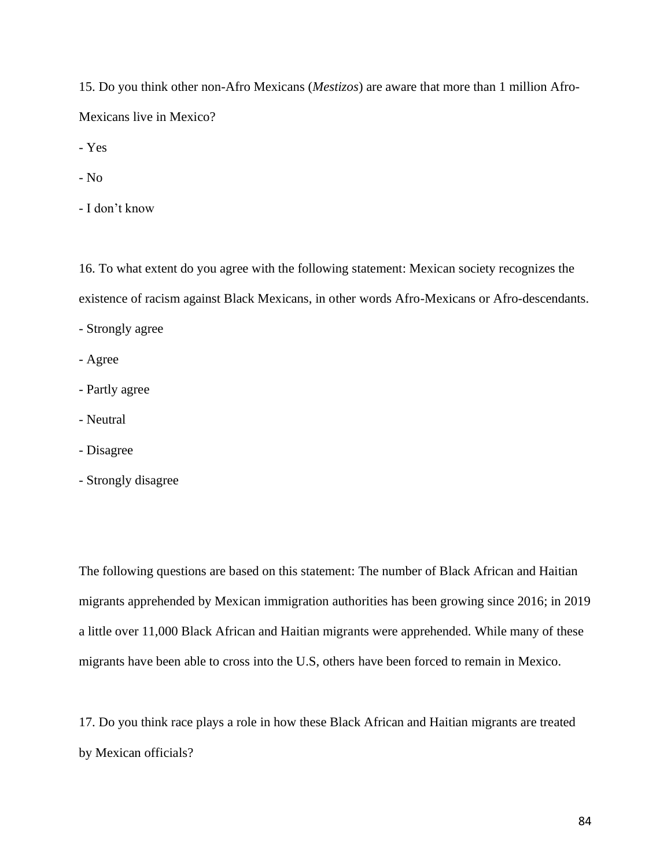15. Do you think other non-Afro Mexicans (*Mestizos*) are aware that more than 1 million Afro-Mexicans live in Mexico?

- Yes

- No

- I don't know

16. To what extent do you agree with the following statement: Mexican society recognizes the existence of racism against Black Mexicans, in other words Afro-Mexicans or Afro-descendants.

- Strongly agree

- Agree

- Partly agree
- Neutral
- Disagree
- Strongly disagree

The following questions are based on this statement: The number of Black African and Haitian migrants apprehended by Mexican immigration authorities has been growing since 2016; in 2019 a little over 11,000 Black African and Haitian migrants were apprehended. While many of these migrants have been able to cross into the U.S, others have been forced to remain in Mexico.

17. Do you think race plays a role in how these Black African and Haitian migrants are treated by Mexican officials?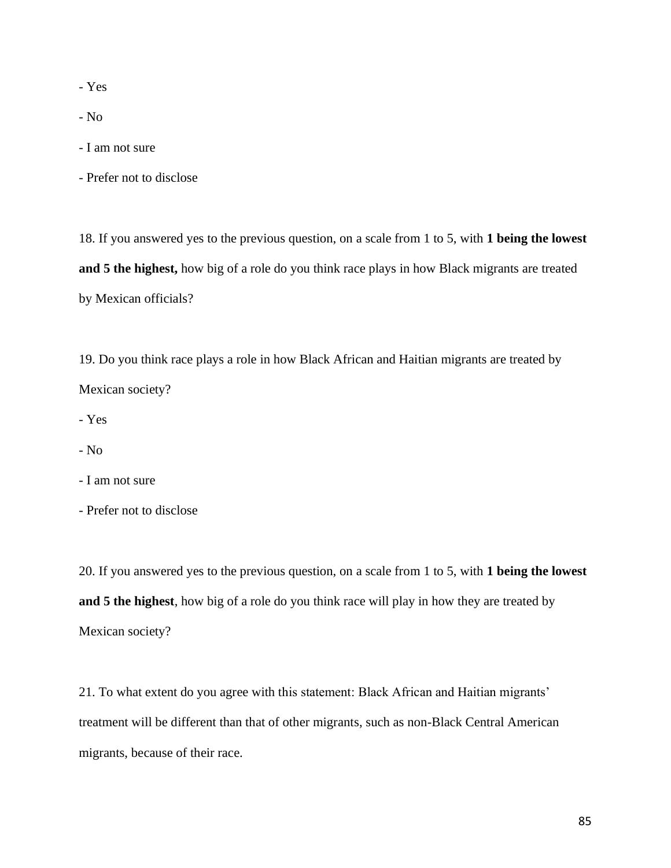- Yes

- No

- I am not sure

- Prefer not to disclose

18. If you answered yes to the previous question, on a scale from 1 to 5, with **1 being the lowest and 5 the highest,** how big of a role do you think race plays in how Black migrants are treated by Mexican officials?

19. Do you think race plays a role in how Black African and Haitian migrants are treated by Mexican society?

- Yes

- No

- I am not sure

- Prefer not to disclose

20. If you answered yes to the previous question, on a scale from 1 to 5, with **1 being the lowest and 5 the highest**, how big of a role do you think race will play in how they are treated by Mexican society?

21. To what extent do you agree with this statement: Black African and Haitian migrants' treatment will be different than that of other migrants, such as non-Black Central American migrants, because of their race.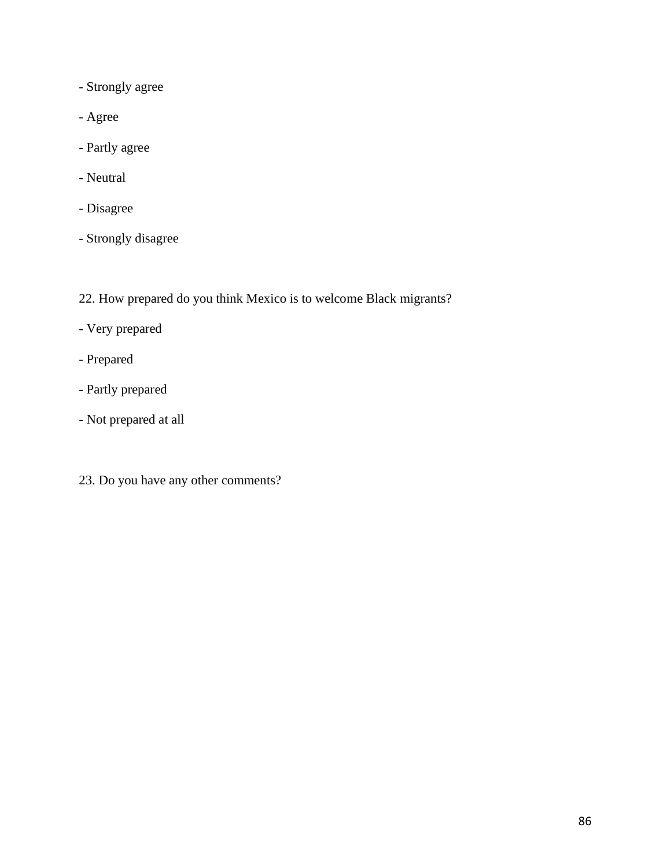- Strongly agree
- Agree
- Partly agree
- Neutral
- Disagree
- Strongly disagree
- 22. How prepared do you think Mexico is to welcome Black migrants?
- Very prepared
- Prepared
- Partly prepared
- Not prepared at all
- 23. Do you have any other comments?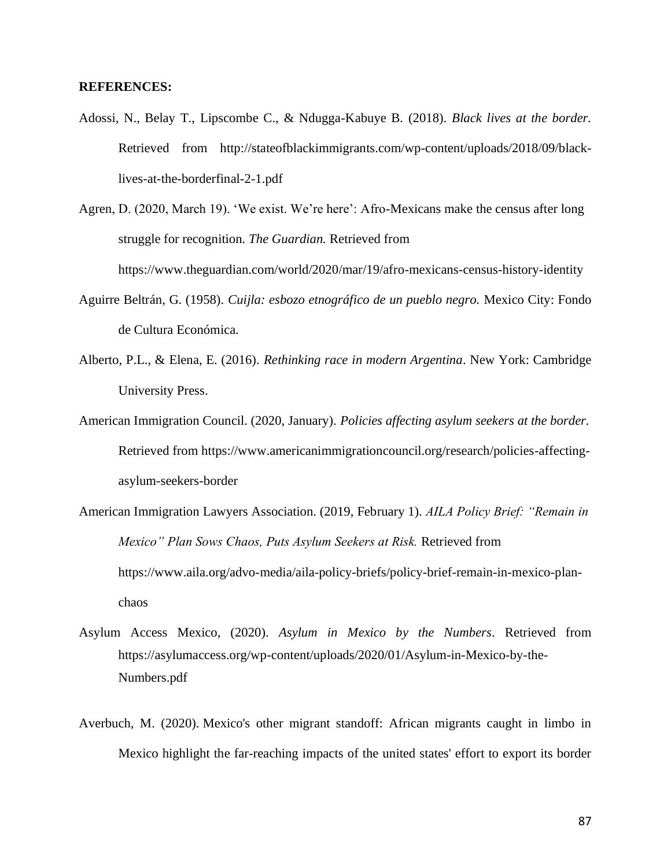### **REFERENCES:**

- Adossi, N., Belay T., Lipscombe C., & Ndugga-Kabuye B. (2018). *Black lives at the border.*  Retrieved from http://stateofblackimmigrants.com/wp-content/uploads/2018/09/blacklives-at-the-borderfinal-2-1.pdf
- Agren, D. (2020, March 19). 'We exist. We're here': Afro-Mexicans make the census after long struggle for recognition. *The Guardian.* Retrieved from https://www.theguardian.com/world/2020/mar/19/afro-mexicans-census-history-identity
- Aguirre Beltrán, G. (1958). *Cuijla: esbozo etnográfico de un pueblo negro.* Mexico City: Fondo de Cultura Económica.
- Alberto, P.L., & Elena, E. (2016). *Rethinking race in modern Argentina*. New York: Cambridge University Press.
- American Immigration Council. (2020, January). *Policies affecting asylum seekers at the border.*  Retrieved from https://www.americanimmigrationcouncil.org/research/policies-affectingasylum-seekers-border
- American Immigration Lawyers Association. (2019, February 1). *AILA Policy Brief: "Remain in Mexico" Plan Sows Chaos, Puts Asylum Seekers at Risk.* Retrieved from https://www.aila.org/advo-media/aila-policy-briefs/policy-brief-remain-in-mexico-planchaos
- Asylum Access Mexico, (2020). *Asylum in Mexico by the Numbers*. Retrieved from https://asylumaccess.org/wp-content/uploads/2020/01/Asylum-in-Mexico-by-the-Numbers.pdf
- Averbuch, M. (2020). Mexico's other migrant standoff: African migrants caught in limbo in Mexico highlight the far-reaching impacts of the united states' effort to export its border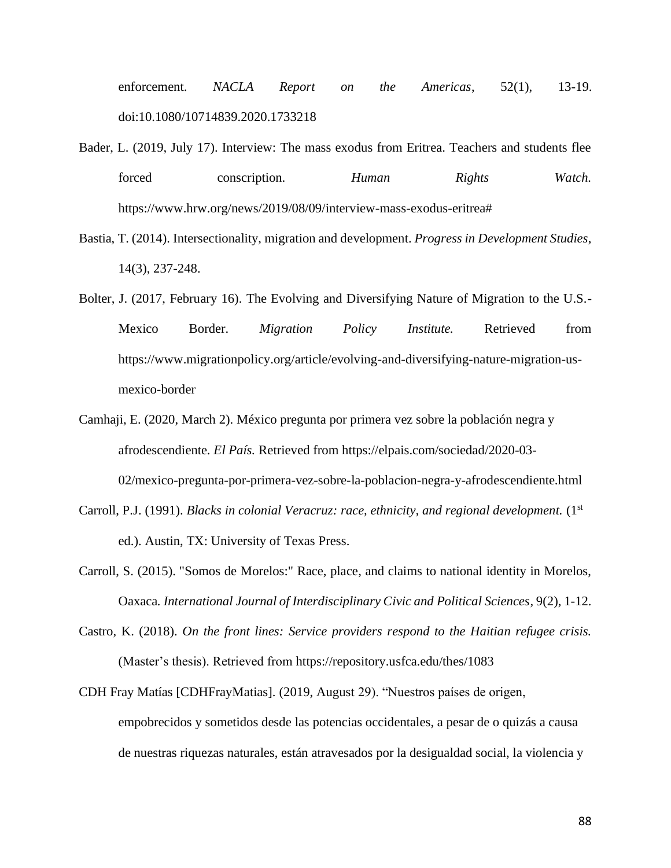enforcement. *NACLA Report on the Americas*, 52(1), 13-19. doi:10.1080/10714839.2020.1733218

- Bader, L. (2019, July 17). Interview: The mass exodus from Eritrea. Teachers and students flee forced conscription. *Human Rights Watch.* https://www.hrw.org/news/2019/08/09/interview-mass-exodus-eritrea#
- Bastia, T. (2014). Intersectionality, migration and development. *Progress in Development Studies*, 14(3), 237-248.
- Bolter, J. (2017, February 16). The Evolving and Diversifying Nature of Migration to the U.S.- Mexico Border. *Migration Policy Institute.* Retrieved from https://www.migrationpolicy.org/article/evolving-and-diversifying-nature-migration-usmexico-border
- Camhaji, E. (2020, March 2). México pregunta por primera vez sobre la población negra y afrodescendiente. *El País.* Retrieved from https://elpais.com/sociedad/2020-03- 02/mexico-pregunta-por-primera-vez-sobre-la-poblacion-negra-y-afrodescendiente.html
- Carroll, P.J. (1991). *Blacks in colonial Veracruz: race, ethnicity, and regional development.* (1st ed.). Austin, TX: University of Texas Press.
- Carroll, S. (2015). "Somos de Morelos:" Race, place, and claims to national identity in Morelos, Oaxaca*. International Journal of Interdisciplinary Civic and Political Sciences*, 9(2), 1-12.
- Castro, K. (2018). *On the front lines: Service providers respond to the Haitian refugee crisis.*  (Master's thesis). Retrieved from https://repository.usfca.edu/thes/1083
- CDH Fray Matías [CDHFrayMatias]. (2019, August 29). "Nuestros países de origen, empobrecidos y sometidos desde las potencias occidentales, a pesar de o quizás a causa de nuestras riquezas naturales, están atravesados por la desigualdad social, la violencia y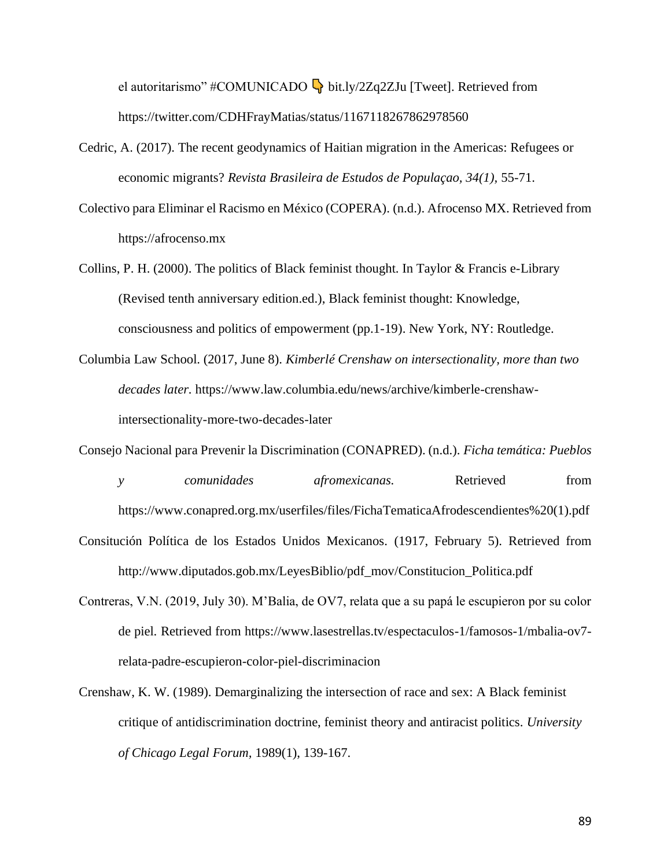el autoritarismo" #COMUNICADO  $\overline{\mathbb{Q}}$  bit.ly/2Zq2ZJu [Tweet]. Retrieved from https://twitter.com/CDHFrayMatias/status/1167118267862978560

- Cedric, A. (2017). The recent geodynamics of Haitian migration in the Americas: Refugees or economic migrants? *Revista Brasileira de Estudos de Populaçao, 34(1),* 55-71.
- Colectivo para Eliminar el Racismo en México (COPERA). (n.d.). Afrocenso MX. Retrieved from https://afrocenso.mx
- Collins, P. H. (2000). The politics of Black feminist thought. In Taylor & Francis e-Library (Revised tenth anniversary edition.ed.), Black feminist thought: Knowledge, consciousness and politics of empowerment (pp.1-19). New York, NY: Routledge.
- Columbia Law School. (2017, June 8). *Kimberlé Crenshaw on intersectionality, more than two decades later.* https://www.law.columbia.edu/news/archive/kimberle-crenshawintersectionality-more-two-decades-later
- Consejo Nacional para Prevenir la Discrimination (CONAPRED). (n.d.). *Ficha temática: Pueblos* 
	- https://www.conapred.org.mx/userfiles/files/FichaTematicaAfrodescendientes%20(1).pdf

*y comunidades afromexicanas.* Retrieved from

- Consitución Política de los Estados Unidos Mexicanos. (1917, February 5). Retrieved from http://www.diputados.gob.mx/LeyesBiblio/pdf\_mov/Constitucion\_Politica.pdf
- Contreras, V.N. (2019, July 30). M'Balia, de OV7, relata que a su papá le escupieron por su color de piel. Retrieved from https://www.lasestrellas.tv/espectaculos-1/famosos-1/mbalia-ov7 relata-padre-escupieron-color-piel-discriminacion
- Crenshaw, K. W. (1989). Demarginalizing the intersection of race and sex: A Black feminist critique of antidiscrimination doctrine, feminist theory and antiracist politics. *University of Chicago Legal Forum,* 1989(1), 139-167.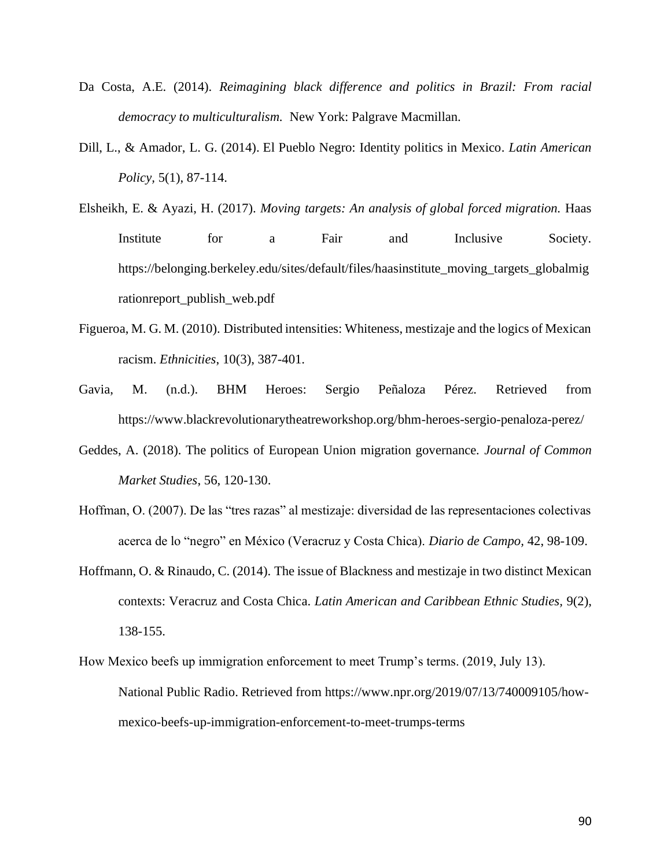- Da Costa, A.E. (2014). *Reimagining black difference and politics in Brazil: From racial democracy to multiculturalism.* New York: Palgrave Macmillan.
- Dill, L., & Amador, L. G. (2014). El Pueblo Negro: Identity politics in Mexico. *Latin American Policy,* 5(1), 87-114.
- Elsheikh, E. & Ayazi, H. (2017). *Moving targets: An analysis of global forced migration.* Haas Institute for a Fair and Inclusive Society. https://belonging.berkeley.edu/sites/default/files/haasinstitute\_moving\_targets\_globalmig rationreport\_publish\_web.pdf
- Figueroa, M. G. M. (2010). Distributed intensities: Whiteness, mestizaje and the logics of Mexican racism. *Ethnicities*, 10(3), 387-401.
- Gavia, M. (n.d.). BHM Heroes: Sergio Peñaloza Pérez. Retrieved from https://www.blackrevolutionarytheatreworkshop.org/bhm-heroes-sergio-penaloza-perez/
- Geddes, A. (2018). The politics of European Union migration governance*. Journal of Common Market Studies*, 56, 120-130.
- Hoffman, O. (2007). De las "tres razas" al mestizaje: diversidad de las representaciones colectivas acerca de lo "negro" en México (Veracruz y Costa Chica). *Diario de Campo,* 42, 98-109.
- Hoffmann, O. & Rinaudo, C. (2014). The issue of Blackness and mestizaje in two distinct Mexican contexts: Veracruz and Costa Chica. *Latin American and Caribbean Ethnic Studies,* 9(2), 138-155.
- How Mexico beefs up immigration enforcement to meet Trump's terms. (2019, July 13). National Public Radio. Retrieved from https://www.npr.org/2019/07/13/740009105/howmexico-beefs-up-immigration-enforcement-to-meet-trumps-terms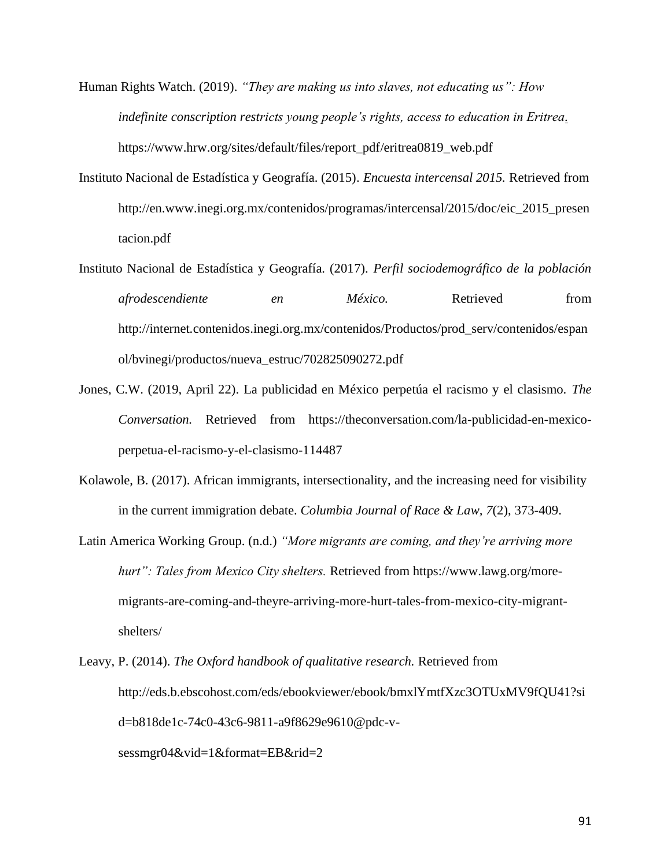Human Rights Watch. (2019). *"They are making us into slaves, not educating us": How indefinite conscription restricts young people's rights, access to education in Eritrea.*  https://www.hrw.org/sites/default/files/report\_pdf/eritrea0819\_web.pdf

- Instituto Nacional de Estadística y Geografía. (2015). *Encuesta intercensal 2015.* Retrieved from http://en.www.inegi.org.mx/contenidos/programas/intercensal/2015/doc/eic\_2015\_presen tacion.pdf
- Instituto Nacional de Estadística y Geografía. (2017). *Perfil sociodemográfico de la población afrodescendiente en México.* Retrieved from http://internet.contenidos.inegi.org.mx/contenidos/Productos/prod\_serv/contenidos/espan ol/bvinegi/productos/nueva\_estruc/702825090272.pdf
- Jones, C.W. (2019, April 22). La publicidad en México perpetúa el racismo y el clasismo. *The Conversation.* Retrieved from https://theconversation.com/la-publicidad-en-mexicoperpetua-el-racismo-y-el-clasismo-114487
- Kolawole, B. (2017). African immigrants, intersectionality, and the increasing need for visibility in the current immigration debate. *Columbia Journal of Race & Law, 7*(2), 373-409.
- Latin America Working Group. (n.d.) *"More migrants are coming, and they're arriving more hurt": Tales from Mexico City shelters.* Retrieved from https://www.lawg.org/moremigrants-are-coming-and-theyre-arriving-more-hurt-tales-from-mexico-city-migrantshelters/
- Leavy, P. (2014). *The Oxford handbook of qualitative research.* Retrieved from http://eds.b.ebscohost.com/eds/ebookviewer/ebook/bmxlYmtfXzc3OTUxMV9fQU41?si d=b818de1c-74c0-43c6-9811-a9f8629e9610@pdc-v-

sessmgr04&vid=1&format=EB&rid=2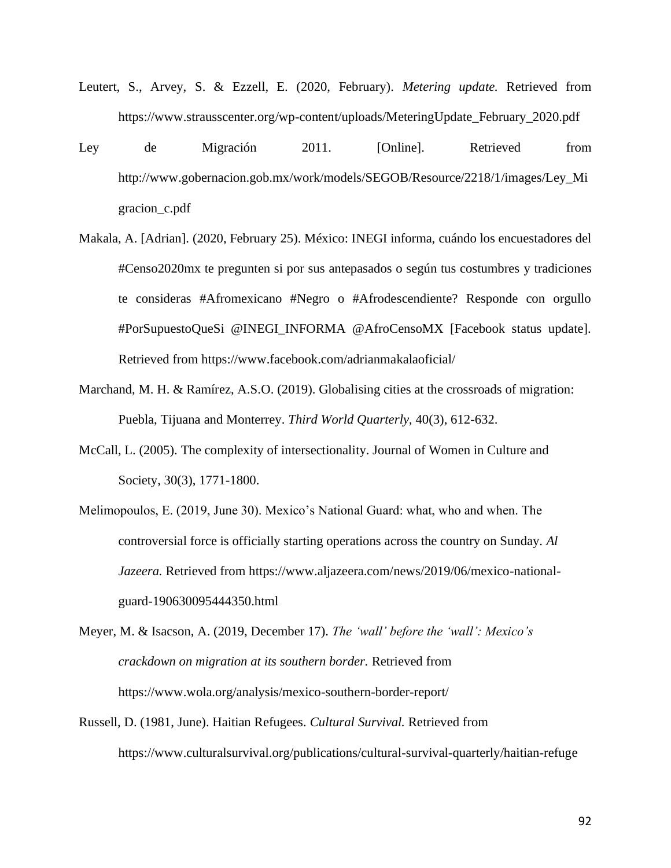- Leutert, S., Arvey, S. & Ezzell, E. (2020, February). *Metering update.* Retrieved from https://www.strausscenter.org/wp-content/uploads/MeteringUpdate\_February\_2020.pdf
- Ley de Migración 2011. [Online]. Retrieved from http://www.gobernacion.gob.mx/work/models/SEGOB/Resource/2218/1/images/Ley\_Mi gracion\_c.pdf
- Makala, A. [Adrian]. (2020, February 25). México: INEGI informa, cuándo los encuestadores del #Censo2020mx te pregunten si por sus antepasados o según tus costumbres y tradiciones te consideras #Afromexicano #Negro o #Afrodescendiente? Responde con orgullo #PorSupuestoQueSi @INEGI\_INFORMA @AfroCensoMX [Facebook status update]. Retrieved from https://www.facebook.com/adrianmakalaoficial/
- Marchand, M. H. & Ramírez, A.S.O. (2019). Globalising cities at the crossroads of migration: Puebla, Tijuana and Monterrey. *Third World Quarterly,* 40(3), 612-632.
- McCall, L. (2005). The complexity of intersectionality. Journal of Women in Culture and Society, 30(3), 1771-1800.
- Melimopoulos, E. (2019, June 30). Mexico's National Guard: what, who and when. The controversial force is officially starting operations across the country on Sunday. *Al Jazeera.* Retrieved from https://www.aljazeera.com/news/2019/06/mexico-nationalguard-190630095444350.html
- Meyer, M. & Isacson, A. (2019, December 17). *The 'wall' before the 'wall': Mexico's crackdown on migration at its southern border.* Retrieved from https://www.wola.org/analysis/mexico-southern-border-report/
- Russell, D. (1981, June). Haitian Refugees. *Cultural Survival.* Retrieved from https://www.culturalsurvival.org/publications/cultural-survival-quarterly/haitian-refuge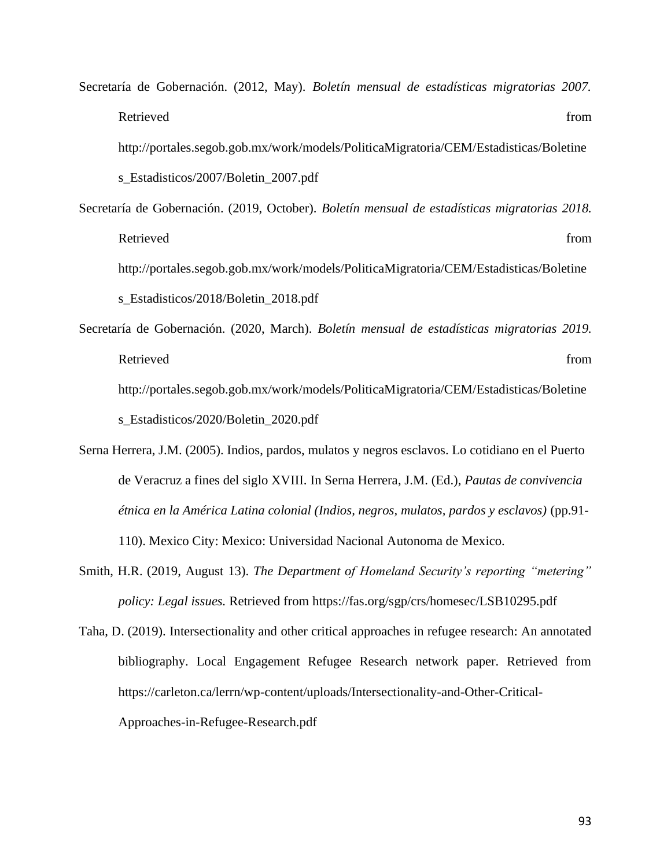Secretaría de Gobernación. (2012, May). *Boletín mensual de estadísticas migratorias 2007.*  Retrieved from the state of the state of the state of the state of the state of the state of the state of the state of the state of the state of the state of the state of the state of the state of the state of the state of http://portales.segob.gob.mx/work/models/PoliticaMigratoria/CEM/Estadisticas/Boletine s\_Estadisticos/2007/Boletin\_2007.pdf

Secretaría de Gobernación. (2019, October). *Boletín mensual de estadísticas migratorias 2018.*  Retrieved from the state of the state of the state of the state of the state of the state of the state of the state of the state of the state of the state of the state of the state of the state of the state of the state of http://portales.segob.gob.mx/work/models/PoliticaMigratoria/CEM/Estadisticas/Boletine s\_Estadisticos/2018/Boletin\_2018.pdf

- Secretaría de Gobernación. (2020, March). *Boletín mensual de estadísticas migratorias 2019.*  Retrieved from the state of the state of the state of the state of the state of the state of the state of the state of the state of the state of the state of the state of the state of the state of the state of the state of http://portales.segob.gob.mx/work/models/PoliticaMigratoria/CEM/Estadisticas/Boletine s\_Estadisticos/2020/Boletin\_2020.pdf
- Serna Herrera, J.M. (2005). Indios, pardos, mulatos y negros esclavos. Lo cotidiano en el Puerto de Veracruz a fines del siglo XVIII. In Serna Herrera, J.M. (Ed.), *Pautas de convivencia étnica en la América Latina colonial (Indios, negros, mulatos, pardos y esclavos)* (pp.91- 110). Mexico City: Mexico: Universidad Nacional Autonoma de Mexico.
- Smith, H.R. (2019, August 13). *The Department of Homeland Security's reporting "metering" policy: Legal issues.* Retrieved from https://fas.org/sgp/crs/homesec/LSB10295.pdf

Taha, D. (2019). Intersectionality and other critical approaches in refugee research: An annotated bibliography. Local Engagement Refugee Research network paper. Retrieved from https://carleton.ca/lerrn/wp-content/uploads/Intersectionality-and-Other-Critical-Approaches-in-Refugee-Research.pdf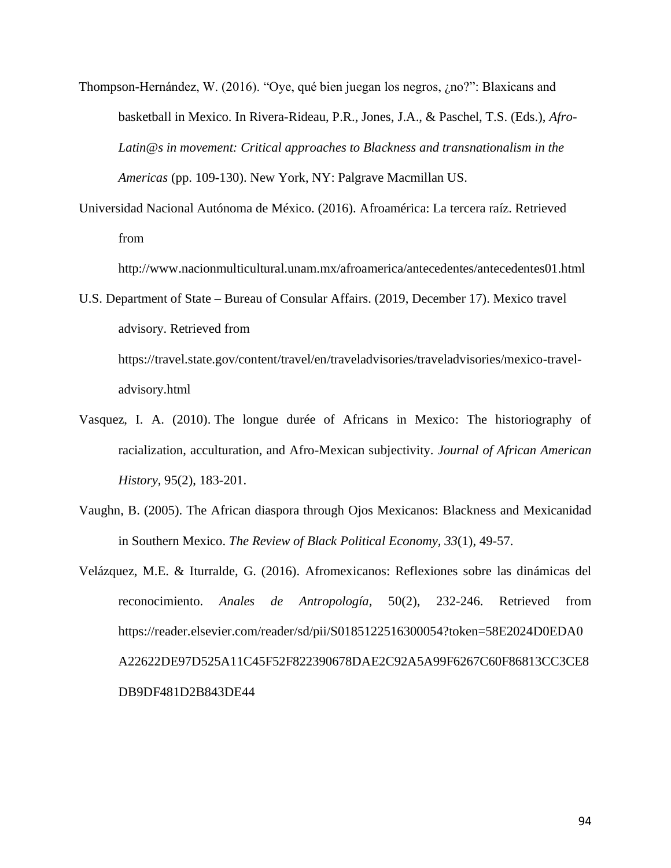- Thompson-Hernández, W. (2016). "Oye, qué bien juegan los negros, ¿no?": Blaxicans and basketball in Mexico. In Rivera-Rideau, P.R., Jones, J.A., & Paschel, T.S. (Eds.), *Afro-Latin@s in movement: Critical approaches to Blackness and transnationalism in the Americas* (pp. 109-130). New York, NY: Palgrave Macmillan US.
- Universidad Nacional Autónoma de México. (2016). Afroamérica: La tercera raíz. Retrieved from

http://www.nacionmulticultural.unam.mx/afroamerica/antecedentes/antecedentes01.html

- U.S. Department of State Bureau of Consular Affairs. (2019, December 17). Mexico travel advisory. Retrieved from https://travel.state.gov/content/travel/en/traveladvisories/traveladvisories/mexico-traveladvisory.html
- Vasquez, I. A. (2010). The longue durée of Africans in Mexico: The historiography of racialization, acculturation, and Afro-Mexican subjectivity. *Journal of African American History,* 95(2), 183-201.
- Vaughn, B. (2005). The African diaspora through Ojos Mexicanos: Blackness and Mexicanidad in Southern Mexico. *The Review of Black Political Economy, 33*(1), 49-57.
- Velázquez, M.E. & Iturralde, G. (2016). Afromexicanos: Reflexiones sobre las dinámicas del reconocimiento. *Anales de Antropología,* 50(2), 232-246. Retrieved from https://reader.elsevier.com/reader/sd/pii/S0185122516300054?token=58E2024D0EDA0 A22622DE97D525A11C45F52F822390678DAE2C92A5A99F6267C60F86813CC3CE8 DB9DF481D2B843DE44